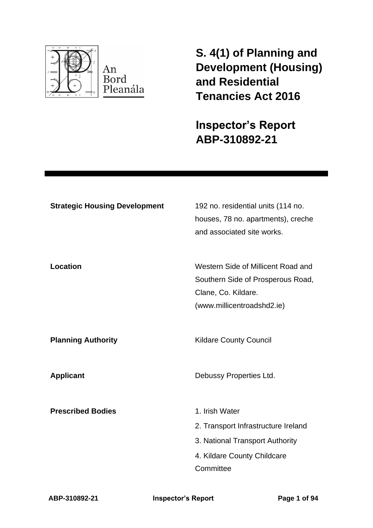

**S. 4(1) of Planning and Development (Housing) and Residential Tenancies Act 2016** 

**Inspector's Report ABP-310892-21**

| <b>Strategic Housing Development</b> | 192 no. residential units (114 no.<br>houses, 78 no. apartments), creche<br>and associated site works.                               |
|--------------------------------------|--------------------------------------------------------------------------------------------------------------------------------------|
| Location                             | Western Side of Millicent Road and<br>Southern Side of Prosperous Road,<br>Clane, Co. Kildare.<br>(www.millicentroadshd2.ie)         |
| <b>Planning Authority</b>            | <b>Kildare County Council</b>                                                                                                        |
| <b>Applicant</b>                     | Debussy Properties Ltd.                                                                                                              |
| <b>Prescribed Bodies</b>             | 1. Irish Water<br>2. Transport Infrastructure Ireland<br>3. National Transport Authority<br>4. Kildare County Childcare<br>Committee |

**ABP-310892-21 Inspector's Report Page 1 of 94**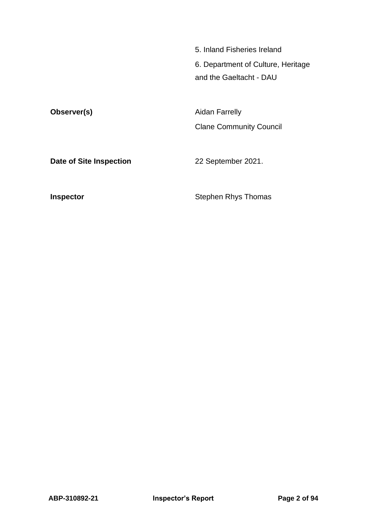5. Inland Fisheries Ireland 6. Department of Culture, Heritage and the Gaeltacht - DAU

**Observer(s)** Aidan Farrelly Clane Community Council

**Date of Site Inspection** 22 September 2021.

**Inspector Inspector** Stephen Rhys Thomas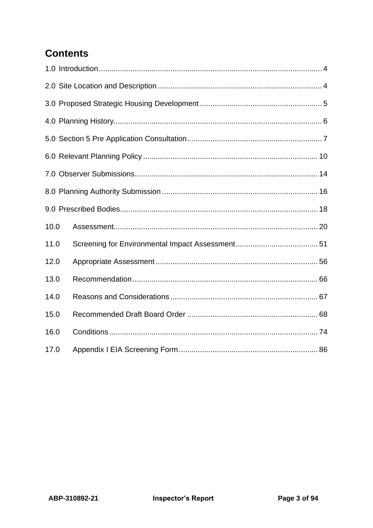# **Contents**

| 10.0 |  |
|------|--|
| 11.0 |  |
| 12.0 |  |
| 13.0 |  |
| 14.0 |  |
| 15.0 |  |
| 16.0 |  |
| 17.0 |  |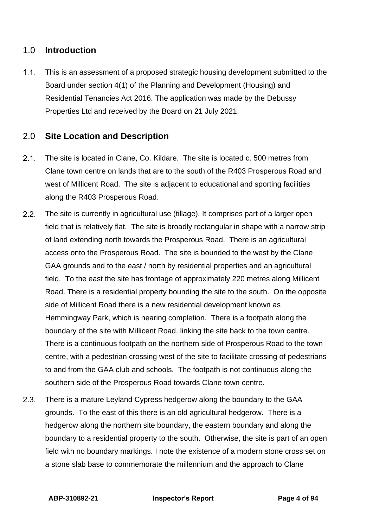# <span id="page-3-0"></span>1.0 **Introduction**

 $1.1.$ This is an assessment of a proposed strategic housing development submitted to the Board under section 4(1) of the Planning and Development (Housing) and Residential Tenancies Act 2016. The application was made by the Debussy Properties Ltd and received by the Board on 21 July 2021.

# <span id="page-3-1"></span>2.0 **Site Location and Description**

- $2.1.$ The site is located in Clane, Co. Kildare. The site is located c. 500 metres from Clane town centre on lands that are to the south of the R403 Prosperous Road and west of Millicent Road. The site is adjacent to educational and sporting facilities along the R403 Prosperous Road.
- $2.2.$ The site is currently in agricultural use (tillage). It comprises part of a larger open field that is relatively flat. The site is broadly rectangular in shape with a narrow strip of land extending north towards the Prosperous Road. There is an agricultural access onto the Prosperous Road. The site is bounded to the west by the Clane GAA grounds and to the east / north by residential properties and an agricultural field. To the east the site has frontage of approximately 220 metres along Millicent Road. There is a residential property bounding the site to the south. On the opposite side of Millicent Road there is a new residential development known as Hemmingway Park, which is nearing completion. There is a footpath along the boundary of the site with Millicent Road, linking the site back to the town centre. There is a continuous footpath on the northern side of Prosperous Road to the town centre, with a pedestrian crossing west of the site to facilitate crossing of pedestrians to and from the GAA club and schools. The footpath is not continuous along the southern side of the Prosperous Road towards Clane town centre.
- $2.3.$ There is a mature Leyland Cypress hedgerow along the boundary to the GAA grounds. To the east of this there is an old agricultural hedgerow. There is a hedgerow along the northern site boundary, the eastern boundary and along the boundary to a residential property to the south. Otherwise, the site is part of an open field with no boundary markings. I note the existence of a modern stone cross set on a stone slab base to commemorate the millennium and the approach to Clane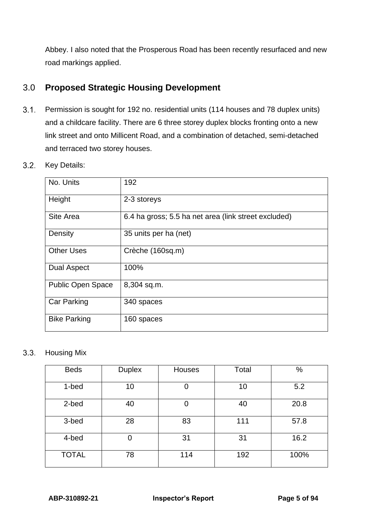Abbey. I also noted that the Prosperous Road has been recently resurfaced and new road markings applied.

# <span id="page-4-0"></span>3.0 **Proposed Strategic Housing Development**

- $3.1.$ Permission is sought for 192 no. residential units (114 houses and 78 duplex units) and a childcare facility. There are 6 three storey duplex blocks fronting onto a new link street and onto Millicent Road, and a combination of detached, semi-detached and terraced two storey houses.
- $3.2.$ Key Details:

| No. Units                | 192                                                  |
|--------------------------|------------------------------------------------------|
|                          |                                                      |
| Height                   | 2-3 storeys                                          |
| Site Area                | 6.4 ha gross; 5.5 ha net area (link street excluded) |
| Density                  | 35 units per ha (net)                                |
| <b>Other Uses</b>        | Crèche (160sq.m)                                     |
| <b>Dual Aspect</b>       | 100%                                                 |
| <b>Public Open Space</b> | 8,304 sq.m.                                          |
| <b>Car Parking</b>       | 340 spaces                                           |
| <b>Bike Parking</b>      | 160 spaces                                           |

 $3.3.$ Housing Mix

| <b>Beds</b>  | <b>Duplex</b> | Houses | Total | %    |
|--------------|---------------|--------|-------|------|
| 1-bed        | 10            |        | 10    | 5.2  |
| 2-bed        | 40            |        | 40    | 20.8 |
| 3-bed        | 28            | 83     | 111   | 57.8 |
| 4-bed        | 0             | 31     | 31    | 16.2 |
| <b>TOTAL</b> | 78            | 114    | 192   | 100% |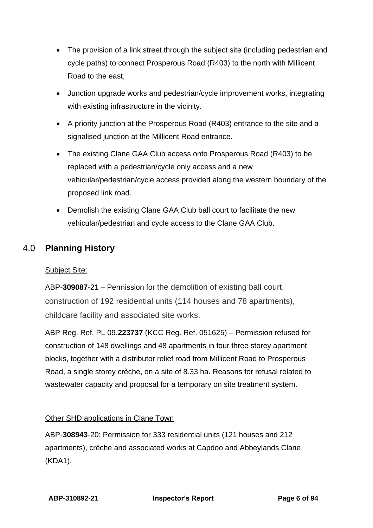- The provision of a link street through the subject site (including pedestrian and cycle paths) to connect Prosperous Road (R403) to the north with Millicent Road to the east,
- Junction upgrade works and pedestrian/cycle improvement works, integrating with existing infrastructure in the vicinity.
- A priority junction at the Prosperous Road (R403) entrance to the site and a signalised junction at the Millicent Road entrance.
- The existing Clane GAA Club access onto Prosperous Road (R403) to be replaced with a pedestrian/cycle only access and a new vehicular/pedestrian/cycle access provided along the western boundary of the proposed link road.
- Demolish the existing Clane GAA Club ball court to facilitate the new vehicular/pedestrian and cycle access to the Clane GAA Club.

# <span id="page-5-0"></span>4.0 **Planning History**

# Subject Site:

ABP-**309087**-21 – Permission for the demolition of existing ball court, construction of 192 residential units (114 houses and 78 apartments), childcare facility and associated site works.

ABP Reg. Ref. PL 09.**223737** (KCC Reg. Ref. 051625) – Permission refused for construction of 148 dwellings and 48 apartments in four three storey apartment blocks, together with a distributor relief road from Millicent Road to Prosperous Road, a single storey crèche, on a site of 8.33 ha. Reasons for refusal related to wastewater capacity and proposal for a temporary on site treatment system.

# Other SHD applications in Clane Town

ABP-**308943**-20: Permission for 333 residential units (121 houses and 212 apartments), créche and associated works at Capdoo and Abbeylands Clane (KDA1).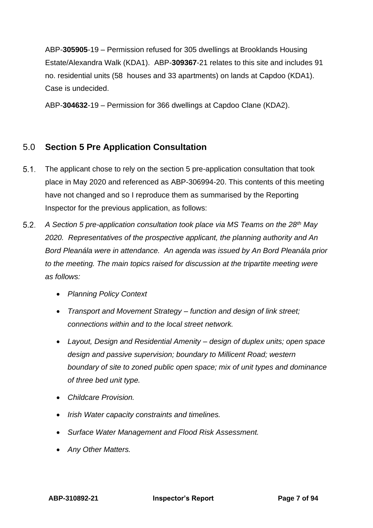ABP-**305905**-19 – Permission refused for 305 dwellings at Brooklands Housing Estate/Alexandra Walk (KDA1). ABP-**309367**-21 relates to this site and includes 91 no. residential units (58 houses and 33 apartments) on lands at Capdoo (KDA1). Case is undecided.

ABP-**304632**-19 – Permission for 366 dwellings at Capdoo Clane (KDA2).

# <span id="page-6-0"></span>5.0 **Section 5 Pre Application Consultation**

- $51$ The applicant chose to rely on the section 5 pre-application consultation that took place in May 2020 and referenced as ABP-306994-20. This contents of this meeting have not changed and so I reproduce them as summarised by the Reporting Inspector for the previous application, as follows:
- $5.2$ *A Section 5 pre-application consultation took place via MS Teams on the 28th May 2020. Representatives of the prospective applicant, the planning authority and An Bord Pleanála were in attendance. An agenda was issued by An Bord Pleanála prior to the meeting. The main topics raised for discussion at the tripartite meeting were as follows:* 
	- *Planning Policy Context*
	- *Transport and Movement Strategy – function and design of link street; connections within and to the local street network.*
	- *Layout, Design and Residential Amenity – design of duplex units; open space design and passive supervision; boundary to Millicent Road; western boundary of site to zoned public open space; mix of unit types and dominance of three bed unit type.*
	- *Childcare Provision.*
	- *Irish Water capacity constraints and timelines.*
	- *Surface Water Management and Flood Risk Assessment.*
	- *Any Other Matters.*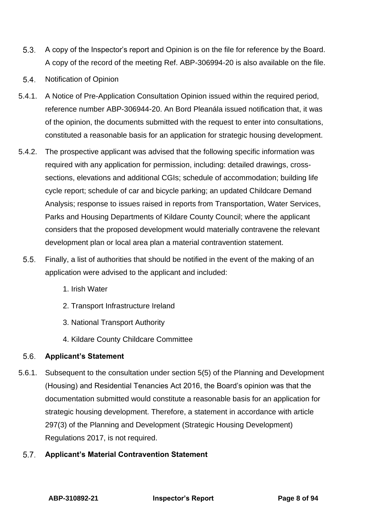- $5.3.$ A copy of the Inspector's report and Opinion is on the file for reference by the Board. A copy of the record of the meeting Ref. ABP-306994-20 is also available on the file.
- 5.4. Notification of Opinion
- 5.4.1. A Notice of Pre-Application Consultation Opinion issued within the required period, reference number ABP-306944-20. An Bord Pleanála issued notification that, it was of the opinion, the documents submitted with the request to enter into consultations, constituted a reasonable basis for an application for strategic housing development.
- 5.4.2. The prospective applicant was advised that the following specific information was required with any application for permission, including: detailed drawings, crosssections, elevations and additional CGIs; schedule of accommodation; building life cycle report; schedule of car and bicycle parking; an updated Childcare Demand Analysis; response to issues raised in reports from Transportation, Water Services, Parks and Housing Departments of Kildare County Council; where the applicant considers that the proposed development would materially contravene the relevant development plan or local area plan a material contravention statement.
	- $5.5.$ Finally, a list of authorities that should be notified in the event of the making of an application were advised to the applicant and included:
		- 1. Irish Water
		- 2. Transport Infrastructure Ireland
		- 3. National Transport Authority
		- 4. Kildare County Childcare Committee

#### $5.6.$ **Applicant's Statement**

5.6.1. Subsequent to the consultation under section 5(5) of the Planning and Development (Housing) and Residential Tenancies Act 2016, the Board's opinion was that the documentation submitted would constitute a reasonable basis for an application for strategic housing development. Therefore, a statement in accordance with article 297(3) of the Planning and Development (Strategic Housing Development) Regulations 2017, is not required.

#### $5.7<sub>1</sub>$ **Applicant's Material Contravention Statement**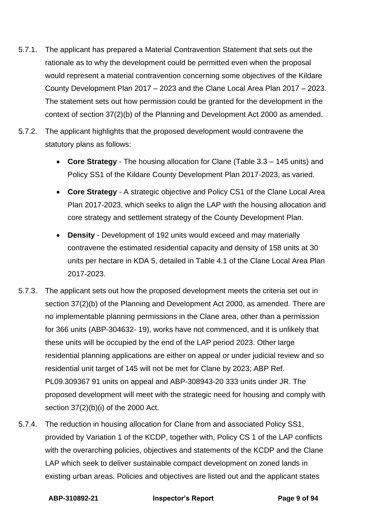- 5.7.1. The applicant has prepared a Material Contravention Statement that sets out the rationale as to why the development could be permitted even when the proposal would represent a material contravention concerning some objectives of the Kildare County Development Plan 2017 – 2023 and the Clane Local Area Plan 2017 – 2023. The statement sets out how permission could be granted for the development in the context of section 37(2)(b) of the Planning and Development Act 2000 as amended.
- 5.7.2. The applicant highlights that the proposed development would contravene the statutory plans as follows:
	- **Core Strategy** The housing allocation for Clane (Table 3.3 145 units) and Policy SS1 of the Kildare County Development Plan 2017-2023, as varied.
	- **Core Strategy** A strategic objective and Policy CS1 of the Clane Local Area Plan 2017-2023, which seeks to align the LAP with the housing allocation and core strategy and settlement strategy of the County Development Plan.
	- **Density**  Development of 192 units would exceed and may materially contravene the estimated residential capacity and density of 158 units at 30 units per hectare in KDA 5, detailed in Table 4.1 of the Clane Local Area Plan 2017-2023.
- 5.7.3. The applicant sets out how the proposed development meets the criteria set out in section 37(2)(b) of the Planning and Development Act 2000, as amended. There are no implementable planning permissions in the Clane area, other than a permission for 366 units (ABP-304632- 19), works have not commenced, and it is unlikely that these units will be occupied by the end of the LAP period 2023. Other large residential planning applications are either on appeal or under judicial review and so residential unit target of 145 will not be met for Clane by 2023; ABP Ref. PL09.309367 91 units on appeal and ABP-308943-20 333 units under JR. The proposed development will meet with the strategic need for housing and comply with section 37(2)(b)(i) of the 2000 Act.
- 5.7.4. The reduction in housing allocation for Clane from and associated Policy SS1, provided by Variation 1 of the KCDP, together with, Policy CS 1 of the LAP conflicts with the overarching policies, objectives and statements of the KCDP and the Clane LAP which seek to deliver sustainable compact development on zoned lands in existing urban areas. Policies and objectives are listed out and the applicant states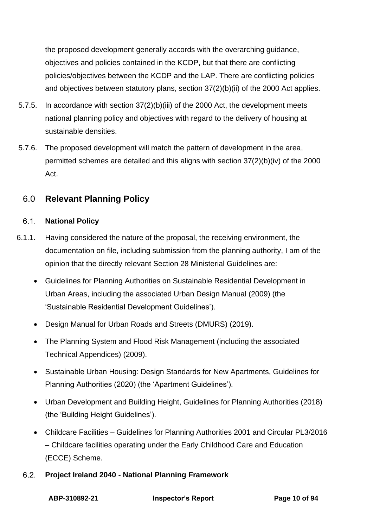the proposed development generally accords with the overarching guidance, objectives and policies contained in the KCDP, but that there are conflicting policies/objectives between the KCDP and the LAP. There are conflicting policies and objectives between statutory plans, section 37(2)(b)(ii) of the 2000 Act applies.

- 5.7.5. In accordance with section 37(2)(b)(iii) of the 2000 Act, the development meets national planning policy and objectives with regard to the delivery of housing at sustainable densities.
- 5.7.6. The proposed development will match the pattern of development in the area, permitted schemes are detailed and this aligns with section 37(2)(b)(iv) of the 2000 Act.

# <span id="page-9-0"></span>6.0 **Relevant Planning Policy**

#### $6.1.$ **National Policy**

- 6.1.1. Having considered the nature of the proposal, the receiving environment, the documentation on file, including submission from the planning authority, I am of the opinion that the directly relevant Section 28 Ministerial Guidelines are:
	- Guidelines for Planning Authorities on Sustainable Residential Development in Urban Areas, including the associated Urban Design Manual (2009) (the 'Sustainable Residential Development Guidelines').
	- Design Manual for Urban Roads and Streets (DMURS) (2019).
	- The Planning System and Flood Risk Management (including the associated Technical Appendices) (2009).
	- Sustainable Urban Housing: Design Standards for New Apartments, Guidelines for Planning Authorities (2020) (the 'Apartment Guidelines').
	- Urban Development and Building Height, Guidelines for Planning Authorities (2018) (the 'Building Height Guidelines').
	- Childcare Facilities Guidelines for Planning Authorities 2001 and Circular PL3/2016 – Childcare facilities operating under the Early Childhood Care and Education (ECCE) Scheme.
	- $6.2.$ **Project Ireland 2040 - National Planning Framework**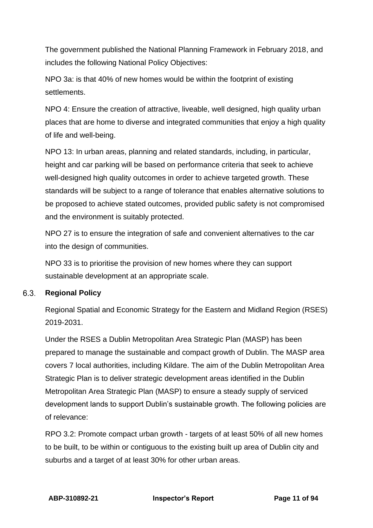The government published the National Planning Framework in February 2018, and includes the following National Policy Objectives:

NPO 3a: is that 40% of new homes would be within the footprint of existing settlements.

NPO 4: Ensure the creation of attractive, liveable, well designed, high quality urban places that are home to diverse and integrated communities that enjoy a high quality of life and well-being.

NPO 13: In urban areas, planning and related standards, including, in particular, height and car parking will be based on performance criteria that seek to achieve well-designed high quality outcomes in order to achieve targeted growth. These standards will be subject to a range of tolerance that enables alternative solutions to be proposed to achieve stated outcomes, provided public safety is not compromised and the environment is suitably protected.

NPO 27 is to ensure the integration of safe and convenient alternatives to the car into the design of communities.

NPO 33 is to prioritise the provision of new homes where they can support sustainable development at an appropriate scale.

#### $6.3.$ **Regional Policy**

Regional Spatial and Economic Strategy for the Eastern and Midland Region (RSES) 2019-2031.

Under the RSES a Dublin Metropolitan Area Strategic Plan (MASP) has been prepared to manage the sustainable and compact growth of Dublin. The MASP area covers 7 local authorities, including Kildare. The aim of the Dublin Metropolitan Area Strategic Plan is to deliver strategic development areas identified in the Dublin Metropolitan Area Strategic Plan (MASP) to ensure a steady supply of serviced development lands to support Dublin's sustainable growth. The following policies are of relevance:

RPO 3.2: Promote compact urban growth - targets of at least 50% of all new homes to be built, to be within or contiguous to the existing built up area of Dublin city and suburbs and a target of at least 30% for other urban areas.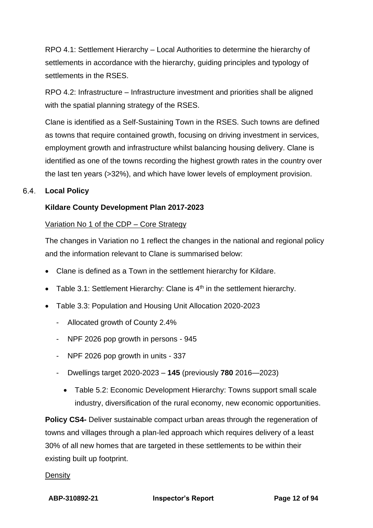RPO 4.1: Settlement Hierarchy – Local Authorities to determine the hierarchy of settlements in accordance with the hierarchy, guiding principles and typology of settlements in the RSES.

RPO 4.2: Infrastructure – Infrastructure investment and priorities shall be aligned with the spatial planning strategy of the RSES.

Clane is identified as a Self-Sustaining Town in the RSES. Such towns are defined as towns that require contained growth, focusing on driving investment in services, employment growth and infrastructure whilst balancing housing delivery. Clane is identified as one of the towns recording the highest growth rates in the country over the last ten years (>32%), and which have lower levels of employment provision.

#### $6.4.$ **Local Policy**

# **Kildare County Development Plan 2017-2023**

### Variation No 1 of the CDP – Core Strategy

The changes in Variation no 1 reflect the changes in the national and regional policy and the information relevant to Clane is summarised below:

- Clane is defined as a Town in the settlement hierarchy for Kildare.
- Table 3.1: Settlement Hierarchy: Clane is  $4<sup>th</sup>$  in the settlement hierarchy.
- Table 3.3: Population and Housing Unit Allocation 2020-2023
	- Allocated growth of County 2.4%
	- NPF 2026 pop growth in persons 945
	- NPF 2026 pop growth in units 337
	- Dwellings target 2020-2023 **145** (previously **780** 2016—2023)
		- Table 5.2: Economic Development Hierarchy: Towns support small scale industry, diversification of the rural economy, new economic opportunities.

**Policy CS4-** Deliver sustainable compact urban areas through the regeneration of towns and villages through a plan-led approach which requires delivery of a least 30% of all new homes that are targeted in these settlements to be within their existing built up footprint.

#### **Density**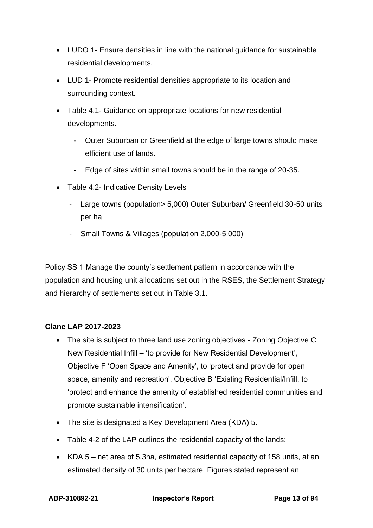- LUDO 1- Ensure densities in line with the national guidance for sustainable residential developments.
- LUD 1- Promote residential densities appropriate to its location and surrounding context.
- Table 4.1- Guidance on appropriate locations for new residential developments.
	- Outer Suburban or Greenfield at the edge of large towns should make efficient use of lands.
	- Edge of sites within small towns should be in the range of 20-35.
- Table 4.2- Indicative Density Levels
	- Large towns (population> 5,000) Outer Suburban/ Greenfield 30-50 units per ha
	- Small Towns & Villages (population 2,000-5,000)

Policy SS 1 Manage the county's settlement pattern in accordance with the population and housing unit allocations set out in the RSES, the Settlement Strategy and hierarchy of settlements set out in Table 3.1.

# **Clane LAP 2017-2023**

- The site is subject to three land use zoning objectives Zoning Objective C New Residential Infill – 'to provide for New Residential Development', Objective F 'Open Space and Amenity', to 'protect and provide for open space, amenity and recreation', Objective B 'Existing Residential/Infill, to 'protect and enhance the amenity of established residential communities and promote sustainable intensification'.
- The site is designated a Key Development Area (KDA) 5.
- Table 4-2 of the LAP outlines the residential capacity of the lands:
- KDA 5 net area of 5.3ha, estimated residential capacity of 158 units, at an estimated density of 30 units per hectare. Figures stated represent an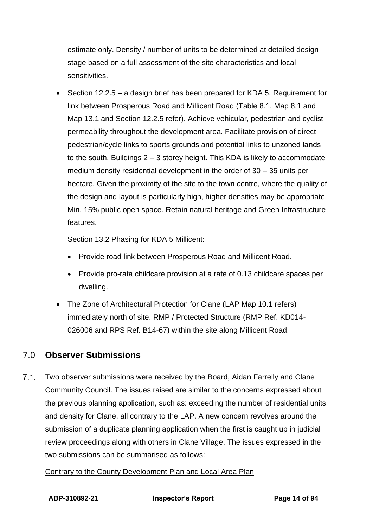estimate only. Density / number of units to be determined at detailed design stage based on a full assessment of the site characteristics and local sensitivities.

• Section 12.2.5 – a design brief has been prepared for KDA 5. Requirement for link between Prosperous Road and Millicent Road (Table 8.1, Map 8.1 and Map 13.1 and Section 12.2.5 refer). Achieve vehicular, pedestrian and cyclist permeability throughout the development area. Facilitate provision of direct pedestrian/cycle links to sports grounds and potential links to unzoned lands to the south. Buildings  $2 - 3$  storey height. This KDA is likely to accommodate medium density residential development in the order of 30 – 35 units per hectare. Given the proximity of the site to the town centre, where the quality of the design and layout is particularly high, higher densities may be appropriate. Min. 15% public open space. Retain natural heritage and Green Infrastructure features.

Section 13.2 Phasing for KDA 5 Millicent:

- Provide road link between Prosperous Road and Millicent Road.
- Provide pro-rata childcare provision at a rate of 0.13 childcare spaces per dwelling.
- The Zone of Architectural Protection for Clane (LAP Map 10.1 refers) immediately north of site. RMP / Protected Structure (RMP Ref. KD014- 026006 and RPS Ref. B14-67) within the site along Millicent Road.

# <span id="page-13-0"></span>7.0 **Observer Submissions**

 $7.1<sub>1</sub>$ Two observer submissions were received by the Board, Aidan Farrelly and Clane Community Council. The issues raised are similar to the concerns expressed about the previous planning application, such as: exceeding the number of residential units and density for Clane, all contrary to the LAP. A new concern revolves around the submission of a duplicate planning application when the first is caught up in judicial review proceedings along with others in Clane Village. The issues expressed in the two submissions can be summarised as follows:

Contrary to the County Development Plan and Local Area Plan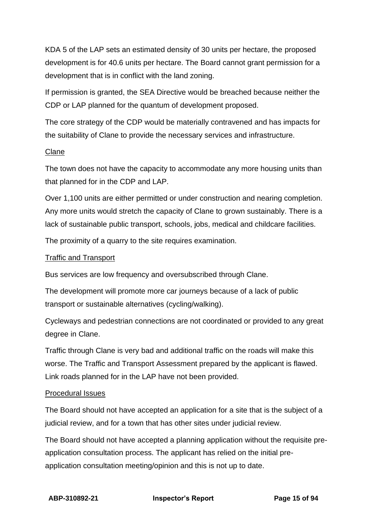KDA 5 of the LAP sets an estimated density of 30 units per hectare, the proposed development is for 40.6 units per hectare. The Board cannot grant permission for a development that is in conflict with the land zoning.

If permission is granted, the SEA Directive would be breached because neither the CDP or LAP planned for the quantum of development proposed.

The core strategy of the CDP would be materially contravened and has impacts for the suitability of Clane to provide the necessary services and infrastructure.

### Clane

The town does not have the capacity to accommodate any more housing units than that planned for in the CDP and LAP.

Over 1,100 units are either permitted or under construction and nearing completion. Any more units would stretch the capacity of Clane to grown sustainably. There is a lack of sustainable public transport, schools, jobs, medical and childcare facilities.

The proximity of a quarry to the site requires examination.

# Traffic and Transport

Bus services are low frequency and oversubscribed through Clane.

The development will promote more car journeys because of a lack of public transport or sustainable alternatives (cycling/walking).

Cycleways and pedestrian connections are not coordinated or provided to any great degree in Clane.

Traffic through Clane is very bad and additional traffic on the roads will make this worse. The Traffic and Transport Assessment prepared by the applicant is flawed. Link roads planned for in the LAP have not been provided.

# Procedural Issues

The Board should not have accepted an application for a site that is the subject of a judicial review, and for a town that has other sites under judicial review.

The Board should not have accepted a planning application without the requisite preapplication consultation process. The applicant has relied on the initial preapplication consultation meeting/opinion and this is not up to date.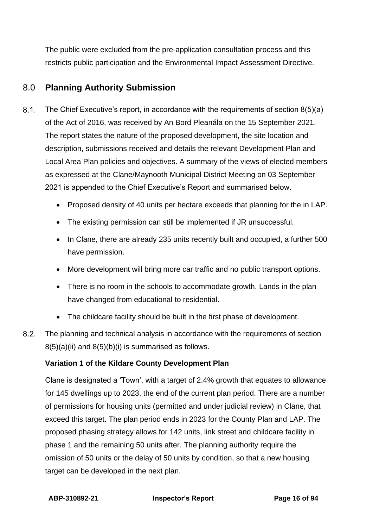The public were excluded from the pre-application consultation process and this restricts public participation and the Environmental Impact Assessment Directive.

# <span id="page-15-0"></span>8.0 **Planning Authority Submission**

- $8.1.$ The Chief Executive's report, in accordance with the requirements of section 8(5)(a) of the Act of 2016, was received by An Bord Pleanála on the 15 September 2021. The report states the nature of the proposed development, the site location and description, submissions received and details the relevant Development Plan and Local Area Plan policies and objectives. A summary of the views of elected members as expressed at the Clane/Maynooth Municipal District Meeting on 03 September 2021 is appended to the Chief Executive's Report and summarised below.
	- Proposed density of 40 units per hectare exceeds that planning for the in LAP.
	- The existing permission can still be implemented if JR unsuccessful.
	- In Clane, there are already 235 units recently built and occupied, a further 500 have permission.
	- More development will bring more car traffic and no public transport options.
	- There is no room in the schools to accommodate growth. Lands in the plan have changed from educational to residential.
	- The childcare facility should be built in the first phase of development.
- $8.2.$ The planning and technical analysis in accordance with the requirements of section  $8(5)(a)(ii)$  and  $8(5)(b)(i)$  is summarised as follows.

# **Variation 1 of the Kildare County Development Plan**

Clane is designated a 'Town', with a target of 2.4% growth that equates to allowance for 145 dwellings up to 2023, the end of the current plan period. There are a number of permissions for housing units (permitted and under judicial review) in Clane, that exceed this target. The plan period ends in 2023 for the County Plan and LAP. The proposed phasing strategy allows for 142 units, link street and childcare facility in phase 1 and the remaining 50 units after. The planning authority require the omission of 50 units or the delay of 50 units by condition, so that a new housing target can be developed in the next plan.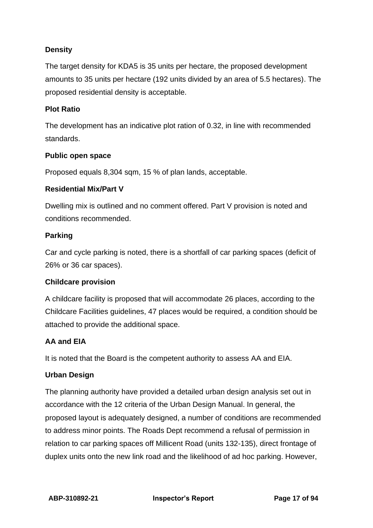# **Density**

The target density for KDA5 is 35 units per hectare, the proposed development amounts to 35 units per hectare (192 units divided by an area of 5.5 hectares). The proposed residential density is acceptable.

## **Plot Ratio**

The development has an indicative plot ration of 0.32, in line with recommended standards.

## **Public open space**

Proposed equals 8,304 sqm, 15 % of plan lands, acceptable.

## **Residential Mix/Part V**

Dwelling mix is outlined and no comment offered. Part V provision is noted and conditions recommended.

## **Parking**

Car and cycle parking is noted, there is a shortfall of car parking spaces (deficit of 26% or 36 car spaces).

# **Childcare provision**

A childcare facility is proposed that will accommodate 26 places, according to the Childcare Facilities guidelines, 47 places would be required, a condition should be attached to provide the additional space.

# **AA and EIA**

It is noted that the Board is the competent authority to assess AA and EIA.

### **Urban Design**

The planning authority have provided a detailed urban design analysis set out in accordance with the 12 criteria of the Urban Design Manual. In general, the proposed layout is adequately designed, a number of conditions are recommended to address minor points. The Roads Dept recommend a refusal of permission in relation to car parking spaces off Millicent Road (units 132-135), direct frontage of duplex units onto the new link road and the likelihood of ad hoc parking. However,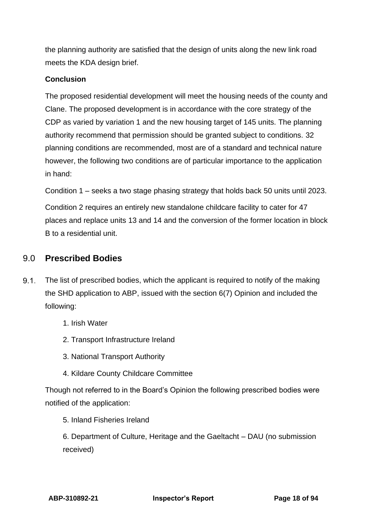the planning authority are satisfied that the design of units along the new link road meets the KDA design brief.

# **Conclusion**

The proposed residential development will meet the housing needs of the county and Clane. The proposed development is in accordance with the core strategy of the CDP as varied by variation 1 and the new housing target of 145 units. The planning authority recommend that permission should be granted subject to conditions. 32 planning conditions are recommended, most are of a standard and technical nature however, the following two conditions are of particular importance to the application in hand:

Condition 1 – seeks a two stage phasing strategy that holds back 50 units until 2023.

Condition 2 requires an entirely new standalone childcare facility to cater for 47 places and replace units 13 and 14 and the conversion of the former location in block B to a residential unit.

# <span id="page-17-0"></span>9.0 **Prescribed Bodies**

- $9.1.$ The list of prescribed bodies, which the applicant is required to notify of the making the SHD application to ABP, issued with the section 6(7) Opinion and included the following:
	- 1. Irish Water
	- 2. Transport Infrastructure Ireland
	- 3. National Transport Authority
	- 4. Kildare County Childcare Committee

Though not referred to in the Board's Opinion the following prescribed bodies were notified of the application:

5. Inland Fisheries Ireland

6. Department of Culture, Heritage and the Gaeltacht – DAU (no submission received)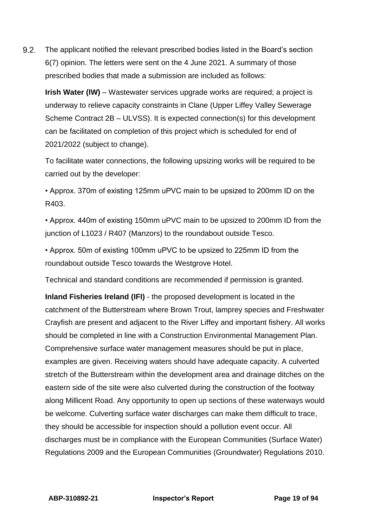$9.2.$ The applicant notified the relevant prescribed bodies listed in the Board's section 6(7) opinion. The letters were sent on the 4 June 2021. A summary of those prescribed bodies that made a submission are included as follows:

**Irish Water (IW)** – Wastewater services upgrade works are required; a project is underway to relieve capacity constraints in Clane (Upper Liffey Valley Sewerage Scheme Contract 2B – ULVSS). It is expected connection(s) for this development can be facilitated on completion of this project which is scheduled for end of 2021/2022 (subject to change).

To facilitate water connections, the following upsizing works will be required to be carried out by the developer:

• Approx. 370m of existing 125mm uPVC main to be upsized to 200mm ID on the R403.

• Approx. 440m of existing 150mm uPVC main to be upsized to 200mm ID from the junction of L1023 / R407 (Manzors) to the roundabout outside Tesco.

• Approx. 50m of existing 100mm uPVC to be upsized to 225mm ID from the roundabout outside Tesco towards the Westgrove Hotel.

Technical and standard conditions are recommended if permission is granted.

**Inland Fisheries Ireland (IFI)** - the proposed development is located in the catchment of the Butterstream where Brown Trout, lamprey species and Freshwater Crayfish are present and adjacent to the River Liffey and important fishery. All works should be completed in line with a Construction Environmental Management Plan. Comprehensive surface water management measures should be put in place, examples are given. Receiving waters should have adequate capacity. A culverted stretch of the Butterstream within the development area and drainage ditches on the eastern side of the site were also culverted during the construction of the footway along Millicent Road. Any opportunity to open up sections of these waterways would be welcome. Culverting surface water discharges can make them difficult to trace, they should be accessible for inspection should a pollution event occur. All discharges must be in compliance with the European Communities (Surface Water) Regulations 2009 and the European Communities (Groundwater) Regulations 2010.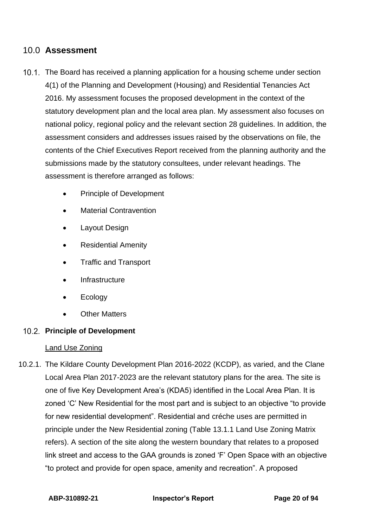# <span id="page-19-0"></span>10.0 **Assessment**

- 10.1. The Board has received a planning application for a housing scheme under section 4(1) of the Planning and Development (Housing) and Residential Tenancies Act 2016. My assessment focuses the proposed development in the context of the statutory development plan and the local area plan. My assessment also focuses on national policy, regional policy and the relevant section 28 guidelines. In addition, the assessment considers and addresses issues raised by the observations on file, the contents of the Chief Executives Report received from the planning authority and the submissions made by the statutory consultees, under relevant headings. The assessment is therefore arranged as follows:
	- Principle of Development
	- **Material Contravention**
	- Layout Design
	- Residential Amenity
	- Traffic and Transport
	- **Infrastructure**
	- **Ecology**
	- **Other Matters**

### **Principle of Development**

### Land Use Zoning

10.2.1. The Kildare County Development Plan 2016-2022 (KCDP), as varied, and the Clane Local Area Plan 2017-2023 are the relevant statutory plans for the area. The site is one of five Key Development Area's (KDA5) identified in the Local Area Plan. It is zoned 'C' New Residential for the most part and is subject to an objective "to provide for new residential development". Residential and créche uses are permitted in principle under the New Residential zoning (Table 13.1.1 Land Use Zoning Matrix refers). A section of the site along the western boundary that relates to a proposed link street and access to the GAA grounds is zoned 'F' Open Space with an objective "to protect and provide for open space, amenity and recreation". A proposed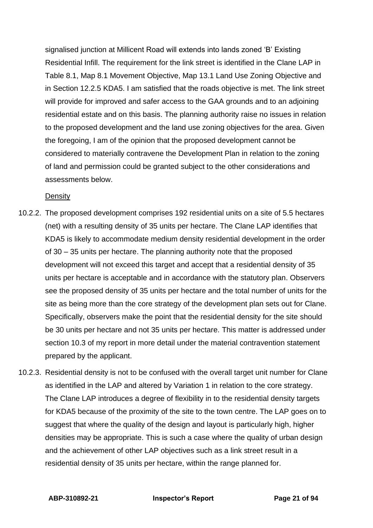signalised junction at Millicent Road will extends into lands zoned 'B' Existing Residential Infill. The requirement for the link street is identified in the Clane LAP in Table 8.1, Map 8.1 Movement Objective, Map 13.1 Land Use Zoning Objective and in Section 12.2.5 KDA5. I am satisfied that the roads objective is met. The link street will provide for improved and safer access to the GAA grounds and to an adjoining residential estate and on this basis. The planning authority raise no issues in relation to the proposed development and the land use zoning objectives for the area. Given the foregoing, I am of the opinion that the proposed development cannot be considered to materially contravene the Development Plan in relation to the zoning of land and permission could be granted subject to the other considerations and assessments below.

**Density** 

- 10.2.2. The proposed development comprises 192 residential units on a site of 5.5 hectares (net) with a resulting density of 35 units per hectare. The Clane LAP identifies that KDA5 is likely to accommodate medium density residential development in the order of 30 – 35 units per hectare. The planning authority note that the proposed development will not exceed this target and accept that a residential density of 35 units per hectare is acceptable and in accordance with the statutory plan. Observers see the proposed density of 35 units per hectare and the total number of units for the site as being more than the core strategy of the development plan sets out for Clane. Specifically, observers make the point that the residential density for the site should be 30 units per hectare and not 35 units per hectare. This matter is addressed under section 10.3 of my report in more detail under the material contravention statement prepared by the applicant.
- 10.2.3. Residential density is not to be confused with the overall target unit number for Clane as identified in the LAP and altered by Variation 1 in relation to the core strategy. The Clane LAP introduces a degree of flexibility in to the residential density targets for KDA5 because of the proximity of the site to the town centre. The LAP goes on to suggest that where the quality of the design and layout is particularly high, higher densities may be appropriate. This is such a case where the quality of urban design and the achievement of other LAP objectives such as a link street result in a residential density of 35 units per hectare, within the range planned for.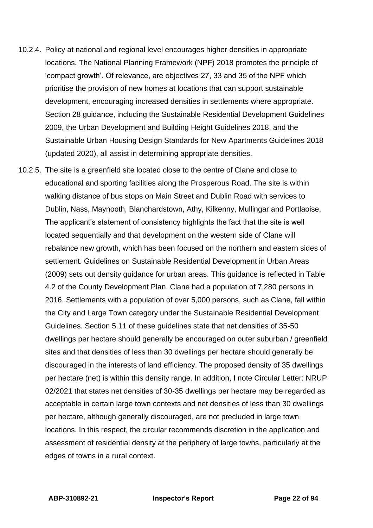- 10.2.4. Policy at national and regional level encourages higher densities in appropriate locations. The National Planning Framework (NPF) 2018 promotes the principle of 'compact growth'. Of relevance, are objectives 27, 33 and 35 of the NPF which prioritise the provision of new homes at locations that can support sustainable development, encouraging increased densities in settlements where appropriate. Section 28 guidance, including the Sustainable Residential Development Guidelines 2009, the Urban Development and Building Height Guidelines 2018, and the Sustainable Urban Housing Design Standards for New Apartments Guidelines 2018 (updated 2020), all assist in determining appropriate densities.
- 10.2.5. The site is a greenfield site located close to the centre of Clane and close to educational and sporting facilities along the Prosperous Road. The site is within walking distance of bus stops on Main Street and Dublin Road with services to Dublin, Nass, Maynooth, Blanchardstown, Athy, Kilkenny, Mullingar and Portlaoise. The applicant's statement of consistency highlights the fact that the site is well located sequentially and that development on the western side of Clane will rebalance new growth, which has been focused on the northern and eastern sides of settlement. Guidelines on Sustainable Residential Development in Urban Areas (2009) sets out density guidance for urban areas. This guidance is reflected in Table 4.2 of the County Development Plan. Clane had a population of 7,280 persons in 2016. Settlements with a population of over 5,000 persons, such as Clane, fall within the City and Large Town category under the Sustainable Residential Development Guidelines. Section 5.11 of these guidelines state that net densities of 35-50 dwellings per hectare should generally be encouraged on outer suburban / greenfield sites and that densities of less than 30 dwellings per hectare should generally be discouraged in the interests of land efficiency. The proposed density of 35 dwellings per hectare (net) is within this density range. In addition, I note Circular Letter: NRUP 02/2021 that states net densities of 30-35 dwellings per hectare may be regarded as acceptable in certain large town contexts and net densities of less than 30 dwellings per hectare, although generally discouraged, are not precluded in large town locations. In this respect, the circular recommends discretion in the application and assessment of residential density at the periphery of large towns, particularly at the edges of towns in a rural context.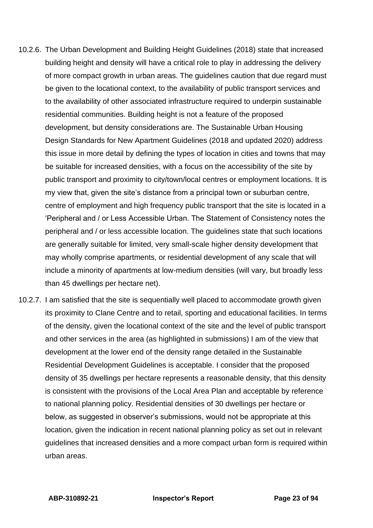- 10.2.6. The Urban Development and Building Height Guidelines (2018) state that increased building height and density will have a critical role to play in addressing the delivery of more compact growth in urban areas. The guidelines caution that due regard must be given to the locational context, to the availability of public transport services and to the availability of other associated infrastructure required to underpin sustainable residential communities. Building height is not a feature of the proposed development, but density considerations are. The Sustainable Urban Housing Design Standards for New Apartment Guidelines (2018 and updated 2020) address this issue in more detail by defining the types of location in cities and towns that may be suitable for increased densities, with a focus on the accessibility of the site by public transport and proximity to city/town/local centres or employment locations. It is my view that, given the site's distance from a principal town or suburban centre, centre of employment and high frequency public transport that the site is located in a 'Peripheral and / or Less Accessible Urban. The Statement of Consistency notes the peripheral and / or less accessible location. The guidelines state that such locations are generally suitable for limited, very small-scale higher density development that may wholly comprise apartments, or residential development of any scale that will include a minority of apartments at low-medium densities (will vary, but broadly less than 45 dwellings per hectare net).
- 10.2.7. I am satisfied that the site is sequentially well placed to accommodate growth given its proximity to Clane Centre and to retail, sporting and educational facilities. In terms of the density, given the locational context of the site and the level of public transport and other services in the area (as highlighted in submissions) I am of the view that development at the lower end of the density range detailed in the Sustainable Residential Development Guidelines is acceptable. I consider that the proposed density of 35 dwellings per hectare represents a reasonable density, that this density is consistent with the provisions of the Local Area Plan and acceptable by reference to national planning policy. Residential densities of 30 dwellings per hectare or below, as suggested in observer's submissions, would not be appropriate at this location, given the indication in recent national planning policy as set out in relevant guidelines that increased densities and a more compact urban form is required within urban areas.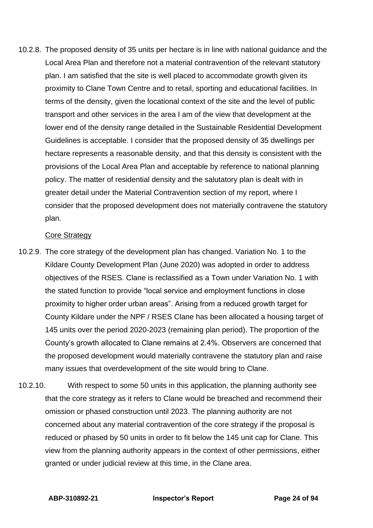10.2.8. The proposed density of 35 units per hectare is in line with national guidance and the Local Area Plan and therefore not a material contravention of the relevant statutory plan. I am satisfied that the site is well placed to accommodate growth given its proximity to Clane Town Centre and to retail, sporting and educational facilities. In terms of the density, given the locational context of the site and the level of public transport and other services in the area I am of the view that development at the lower end of the density range detailed in the Sustainable Residential Development Guidelines is acceptable. I consider that the proposed density of 35 dwellings per hectare represents a reasonable density, and that this density is consistent with the provisions of the Local Area Plan and acceptable by reference to national planning policy. The matter of residential density and the salutatory plan is dealt with in greater detail under the Material Contravention section of my report, where I consider that the proposed development does not materially contravene the statutory plan.

#### Core Strategy

- 10.2.9. The core strategy of the development plan has changed. Variation No. 1 to the Kildare County Development Plan (June 2020) was adopted in order to address objectives of the RSES. Clane is reclassified as a Town under Variation No. 1 with the stated function to provide "local service and employment functions in close proximity to higher order urban areas". Arising from a reduced growth target for County Kildare under the NPF / RSES Clane has been allocated a housing target of 145 units over the period 2020-2023 (remaining plan period). The proportion of the County's growth allocated to Clane remains at 2.4%. Observers are concerned that the proposed development would materially contravene the statutory plan and raise many issues that overdevelopment of the site would bring to Clane.
- 10.2.10. With respect to some 50 units in this application, the planning authority see that the core strategy as it refers to Clane would be breached and recommend their omission or phased construction until 2023. The planning authority are not concerned about any material contravention of the core strategy if the proposal is reduced or phased by 50 units in order to fit below the 145 unit cap for Clane. This view from the planning authority appears in the context of other permissions, either granted or under judicial review at this time, in the Clane area.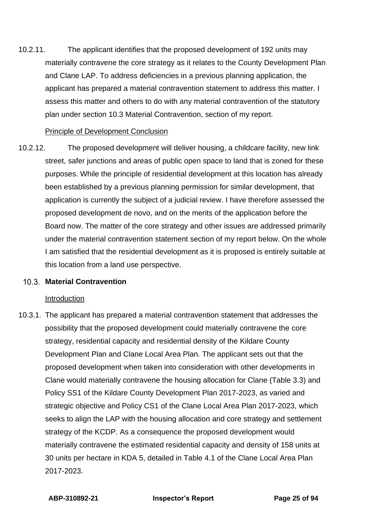10.2.11. The applicant identifies that the proposed development of 192 units may materially contravene the core strategy as it relates to the County Development Plan and Clane LAP. To address deficiencies in a previous planning application, the applicant has prepared a material contravention statement to address this matter. I assess this matter and others to do with any material contravention of the statutory plan under section 10.3 Material Contravention, section of my report.

#### Principle of Development Conclusion

10.2.12. The proposed development will deliver housing, a childcare facility, new link street, safer junctions and areas of public open space to land that is zoned for these purposes. While the principle of residential development at this location has already been established by a previous planning permission for similar development, that application is currently the subject of a judicial review. I have therefore assessed the proposed development de novo, and on the merits of the application before the Board now. The matter of the core strategy and other issues are addressed primarily under the material contravention statement section of my report below. On the whole I am satisfied that the residential development as it is proposed is entirely suitable at this location from a land use perspective.

### **Material Contravention**

#### Introduction

10.3.1. The applicant has prepared a material contravention statement that addresses the possibility that the proposed development could materially contravene the core strategy, residential capacity and residential density of the Kildare County Development Plan and Clane Local Area Plan. The applicant sets out that the proposed development when taken into consideration with other developments in Clane would materially contravene the housing allocation for Clane (Table 3.3) and Policy SS1 of the Kildare County Development Plan 2017-2023, as varied and strategic objective and Policy CS1 of the Clane Local Area Plan 2017-2023, which seeks to align the LAP with the housing allocation and core strategy and settlement strategy of the KCDP. As a consequence the proposed development would materially contravene the estimated residential capacity and density of 158 units at 30 units per hectare in KDA 5, detailed in Table 4.1 of the Clane Local Area Plan 2017-2023.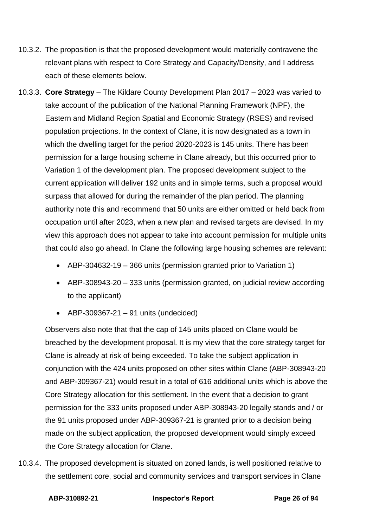- 10.3.2. The proposition is that the proposed development would materially contravene the relevant plans with respect to Core Strategy and Capacity/Density, and I address each of these elements below.
- 10.3.3. **Core Strategy** The Kildare County Development Plan 2017 2023 was varied to take account of the publication of the National Planning Framework (NPF), the Eastern and Midland Region Spatial and Economic Strategy (RSES) and revised population projections. In the context of Clane, it is now designated as a town in which the dwelling target for the period 2020-2023 is 145 units. There has been permission for a large housing scheme in Clane already, but this occurred prior to Variation 1 of the development plan. The proposed development subject to the current application will deliver 192 units and in simple terms, such a proposal would surpass that allowed for during the remainder of the plan period. The planning authority note this and recommend that 50 units are either omitted or held back from occupation until after 2023, when a new plan and revised targets are devised. In my view this approach does not appear to take into account permission for multiple units that could also go ahead. In Clane the following large housing schemes are relevant:
	- ABP-304632-19 366 units (permission granted prior to Variation 1)
	- ABP-308943-20 333 units (permission granted, on judicial review according to the applicant)
	- ABP-309367-21 91 units (undecided)

Observers also note that that the cap of 145 units placed on Clane would be breached by the development proposal. It is my view that the core strategy target for Clane is already at risk of being exceeded. To take the subject application in conjunction with the 424 units proposed on other sites within Clane (ABP-308943-20 and ABP-309367-21) would result in a total of 616 additional units which is above the Core Strategy allocation for this settlement. In the event that a decision to grant permission for the 333 units proposed under ABP-308943-20 legally stands and / or the 91 units proposed under ABP-309367-21 is granted prior to a decision being made on the subject application, the proposed development would simply exceed the Core Strategy allocation for Clane.

10.3.4. The proposed development is situated on zoned lands, is well positioned relative to the settlement core, social and community services and transport services in Clane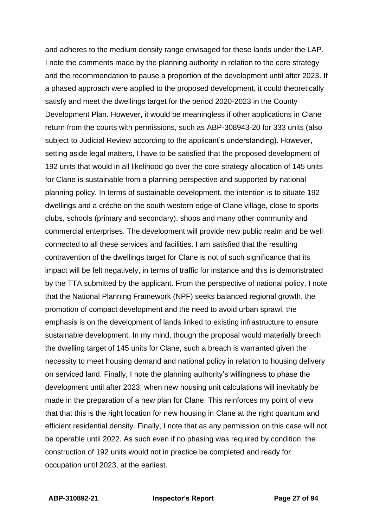and adheres to the medium density range envisaged for these lands under the LAP. I note the comments made by the planning authority in relation to the core strategy and the recommendation to pause a proportion of the development until after 2023. If a phased approach were applied to the proposed development, it could theoretically satisfy and meet the dwellings target for the period 2020-2023 in the County Development Plan. However, it would be meaningless if other applications in Clane return from the courts with permissions, such as ABP-308943-20 for 333 units (also subject to Judicial Review according to the applicant's understanding). However, setting aside legal matters, I have to be satisfied that the proposed development of 192 units that would in all likelihood go over the core strategy allocation of 145 units for Clane is sustainable from a planning perspective and supported by national planning policy. In terms of sustainable development, the intention is to situate 192 dwellings and a créche on the south western edge of Clane village, close to sports clubs, schools (primary and secondary), shops and many other community and commercial enterprises. The development will provide new public realm and be well connected to all these services and facilities. I am satisfied that the resulting contravention of the dwellings target for Clane is not of such significance that its impact will be felt negatively, in terms of traffic for instance and this is demonstrated by the TTA submitted by the applicant. From the perspective of national policy, I note that the National Planning Framework (NPF) seeks balanced regional growth, the promotion of compact development and the need to avoid urban sprawl, the emphasis is on the development of lands linked to existing infrastructure to ensure sustainable development. In my mind, though the proposal would materially breech the dwelling target of 145 units for Clane, such a breach is warranted given the necessity to meet housing demand and national policy in relation to housing delivery on serviced land. Finally, I note the planning authority's willingness to phase the development until after 2023, when new housing unit calculations will inevitably be made in the preparation of a new plan for Clane. This reinforces my point of view that that this is the right location for new housing in Clane at the right quantum and efficient residential density. Finally, I note that as any permission on this case will not be operable until 2022. As such even if no phasing was required by condition, the construction of 192 units would not in practice be completed and ready for occupation until 2023, at the earliest.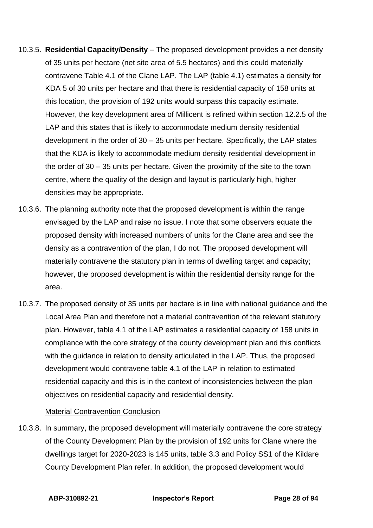- 10.3.5. **Residential Capacity/Density** The proposed development provides a net density of 35 units per hectare (net site area of 5.5 hectares) and this could materially contravene Table 4.1 of the Clane LAP. The LAP (table 4.1) estimates a density for KDA 5 of 30 units per hectare and that there is residential capacity of 158 units at this location, the provision of 192 units would surpass this capacity estimate. However, the key development area of Millicent is refined within section 12.2.5 of the LAP and this states that is likely to accommodate medium density residential development in the order of 30 – 35 units per hectare. Specifically, the LAP states that the KDA is likely to accommodate medium density residential development in the order of 30 – 35 units per hectare. Given the proximity of the site to the town centre, where the quality of the design and layout is particularly high, higher densities may be appropriate.
- 10.3.6. The planning authority note that the proposed development is within the range envisaged by the LAP and raise no issue. I note that some observers equate the proposed density with increased numbers of units for the Clane area and see the density as a contravention of the plan, I do not. The proposed development will materially contravene the statutory plan in terms of dwelling target and capacity; however, the proposed development is within the residential density range for the area.
- 10.3.7. The proposed density of 35 units per hectare is in line with national guidance and the Local Area Plan and therefore not a material contravention of the relevant statutory plan. However, table 4.1 of the LAP estimates a residential capacity of 158 units in compliance with the core strategy of the county development plan and this conflicts with the guidance in relation to density articulated in the LAP. Thus, the proposed development would contravene table 4.1 of the LAP in relation to estimated residential capacity and this is in the context of inconsistencies between the plan objectives on residential capacity and residential density.

### Material Contravention Conclusion

10.3.8. In summary, the proposed development will materially contravene the core strategy of the County Development Plan by the provision of 192 units for Clane where the dwellings target for 2020-2023 is 145 units, table 3.3 and Policy SS1 of the Kildare County Development Plan refer. In addition, the proposed development would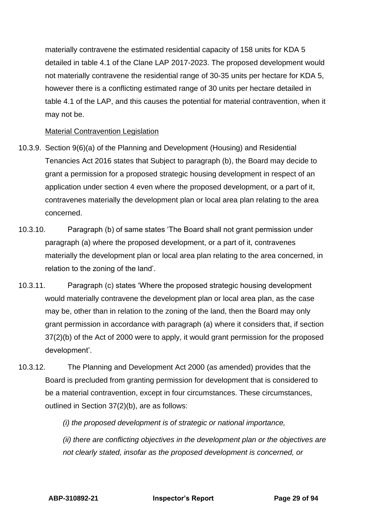materially contravene the estimated residential capacity of 158 units for KDA 5 detailed in table 4.1 of the Clane LAP 2017-2023. The proposed development would not materially contravene the residential range of 30-35 units per hectare for KDA 5, however there is a conflicting estimated range of 30 units per hectare detailed in table 4.1 of the LAP, and this causes the potential for material contravention, when it may not be.

### Material Contravention Legislation

- 10.3.9. Section 9(6)(a) of the Planning and Development (Housing) and Residential Tenancies Act 2016 states that Subject to paragraph (b), the Board may decide to grant a permission for a proposed strategic housing development in respect of an application under section 4 even where the proposed development, or a part of it, contravenes materially the development plan or local area plan relating to the area concerned.
- 10.3.10. Paragraph (b) of same states 'The Board shall not grant permission under paragraph (a) where the proposed development, or a part of it, contravenes materially the development plan or local area plan relating to the area concerned, in relation to the zoning of the land'.
- 10.3.11. Paragraph (c) states 'Where the proposed strategic housing development would materially contravene the development plan or local area plan, as the case may be, other than in relation to the zoning of the land, then the Board may only grant permission in accordance with paragraph (a) where it considers that, if section 37(2)(b) of the Act of 2000 were to apply, it would grant permission for the proposed development'.
- 10.3.12. The Planning and Development Act 2000 (as amended) provides that the Board is precluded from granting permission for development that is considered to be a material contravention, except in four circumstances. These circumstances, outlined in Section 37(2)(b), are as follows:

*(i) the proposed development is of strategic or national importance,*

*(ii) there are conflicting objectives in the development plan or the objectives are not clearly stated, insofar as the proposed development is concerned, or*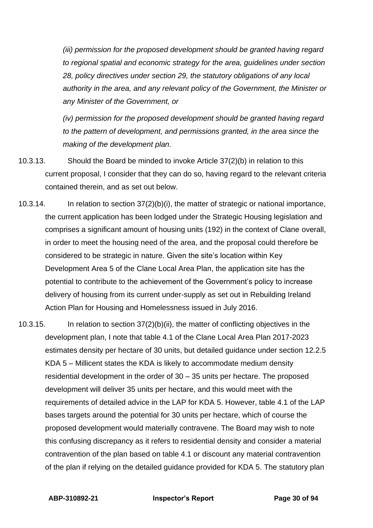*(iii) permission for the proposed development should be granted having regard to regional spatial and economic strategy for the area, guidelines under section 28, policy directives under section 29, the statutory obligations of any local authority in the area, and any relevant policy of the Government, the Minister or any Minister of the Government, or*

*(iv) permission for the proposed development should be granted having regard to the pattern of development, and permissions granted, in the area since the making of the development plan.*

- 10.3.13. Should the Board be minded to invoke Article 37(2)(b) in relation to this current proposal, I consider that they can do so, having regard to the relevant criteria contained therein, and as set out below.
- 10.3.14. In relation to section 37(2)(b)(i), the matter of strategic or national importance, the current application has been lodged under the Strategic Housing legislation and comprises a significant amount of housing units (192) in the context of Clane overall, in order to meet the housing need of the area, and the proposal could therefore be considered to be strategic in nature. Given the site's location within Key Development Area 5 of the Clane Local Area Plan, the application site has the potential to contribute to the achievement of the Government's policy to increase delivery of housing from its current under-supply as set out in Rebuilding Ireland Action Plan for Housing and Homelessness issued in July 2016.
- 10.3.15. In relation to section 37(2)(b)(ii), the matter of conflicting objectives in the development plan, I note that table 4.1 of the Clane Local Area Plan 2017-2023 estimates density per hectare of 30 units, but detailed guidance under section 12.2.5 KDA 5 – Millicent states the KDA is likely to accommodate medium density residential development in the order of 30 – 35 units per hectare. The proposed development will deliver 35 units per hectare, and this would meet with the requirements of detailed advice in the LAP for KDA 5. However, table 4.1 of the LAP bases targets around the potential for 30 units per hectare, which of course the proposed development would materially contravene. The Board may wish to note this confusing discrepancy as it refers to residential density and consider a material contravention of the plan based on table 4.1 or discount any material contravention of the plan if relying on the detailed guidance provided for KDA 5. The statutory plan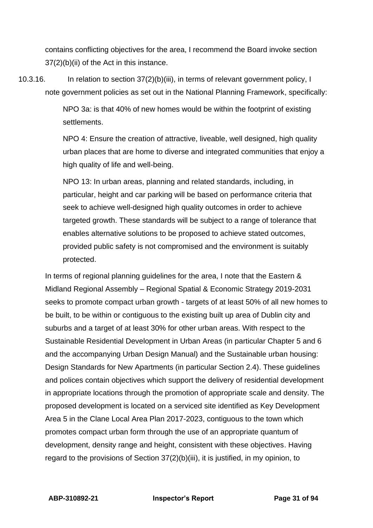contains conflicting objectives for the area, I recommend the Board invoke section 37(2)(b)(ii) of the Act in this instance.

10.3.16. In relation to section 37(2)(b)(iii), in terms of relevant government policy, I note government policies as set out in the National Planning Framework, specifically:

> NPO 3a: is that 40% of new homes would be within the footprint of existing settlements.

NPO 4: Ensure the creation of attractive, liveable, well designed, high quality urban places that are home to diverse and integrated communities that enjoy a high quality of life and well-being.

NPO 13: In urban areas, planning and related standards, including, in particular, height and car parking will be based on performance criteria that seek to achieve well-designed high quality outcomes in order to achieve targeted growth. These standards will be subject to a range of tolerance that enables alternative solutions to be proposed to achieve stated outcomes, provided public safety is not compromised and the environment is suitably protected.

In terms of regional planning guidelines for the area, I note that the Eastern & Midland Regional Assembly – Regional Spatial & Economic Strategy 2019-2031 seeks to promote compact urban growth - targets of at least 50% of all new homes to be built, to be within or contiguous to the existing built up area of Dublin city and suburbs and a target of at least 30% for other urban areas. With respect to the Sustainable Residential Development in Urban Areas (in particular Chapter 5 and 6 and the accompanying Urban Design Manual) and the Sustainable urban housing: Design Standards for New Apartments (in particular Section 2.4). These guidelines and polices contain objectives which support the delivery of residential development in appropriate locations through the promotion of appropriate scale and density. The proposed development is located on a serviced site identified as Key Development Area 5 in the Clane Local Area Plan 2017-2023, contiguous to the town which promotes compact urban form through the use of an appropriate quantum of development, density range and height, consistent with these objectives. Having regard to the provisions of Section 37(2)(b)(iii), it is justified, in my opinion, to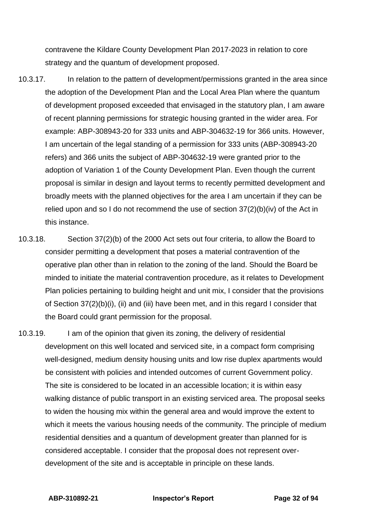contravene the Kildare County Development Plan 2017-2023 in relation to core strategy and the quantum of development proposed.

- 10.3.17. In relation to the pattern of development/permissions granted in the area since the adoption of the Development Plan and the Local Area Plan where the quantum of development proposed exceeded that envisaged in the statutory plan, I am aware of recent planning permissions for strategic housing granted in the wider area. For example: ABP-308943-20 for 333 units and ABP-304632-19 for 366 units. However, I am uncertain of the legal standing of a permission for 333 units (ABP-308943-20 refers) and 366 units the subject of ABP-304632-19 were granted prior to the adoption of Variation 1 of the County Development Plan. Even though the current proposal is similar in design and layout terms to recently permitted development and broadly meets with the planned objectives for the area I am uncertain if they can be relied upon and so I do not recommend the use of section 37(2)(b)(iv) of the Act in this instance.
- 10.3.18. Section 37(2)(b) of the 2000 Act sets out four criteria, to allow the Board to consider permitting a development that poses a material contravention of the operative plan other than in relation to the zoning of the land. Should the Board be minded to initiate the material contravention procedure, as it relates to Development Plan policies pertaining to building height and unit mix, I consider that the provisions of Section 37(2)(b)(i), (ii) and (iii) have been met, and in this regard I consider that the Board could grant permission for the proposal.
- 10.3.19. I am of the opinion that given its zoning, the delivery of residential development on this well located and serviced site, in a compact form comprising well-designed, medium density housing units and low rise duplex apartments would be consistent with policies and intended outcomes of current Government policy. The site is considered to be located in an accessible location; it is within easy walking distance of public transport in an existing serviced area. The proposal seeks to widen the housing mix within the general area and would improve the extent to which it meets the various housing needs of the community. The principle of medium residential densities and a quantum of development greater than planned for is considered acceptable. I consider that the proposal does not represent overdevelopment of the site and is acceptable in principle on these lands.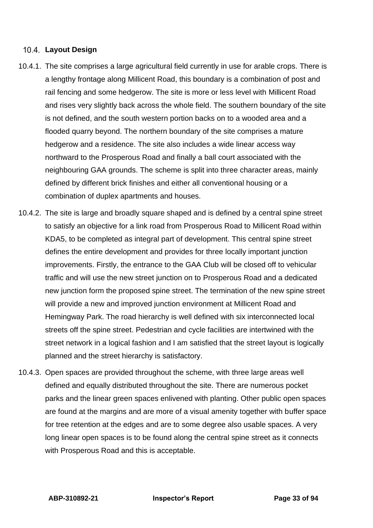### **Layout Design**

- 10.4.1. The site comprises a large agricultural field currently in use for arable crops. There is a lengthy frontage along Millicent Road, this boundary is a combination of post and rail fencing and some hedgerow. The site is more or less level with Millicent Road and rises very slightly back across the whole field. The southern boundary of the site is not defined, and the south western portion backs on to a wooded area and a flooded quarry beyond. The northern boundary of the site comprises a mature hedgerow and a residence. The site also includes a wide linear access way northward to the Prosperous Road and finally a ball court associated with the neighbouring GAA grounds. The scheme is split into three character areas, mainly defined by different brick finishes and either all conventional housing or a combination of duplex apartments and houses.
- 10.4.2. The site is large and broadly square shaped and is defined by a central spine street to satisfy an objective for a link road from Prosperous Road to Millicent Road within KDA5, to be completed as integral part of development. This central spine street defines the entire development and provides for three locally important junction improvements. Firstly, the entrance to the GAA Club will be closed off to vehicular traffic and will use the new street junction on to Prosperous Road and a dedicated new junction form the proposed spine street. The termination of the new spine street will provide a new and improved junction environment at Millicent Road and Hemingway Park. The road hierarchy is well defined with six interconnected local streets off the spine street. Pedestrian and cycle facilities are intertwined with the street network in a logical fashion and I am satisfied that the street layout is logically planned and the street hierarchy is satisfactory.
- 10.4.3. Open spaces are provided throughout the scheme, with three large areas well defined and equally distributed throughout the site. There are numerous pocket parks and the linear green spaces enlivened with planting. Other public open spaces are found at the margins and are more of a visual amenity together with buffer space for tree retention at the edges and are to some degree also usable spaces. A very long linear open spaces is to be found along the central spine street as it connects with Prosperous Road and this is acceptable.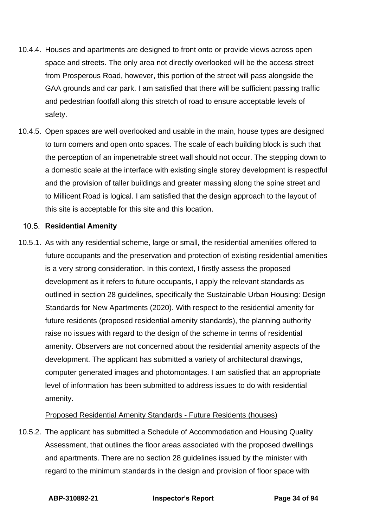- 10.4.4. Houses and apartments are designed to front onto or provide views across open space and streets. The only area not directly overlooked will be the access street from Prosperous Road, however, this portion of the street will pass alongside the GAA grounds and car park. I am satisfied that there will be sufficient passing traffic and pedestrian footfall along this stretch of road to ensure acceptable levels of safety.
- 10.4.5. Open spaces are well overlooked and usable in the main, house types are designed to turn corners and open onto spaces. The scale of each building block is such that the perception of an impenetrable street wall should not occur. The stepping down to a domestic scale at the interface with existing single storey development is respectful and the provision of taller buildings and greater massing along the spine street and to Millicent Road is logical. I am satisfied that the design approach to the layout of this site is acceptable for this site and this location.

### 10.5. Residential Amenity

10.5.1. As with any residential scheme, large or small, the residential amenities offered to future occupants and the preservation and protection of existing residential amenities is a very strong consideration. In this context, I firstly assess the proposed development as it refers to future occupants, I apply the relevant standards as outlined in section 28 guidelines, specifically the Sustainable Urban Housing: Design Standards for New Apartments (2020). With respect to the residential amenity for future residents (proposed residential amenity standards), the planning authority raise no issues with regard to the design of the scheme in terms of residential amenity. Observers are not concerned about the residential amenity aspects of the development. The applicant has submitted a variety of architectural drawings, computer generated images and photomontages. I am satisfied that an appropriate level of information has been submitted to address issues to do with residential amenity.

# Proposed Residential Amenity Standards - Future Residents (houses)

10.5.2. The applicant has submitted a Schedule of Accommodation and Housing Quality Assessment, that outlines the floor areas associated with the proposed dwellings and apartments. There are no section 28 guidelines issued by the minister with regard to the minimum standards in the design and provision of floor space with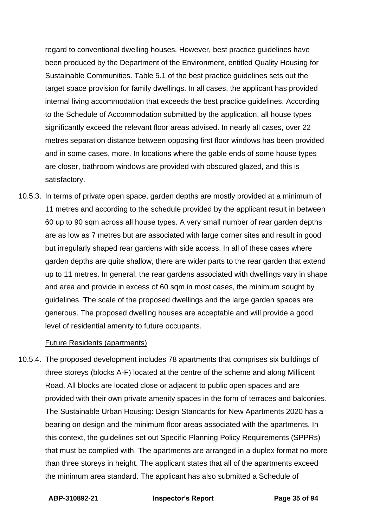regard to conventional dwelling houses. However, best practice guidelines have been produced by the Department of the Environment, entitled Quality Housing for Sustainable Communities. Table 5.1 of the best practice guidelines sets out the target space provision for family dwellings. In all cases, the applicant has provided internal living accommodation that exceeds the best practice guidelines. According to the Schedule of Accommodation submitted by the application, all house types significantly exceed the relevant floor areas advised. In nearly all cases, over 22 metres separation distance between opposing first floor windows has been provided and in some cases, more. In locations where the gable ends of some house types are closer, bathroom windows are provided with obscured glazed, and this is satisfactory.

10.5.3. In terms of private open space, garden depths are mostly provided at a minimum of 11 metres and according to the schedule provided by the applicant result in between 60 up to 90 sqm across all house types. A very small number of rear garden depths are as low as 7 metres but are associated with large corner sites and result in good but irregularly shaped rear gardens with side access. In all of these cases where garden depths are quite shallow, there are wider parts to the rear garden that extend up to 11 metres. In general, the rear gardens associated with dwellings vary in shape and area and provide in excess of 60 sqm in most cases, the minimum sought by guidelines. The scale of the proposed dwellings and the large garden spaces are generous. The proposed dwelling houses are acceptable and will provide a good level of residential amenity to future occupants.

### Future Residents (apartments)

10.5.4. The proposed development includes 78 apartments that comprises six buildings of three storeys (blocks A-F) located at the centre of the scheme and along Millicent Road. All blocks are located close or adjacent to public open spaces and are provided with their own private amenity spaces in the form of terraces and balconies. The Sustainable Urban Housing: Design Standards for New Apartments 2020 has a bearing on design and the minimum floor areas associated with the apartments. In this context, the guidelines set out Specific Planning Policy Requirements (SPPRs) that must be complied with. The apartments are arranged in a duplex format no more than three storeys in height. The applicant states that all of the apartments exceed the minimum area standard. The applicant has also submitted a Schedule of

**ABP-310892-21 Inspector's Report Page 35 of 94**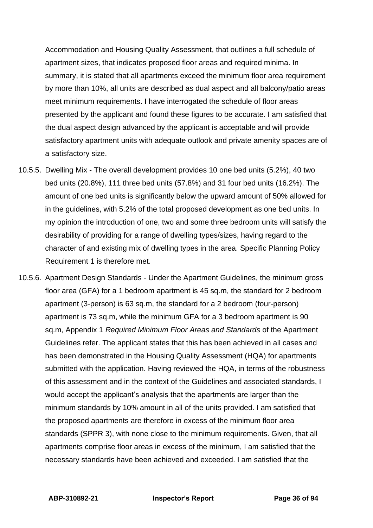Accommodation and Housing Quality Assessment, that outlines a full schedule of apartment sizes, that indicates proposed floor areas and required minima. In summary, it is stated that all apartments exceed the minimum floor area requirement by more than 10%, all units are described as dual aspect and all balcony/patio areas meet minimum requirements. I have interrogated the schedule of floor areas presented by the applicant and found these figures to be accurate. I am satisfied that the dual aspect design advanced by the applicant is acceptable and will provide satisfactory apartment units with adequate outlook and private amenity spaces are of a satisfactory size.

- 10.5.5. Dwelling Mix The overall development provides 10 one bed units (5.2%), 40 two bed units (20.8%), 111 three bed units (57.8%) and 31 four bed units (16.2%). The amount of one bed units is significantly below the upward amount of 50% allowed for in the guidelines, with 5.2% of the total proposed development as one bed units. In my opinion the introduction of one, two and some three bedroom units will satisfy the desirability of providing for a range of dwelling types/sizes, having regard to the character of and existing mix of dwelling types in the area. Specific Planning Policy Requirement 1 is therefore met.
- 10.5.6. Apartment Design Standards Under the Apartment Guidelines, the minimum gross floor area (GFA) for a 1 bedroom apartment is 45 sq.m, the standard for 2 bedroom apartment (3-person) is 63 sq.m, the standard for a 2 bedroom (four-person) apartment is 73 sq.m, while the minimum GFA for a 3 bedroom apartment is 90 sq.m, Appendix 1 *Required Minimum Floor Areas and Standards* of the Apartment Guidelines refer. The applicant states that this has been achieved in all cases and has been demonstrated in the Housing Quality Assessment (HQA) for apartments submitted with the application. Having reviewed the HQA, in terms of the robustness of this assessment and in the context of the Guidelines and associated standards, I would accept the applicant's analysis that the apartments are larger than the minimum standards by 10% amount in all of the units provided. I am satisfied that the proposed apartments are therefore in excess of the minimum floor area standards (SPPR 3), with none close to the minimum requirements. Given, that all apartments comprise floor areas in excess of the minimum, I am satisfied that the necessary standards have been achieved and exceeded. I am satisfied that the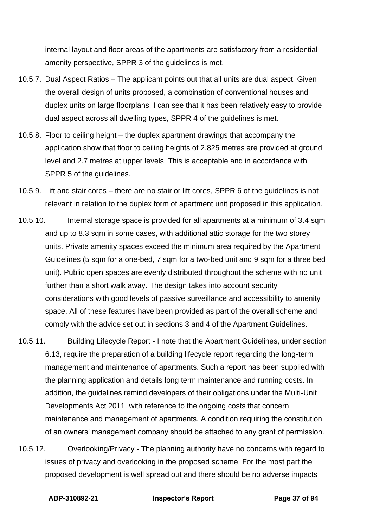internal layout and floor areas of the apartments are satisfactory from a residential amenity perspective, SPPR 3 of the guidelines is met.

- 10.5.7. Dual Aspect Ratios The applicant points out that all units are dual aspect. Given the overall design of units proposed, a combination of conventional houses and duplex units on large floorplans, I can see that it has been relatively easy to provide dual aspect across all dwelling types, SPPR 4 of the guidelines is met.
- 10.5.8. Floor to ceiling height the duplex apartment drawings that accompany the application show that floor to ceiling heights of 2.825 metres are provided at ground level and 2.7 metres at upper levels. This is acceptable and in accordance with SPPR 5 of the guidelines.
- 10.5.9. Lift and stair cores there are no stair or lift cores, SPPR 6 of the guidelines is not relevant in relation to the duplex form of apartment unit proposed in this application.
- 10.5.10. Internal storage space is provided for all apartments at a minimum of 3.4 sqm and up to 8.3 sqm in some cases, with additional attic storage for the two storey units. Private amenity spaces exceed the minimum area required by the Apartment Guidelines (5 sqm for a one-bed, 7 sqm for a two-bed unit and 9 sqm for a three bed unit). Public open spaces are evenly distributed throughout the scheme with no unit further than a short walk away. The design takes into account security considerations with good levels of passive surveillance and accessibility to amenity space. All of these features have been provided as part of the overall scheme and comply with the advice set out in sections 3 and 4 of the Apartment Guidelines.
- 10.5.11. Building Lifecycle Report I note that the Apartment Guidelines, under section 6.13, require the preparation of a building lifecycle report regarding the long-term management and maintenance of apartments. Such a report has been supplied with the planning application and details long term maintenance and running costs. In addition, the guidelines remind developers of their obligations under the Multi-Unit Developments Act 2011, with reference to the ongoing costs that concern maintenance and management of apartments. A condition requiring the constitution of an owners' management company should be attached to any grant of permission.
- 10.5.12. Overlooking/Privacy The planning authority have no concerns with regard to issues of privacy and overlooking in the proposed scheme. For the most part the proposed development is well spread out and there should be no adverse impacts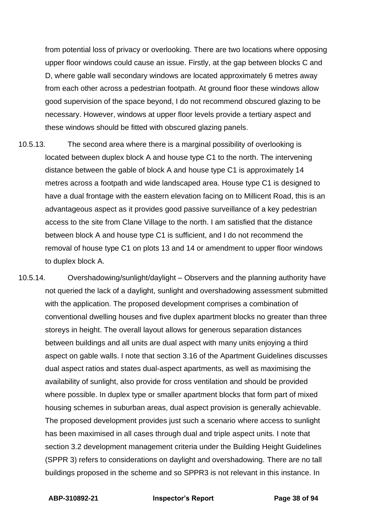from potential loss of privacy or overlooking. There are two locations where opposing upper floor windows could cause an issue. Firstly, at the gap between blocks C and D, where gable wall secondary windows are located approximately 6 metres away from each other across a pedestrian footpath. At ground floor these windows allow good supervision of the space beyond, I do not recommend obscured glazing to be necessary. However, windows at upper floor levels provide a tertiary aspect and these windows should be fitted with obscured glazing panels.

- 10.5.13. The second area where there is a marginal possibility of overlooking is located between duplex block A and house type C1 to the north. The intervening distance between the gable of block A and house type C1 is approximately 14 metres across a footpath and wide landscaped area. House type C1 is designed to have a dual frontage with the eastern elevation facing on to Millicent Road, this is an advantageous aspect as it provides good passive surveillance of a key pedestrian access to the site from Clane Village to the north. I am satisfied that the distance between block A and house type C1 is sufficient, and I do not recommend the removal of house type C1 on plots 13 and 14 or amendment to upper floor windows to duplex block A.
- 10.5.14. Overshadowing/sunlight/daylight Observers and the planning authority have not queried the lack of a daylight, sunlight and overshadowing assessment submitted with the application. The proposed development comprises a combination of conventional dwelling houses and five duplex apartment blocks no greater than three storeys in height. The overall layout allows for generous separation distances between buildings and all units are dual aspect with many units enjoying a third aspect on gable walls. I note that section 3.16 of the Apartment Guidelines discusses dual aspect ratios and states dual-aspect apartments, as well as maximising the availability of sunlight, also provide for cross ventilation and should be provided where possible. In duplex type or smaller apartment blocks that form part of mixed housing schemes in suburban areas, dual aspect provision is generally achievable. The proposed development provides just such a scenario where access to sunlight has been maximised in all cases through dual and triple aspect units. I note that section 3.2 development management criteria under the Building Height Guidelines (SPPR 3) refers to considerations on daylight and overshadowing. There are no tall buildings proposed in the scheme and so SPPR3 is not relevant in this instance. In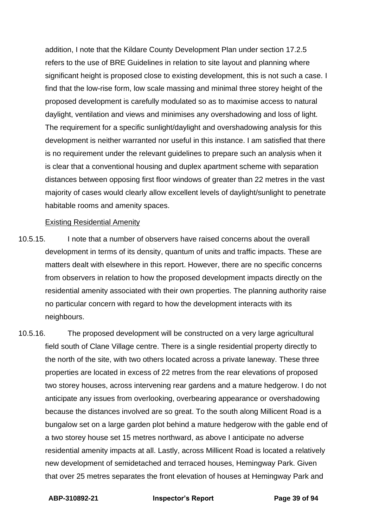addition, I note that the Kildare County Development Plan under section 17.2.5 refers to the use of BRE Guidelines in relation to site layout and planning where significant height is proposed close to existing development, this is not such a case. I find that the low-rise form, low scale massing and minimal three storey height of the proposed development is carefully modulated so as to maximise access to natural daylight, ventilation and views and minimises any overshadowing and loss of light. The requirement for a specific sunlight/daylight and overshadowing analysis for this development is neither warranted nor useful in this instance. I am satisfied that there is no requirement under the relevant guidelines to prepare such an analysis when it is clear that a conventional housing and duplex apartment scheme with separation distances between opposing first floor windows of greater than 22 metres in the vast majority of cases would clearly allow excellent levels of daylight/sunlight to penetrate habitable rooms and amenity spaces.

#### Existing Residential Amenity

- 10.5.15. I note that a number of observers have raised concerns about the overall development in terms of its density, quantum of units and traffic impacts. These are matters dealt with elsewhere in this report. However, there are no specific concerns from observers in relation to how the proposed development impacts directly on the residential amenity associated with their own properties. The planning authority raise no particular concern with regard to how the development interacts with its neighbours.
- 10.5.16. The proposed development will be constructed on a very large agricultural field south of Clane Village centre. There is a single residential property directly to the north of the site, with two others located across a private laneway. These three properties are located in excess of 22 metres from the rear elevations of proposed two storey houses, across intervening rear gardens and a mature hedgerow. I do not anticipate any issues from overlooking, overbearing appearance or overshadowing because the distances involved are so great. To the south along Millicent Road is a bungalow set on a large garden plot behind a mature hedgerow with the gable end of a two storey house set 15 metres northward, as above I anticipate no adverse residential amenity impacts at all. Lastly, across Millicent Road is located a relatively new development of semidetached and terraced houses, Hemingway Park. Given that over 25 metres separates the front elevation of houses at Hemingway Park and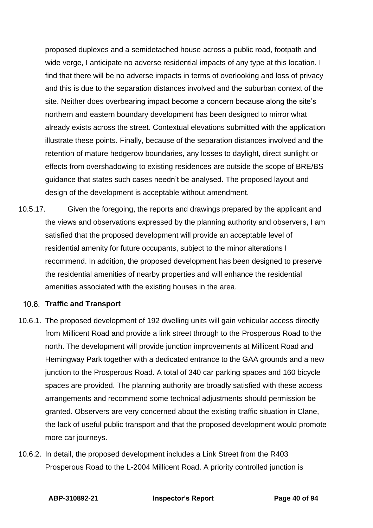proposed duplexes and a semidetached house across a public road, footpath and wide verge, I anticipate no adverse residential impacts of any type at this location. I find that there will be no adverse impacts in terms of overlooking and loss of privacy and this is due to the separation distances involved and the suburban context of the site. Neither does overbearing impact become a concern because along the site's northern and eastern boundary development has been designed to mirror what already exists across the street. Contextual elevations submitted with the application illustrate these points. Finally, because of the separation distances involved and the retention of mature hedgerow boundaries, any losses to daylight, direct sunlight or effects from overshadowing to existing residences are outside the scope of BRE/BS guidance that states such cases needn't be analysed. The proposed layout and design of the development is acceptable without amendment.

10.5.17. Given the foregoing, the reports and drawings prepared by the applicant and the views and observations expressed by the planning authority and observers, I am satisfied that the proposed development will provide an acceptable level of residential amenity for future occupants, subject to the minor alterations I recommend. In addition, the proposed development has been designed to preserve the residential amenities of nearby properties and will enhance the residential amenities associated with the existing houses in the area.

#### **Traffic and Transport**

- 10.6.1. The proposed development of 192 dwelling units will gain vehicular access directly from Millicent Road and provide a link street through to the Prosperous Road to the north. The development will provide junction improvements at Millicent Road and Hemingway Park together with a dedicated entrance to the GAA grounds and a new junction to the Prosperous Road. A total of 340 car parking spaces and 160 bicycle spaces are provided. The planning authority are broadly satisfied with these access arrangements and recommend some technical adjustments should permission be granted. Observers are very concerned about the existing traffic situation in Clane, the lack of useful public transport and that the proposed development would promote more car journeys.
- 10.6.2. In detail, the proposed development includes a Link Street from the R403 Prosperous Road to the L-2004 Millicent Road. A priority controlled junction is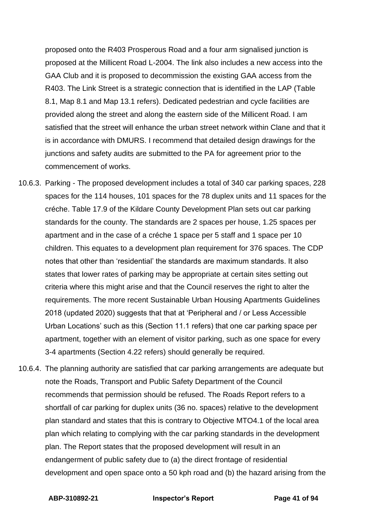proposed onto the R403 Prosperous Road and a four arm signalised junction is proposed at the Millicent Road L-2004. The link also includes a new access into the GAA Club and it is proposed to decommission the existing GAA access from the R403. The Link Street is a strategic connection that is identified in the LAP (Table 8.1, Map 8.1 and Map 13.1 refers). Dedicated pedestrian and cycle facilities are provided along the street and along the eastern side of the Millicent Road. I am satisfied that the street will enhance the urban street network within Clane and that it is in accordance with DMURS. I recommend that detailed design drawings for the junctions and safety audits are submitted to the PA for agreement prior to the commencement of works.

- 10.6.3. Parking The proposed development includes a total of 340 car parking spaces, 228 spaces for the 114 houses, 101 spaces for the 78 duplex units and 11 spaces for the créche. Table 17.9 of the Kildare County Development Plan sets out car parking standards for the county. The standards are 2 spaces per house, 1.25 spaces per apartment and in the case of a créche 1 space per 5 staff and 1 space per 10 children. This equates to a development plan requirement for 376 spaces. The CDP notes that other than 'residential' the standards are maximum standards. It also states that lower rates of parking may be appropriate at certain sites setting out criteria where this might arise and that the Council reserves the right to alter the requirements. The more recent Sustainable Urban Housing Apartments Guidelines 2018 (updated 2020) suggests that that at 'Peripheral and / or Less Accessible Urban Locations' such as this (Section 11.1 refers) that one car parking space per apartment, together with an element of visitor parking, such as one space for every 3-4 apartments (Section 4.22 refers) should generally be required.
- 10.6.4. The planning authority are satisfied that car parking arrangements are adequate but note the Roads, Transport and Public Safety Department of the Council recommends that permission should be refused. The Roads Report refers to a shortfall of car parking for duplex units (36 no. spaces) relative to the development plan standard and states that this is contrary to Objective MTO4.1 of the local area plan which relating to complying with the car parking standards in the development plan. The Report states that the proposed development will result in an endangerment of public safety due to (a) the direct frontage of residential development and open space onto a 50 kph road and (b) the hazard arising from the

**ABP-310892-21 Inspector's Report Page 41 of 94**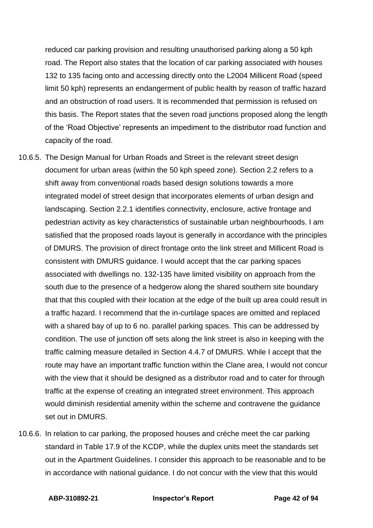reduced car parking provision and resulting unauthorised parking along a 50 kph road. The Report also states that the location of car parking associated with houses 132 to 135 facing onto and accessing directly onto the L2004 Millicent Road (speed limit 50 kph) represents an endangerment of public health by reason of traffic hazard and an obstruction of road users. It is recommended that permission is refused on this basis. The Report states that the seven road junctions proposed along the length of the 'Road Objective' represents an impediment to the distributor road function and capacity of the road.

- 10.6.5. The Design Manual for Urban Roads and Street is the relevant street design document for urban areas (within the 50 kph speed zone). Section 2.2 refers to a shift away from conventional roads based design solutions towards a more integrated model of street design that incorporates elements of urban design and landscaping. Section 2.2.1 identifies connectivity, enclosure, active frontage and pedestrian activity as key characteristics of sustainable urban neighbourhoods. I am satisfied that the proposed roads layout is generally in accordance with the principles of DMURS. The provision of direct frontage onto the link street and Millicent Road is consistent with DMURS guidance. I would accept that the car parking spaces associated with dwellings no. 132-135 have limited visibility on approach from the south due to the presence of a hedgerow along the shared southern site boundary that that this coupled with their location at the edge of the built up area could result in a traffic hazard. I recommend that the in-curtilage spaces are omitted and replaced with a shared bay of up to 6 no. parallel parking spaces. This can be addressed by condition. The use of junction off sets along the link street is also in keeping with the traffic calming measure detailed in Section 4.4.7 of DMURS. While I accept that the route may have an important traffic function within the Clane area, I would not concur with the view that it should be designed as a distributor road and to cater for through traffic at the expense of creating an integrated street environment. This approach would diminish residential amenity within the scheme and contravene the guidance set out in DMURS.
- 10.6.6. In relation to car parking, the proposed houses and créche meet the car parking standard in Table 17.9 of the KCDP, while the duplex units meet the standards set out in the Apartment Guidelines. I consider this approach to be reasonable and to be in accordance with national guidance. I do not concur with the view that this would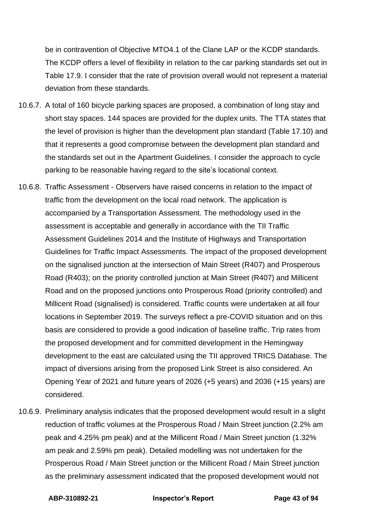be in contravention of Objective MTO4.1 of the Clane LAP or the KCDP standards. The KCDP offers a level of flexibility in relation to the car parking standards set out in Table 17.9. I consider that the rate of provision overall would not represent a material deviation from these standards.

- 10.6.7. A total of 160 bicycle parking spaces are proposed, a combination of long stay and short stay spaces. 144 spaces are provided for the duplex units. The TTA states that the level of provision is higher than the development plan standard (Table 17.10) and that it represents a good compromise between the development plan standard and the standards set out in the Apartment Guidelines. I consider the approach to cycle parking to be reasonable having regard to the site's locational context.
- 10.6.8. Traffic Assessment Observers have raised concerns in relation to the impact of traffic from the development on the local road network. The application is accompanied by a Transportation Assessment. The methodology used in the assessment is acceptable and generally in accordance with the TII Traffic Assessment Guidelines 2014 and the Institute of Highways and Transportation Guidelines for Traffic Impact Assessments. The impact of the proposed development on the signalised junction at the intersection of Main Street (R407) and Prosperous Road (R403); on the priority controlled junction at Main Street (R407) and Millicent Road and on the proposed junctions onto Prosperous Road (priority controlled) and Millicent Road (signalised) is considered. Traffic counts were undertaken at all four locations in September 2019. The surveys reflect a pre-COVID situation and on this basis are considered to provide a good indication of baseline traffic. Trip rates from the proposed development and for committed development in the Hemingway development to the east are calculated using the TII approved TRICS Database. The impact of diversions arising from the proposed Link Street is also considered. An Opening Year of 2021 and future years of 2026 (+5 years) and 2036 (+15 years) are considered.
- 10.6.9. Preliminary analysis indicates that the proposed development would result in a slight reduction of traffic volumes at the Prosperous Road / Main Street junction (2.2% am peak and 4.25% pm peak) and at the Millicent Road / Main Street junction (1.32% am peak and 2.59% pm peak). Detailed modelling was not undertaken for the Prosperous Road / Main Street junction or the Millicent Road / Main Street junction as the preliminary assessment indicated that the proposed development would not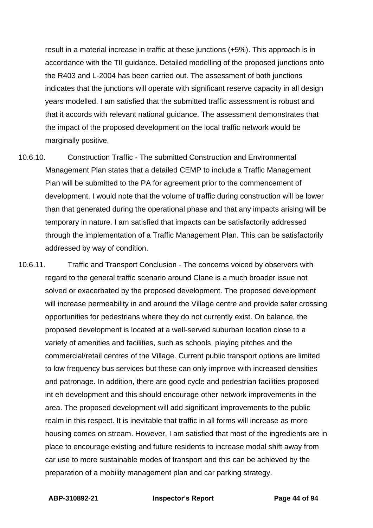result in a material increase in traffic at these junctions (+5%). This approach is in accordance with the TII guidance. Detailed modelling of the proposed junctions onto the R403 and L-2004 has been carried out. The assessment of both junctions indicates that the junctions will operate with significant reserve capacity in all design years modelled. I am satisfied that the submitted traffic assessment is robust and that it accords with relevant national guidance. The assessment demonstrates that the impact of the proposed development on the local traffic network would be marginally positive.

- 10.6.10. Construction Traffic The submitted Construction and Environmental Management Plan states that a detailed CEMP to include a Traffic Management Plan will be submitted to the PA for agreement prior to the commencement of development. I would note that the volume of traffic during construction will be lower than that generated during the operational phase and that any impacts arising will be temporary in nature. I am satisfied that impacts can be satisfactorily addressed through the implementation of a Traffic Management Plan. This can be satisfactorily addressed by way of condition.
- 10.6.11. Traffic and Transport Conclusion The concerns voiced by observers with regard to the general traffic scenario around Clane is a much broader issue not solved or exacerbated by the proposed development. The proposed development will increase permeability in and around the Village centre and provide safer crossing opportunities for pedestrians where they do not currently exist. On balance, the proposed development is located at a well-served suburban location close to a variety of amenities and facilities, such as schools, playing pitches and the commercial/retail centres of the Village. Current public transport options are limited to low frequency bus services but these can only improve with increased densities and patronage. In addition, there are good cycle and pedestrian facilities proposed int eh development and this should encourage other network improvements in the area. The proposed development will add significant improvements to the public realm in this respect. It is inevitable that traffic in all forms will increase as more housing comes on stream. However, I am satisfied that most of the ingredients are in place to encourage existing and future residents to increase modal shift away from car use to more sustainable modes of transport and this can be achieved by the preparation of a mobility management plan and car parking strategy.

**ABP-310892-21 Inspector's Report Page 44 of 94**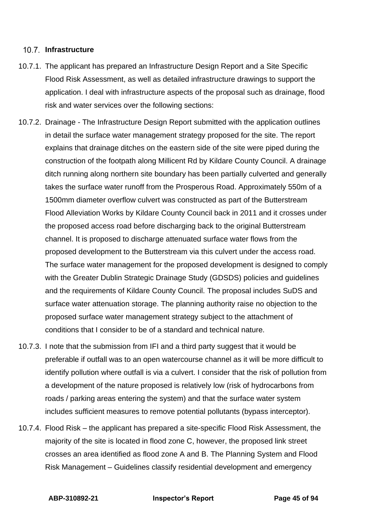#### **Infrastructure**

- 10.7.1. The applicant has prepared an Infrastructure Design Report and a Site Specific Flood Risk Assessment, as well as detailed infrastructure drawings to support the application. I deal with infrastructure aspects of the proposal such as drainage, flood risk and water services over the following sections:
- 10.7.2. Drainage The Infrastructure Design Report submitted with the application outlines in detail the surface water management strategy proposed for the site. The report explains that drainage ditches on the eastern side of the site were piped during the construction of the footpath along Millicent Rd by Kildare County Council. A drainage ditch running along northern site boundary has been partially culverted and generally takes the surface water runoff from the Prosperous Road. Approximately 550m of a 1500mm diameter overflow culvert was constructed as part of the Butterstream Flood Alleviation Works by Kildare County Council back in 2011 and it crosses under the proposed access road before discharging back to the original Butterstream channel. It is proposed to discharge attenuated surface water flows from the proposed development to the Butterstream via this culvert under the access road. The surface water management for the proposed development is designed to comply with the Greater Dublin Strategic Drainage Study (GDSDS) policies and guidelines and the requirements of Kildare County Council. The proposal includes SuDS and surface water attenuation storage. The planning authority raise no objection to the proposed surface water management strategy subject to the attachment of conditions that I consider to be of a standard and technical nature.
- 10.7.3. I note that the submission from IFI and a third party suggest that it would be preferable if outfall was to an open watercourse channel as it will be more difficult to identify pollution where outfall is via a culvert. I consider that the risk of pollution from a development of the nature proposed is relatively low (risk of hydrocarbons from roads / parking areas entering the system) and that the surface water system includes sufficient measures to remove potential pollutants (bypass interceptor).
- 10.7.4. Flood Risk the applicant has prepared a site-specific Flood Risk Assessment, the majority of the site is located in flood zone C, however, the proposed link street crosses an area identified as flood zone A and B. The Planning System and Flood Risk Management – Guidelines classify residential development and emergency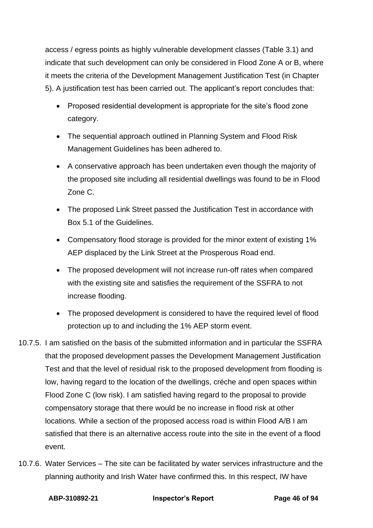access / egress points as highly vulnerable development classes (Table 3.1) and indicate that such development can only be considered in Flood Zone A or B, where it meets the criteria of the Development Management Justification Test (in Chapter 5). A justification test has been carried out. The applicant's report concludes that:

- Proposed residential development is appropriate for the site's flood zone category.
- The sequential approach outlined in Planning System and Flood Risk Management Guidelines has been adhered to.
- A conservative approach has been undertaken even though the majority of the proposed site including all residential dwellings was found to be in Flood Zone C.
- The proposed Link Street passed the Justification Test in accordance with Box 5.1 of the Guidelines.
- Compensatory flood storage is provided for the minor extent of existing 1% AEP displaced by the Link Street at the Prosperous Road end.
- The proposed development will not increase run-off rates when compared with the existing site and satisfies the requirement of the SSFRA to not increase flooding.
- The proposed development is considered to have the required level of flood protection up to and including the 1% AEP storm event.
- 10.7.5. I am satisfied on the basis of the submitted information and in particular the SSFRA that the proposed development passes the Development Management Justification Test and that the level of residual risk to the proposed development from flooding is low, having regard to the location of the dwellings, créche and open spaces within Flood Zone C (low risk). I am satisfied having regard to the proposal to provide compensatory storage that there would be no increase in flood risk at other locations. While a section of the proposed access road is within Flood A/B I am satisfied that there is an alternative access route into the site in the event of a flood event.
- 10.7.6. Water Services The site can be facilitated by water services infrastructure and the planning authority and Irish Water have confirmed this. In this respect, IW have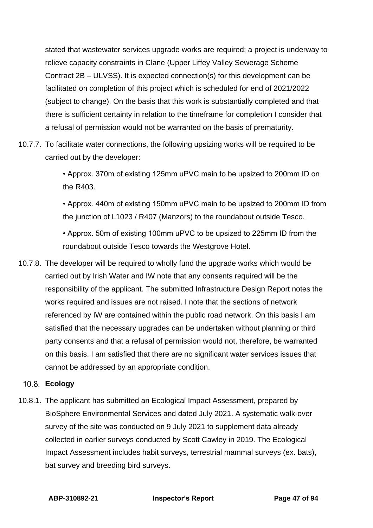stated that wastewater services upgrade works are required; a project is underway to relieve capacity constraints in Clane (Upper Liffey Valley Sewerage Scheme Contract 2B – ULVSS). It is expected connection(s) for this development can be facilitated on completion of this project which is scheduled for end of 2021/2022 (subject to change). On the basis that this work is substantially completed and that there is sufficient certainty in relation to the timeframe for completion I consider that a refusal of permission would not be warranted on the basis of prematurity.

10.7.7. To facilitate water connections, the following upsizing works will be required to be carried out by the developer:

> • Approx. 370m of existing 125mm uPVC main to be upsized to 200mm ID on the R403.

• Approx. 440m of existing 150mm uPVC main to be upsized to 200mm ID from the junction of L1023 / R407 (Manzors) to the roundabout outside Tesco.

• Approx. 50m of existing 100mm uPVC to be upsized to 225mm ID from the roundabout outside Tesco towards the Westgrove Hotel.

10.7.8. The developer will be required to wholly fund the upgrade works which would be carried out by Irish Water and IW note that any consents required will be the responsibility of the applicant. The submitted Infrastructure Design Report notes the works required and issues are not raised. I note that the sections of network referenced by IW are contained within the public road network. On this basis I am satisfied that the necessary upgrades can be undertaken without planning or third party consents and that a refusal of permission would not, therefore, be warranted on this basis. I am satisfied that there are no significant water services issues that cannot be addressed by an appropriate condition.

### **Ecology**

10.8.1. The applicant has submitted an Ecological Impact Assessment, prepared by BioSphere Environmental Services and dated July 2021. A systematic walk-over survey of the site was conducted on 9 July 2021 to supplement data already collected in earlier surveys conducted by Scott Cawley in 2019. The Ecological Impact Assessment includes habit surveys, terrestrial mammal surveys (ex. bats), bat survey and breeding bird surveys.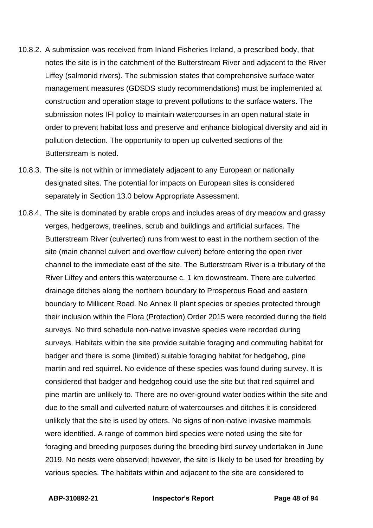- 10.8.2. A submission was received from Inland Fisheries Ireland, a prescribed body, that notes the site is in the catchment of the Butterstream River and adjacent to the River Liffey (salmonid rivers). The submission states that comprehensive surface water management measures (GDSDS study recommendations) must be implemented at construction and operation stage to prevent pollutions to the surface waters. The submission notes IFI policy to maintain watercourses in an open natural state in order to prevent habitat loss and preserve and enhance biological diversity and aid in pollution detection. The opportunity to open up culverted sections of the Butterstream is noted.
- 10.8.3. The site is not within or immediately adjacent to any European or nationally designated sites. The potential for impacts on European sites is considered separately in Section 13.0 below Appropriate Assessment.
- 10.8.4. The site is dominated by arable crops and includes areas of dry meadow and grassy verges, hedgerows, treelines, scrub and buildings and artificial surfaces. The Butterstream River (culverted) runs from west to east in the northern section of the site (main channel culvert and overflow culvert) before entering the open river channel to the immediate east of the site. The Butterstream River is a tributary of the River Liffey and enters this watercourse c. 1 km downstream. There are culverted drainage ditches along the northern boundary to Prosperous Road and eastern boundary to Millicent Road. No Annex II plant species or species protected through their inclusion within the Flora (Protection) Order 2015 were recorded during the field surveys. No third schedule non-native invasive species were recorded during surveys. Habitats within the site provide suitable foraging and commuting habitat for badger and there is some (limited) suitable foraging habitat for hedgehog, pine martin and red squirrel. No evidence of these species was found during survey. It is considered that badger and hedgehog could use the site but that red squirrel and pine martin are unlikely to. There are no over-ground water bodies within the site and due to the small and culverted nature of watercourses and ditches it is considered unlikely that the site is used by otters. No signs of non-native invasive mammals were identified. A range of common bird species were noted using the site for foraging and breeding purposes during the breeding bird survey undertaken in June 2019. No nests were observed; however, the site is likely to be used for breeding by various species. The habitats within and adjacent to the site are considered to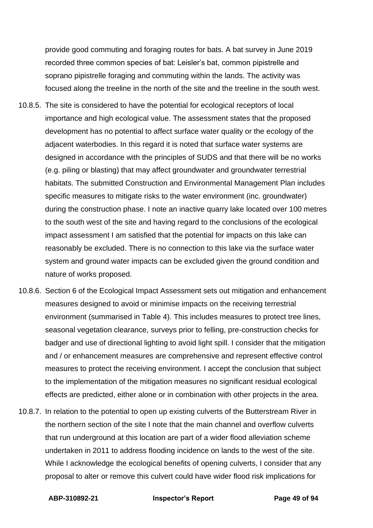provide good commuting and foraging routes for bats. A bat survey in June 2019 recorded three common species of bat: Leisler's bat, common pipistrelle and soprano pipistrelle foraging and commuting within the lands. The activity was focused along the treeline in the north of the site and the treeline in the south west.

- 10.8.5. The site is considered to have the potential for ecological receptors of local importance and high ecological value. The assessment states that the proposed development has no potential to affect surface water quality or the ecology of the adjacent waterbodies. In this regard it is noted that surface water systems are designed in accordance with the principles of SUDS and that there will be no works (e.g. piling or blasting) that may affect groundwater and groundwater terrestrial habitats. The submitted Construction and Environmental Management Plan includes specific measures to mitigate risks to the water environment (inc. groundwater) during the construction phase. I note an inactive quarry lake located over 100 metres to the south west of the site and having regard to the conclusions of the ecological impact assessment I am satisfied that the potential for impacts on this lake can reasonably be excluded. There is no connection to this lake via the surface water system and ground water impacts can be excluded given the ground condition and nature of works proposed.
- 10.8.6. Section 6 of the Ecological Impact Assessment sets out mitigation and enhancement measures designed to avoid or minimise impacts on the receiving terrestrial environment (summarised in Table 4). This includes measures to protect tree lines, seasonal vegetation clearance, surveys prior to felling, pre-construction checks for badger and use of directional lighting to avoid light spill. I consider that the mitigation and / or enhancement measures are comprehensive and represent effective control measures to protect the receiving environment. I accept the conclusion that subject to the implementation of the mitigation measures no significant residual ecological effects are predicted, either alone or in combination with other projects in the area.
- 10.8.7. In relation to the potential to open up existing culverts of the Butterstream River in the northern section of the site I note that the main channel and overflow culverts that run underground at this location are part of a wider flood alleviation scheme undertaken in 2011 to address flooding incidence on lands to the west of the site. While I acknowledge the ecological benefits of opening culverts, I consider that any proposal to alter or remove this culvert could have wider flood risk implications for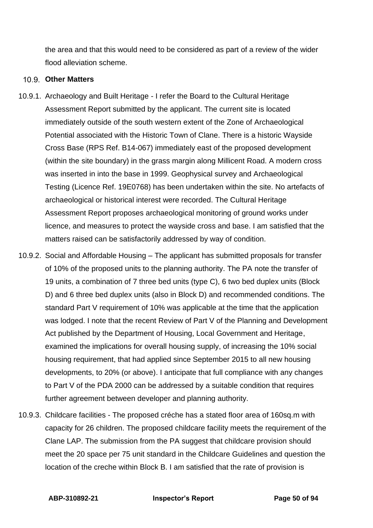the area and that this would need to be considered as part of a review of the wider flood alleviation scheme.

### **Other Matters**

- 10.9.1. Archaeology and Built Heritage I refer the Board to the Cultural Heritage Assessment Report submitted by the applicant. The current site is located immediately outside of the south western extent of the Zone of Archaeological Potential associated with the Historic Town of Clane. There is a historic Wayside Cross Base (RPS Ref. B14-067) immediately east of the proposed development (within the site boundary) in the grass margin along Millicent Road. A modern cross was inserted in into the base in 1999. Geophysical survey and Archaeological Testing (Licence Ref. 19E0768) has been undertaken within the site. No artefacts of archaeological or historical interest were recorded. The Cultural Heritage Assessment Report proposes archaeological monitoring of ground works under licence, and measures to protect the wayside cross and base. I am satisfied that the matters raised can be satisfactorily addressed by way of condition.
- 10.9.2. Social and Affordable Housing The applicant has submitted proposals for transfer of 10% of the proposed units to the planning authority. The PA note the transfer of 19 units, a combination of 7 three bed units (type C), 6 two bed duplex units (Block D) and 6 three bed duplex units (also in Block D) and recommended conditions. The standard Part V requirement of 10% was applicable at the time that the application was lodged. I note that the recent Review of Part V of the Planning and Development Act published by the Department of Housing, Local Government and Heritage, examined the implications for overall housing supply, of increasing the 10% social housing requirement, that had applied since September 2015 to all new housing developments, to 20% (or above). I anticipate that full compliance with any changes to Part V of the PDA 2000 can be addressed by a suitable condition that requires further agreement between developer and planning authority.
- 10.9.3. Childcare facilities The proposed créche has a stated floor area of 160sq.m with capacity for 26 children. The proposed childcare facility meets the requirement of the Clane LAP. The submission from the PA suggest that childcare provision should meet the 20 space per 75 unit standard in the Childcare Guidelines and question the location of the creche within Block B. I am satisfied that the rate of provision is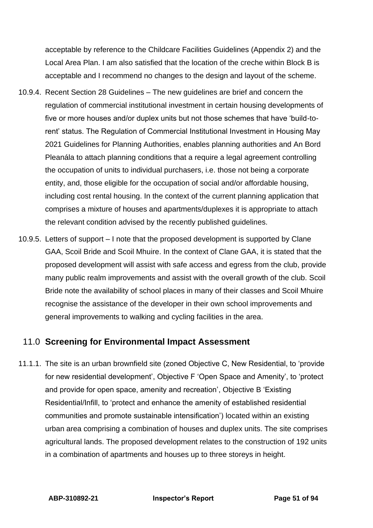acceptable by reference to the Childcare Facilities Guidelines (Appendix 2) and the Local Area Plan. I am also satisfied that the location of the creche within Block B is acceptable and I recommend no changes to the design and layout of the scheme.

- 10.9.4. Recent Section 28 Guidelines The new guidelines are brief and concern the regulation of commercial institutional investment in certain housing developments of five or more houses and/or duplex units but not those schemes that have 'build-torent' status. The Regulation of Commercial Institutional Investment in Housing May 2021 Guidelines for Planning Authorities, enables planning authorities and An Bord Pleanála to attach planning conditions that a require a legal agreement controlling the occupation of units to individual purchasers, i.e. those not being a corporate entity, and, those eligible for the occupation of social and/or affordable housing, including cost rental housing. In the context of the current planning application that comprises a mixture of houses and apartments/duplexes it is appropriate to attach the relevant condition advised by the recently published guidelines.
- 10.9.5. Letters of support I note that the proposed development is supported by Clane GAA, Scoil Bride and Scoil Mhuire. In the context of Clane GAA, it is stated that the proposed development will assist with safe access and egress from the club, provide many public realm improvements and assist with the overall growth of the club. Scoil Bride note the availability of school places in many of their classes and Scoil Mhuire recognise the assistance of the developer in their own school improvements and general improvements to walking and cycling facilities in the area.

# 11.0 **Screening for Environmental Impact Assessment**

11.1.1. The site is an urban brownfield site (zoned Objective C, New Residential, to 'provide for new residential development', Objective F 'Open Space and Amenity', to 'protect and provide for open space, amenity and recreation', Objective B 'Existing Residential/Infill, to 'protect and enhance the amenity of established residential communities and promote sustainable intensification') located within an existing urban area comprising a combination of houses and duplex units. The site comprises agricultural lands. The proposed development relates to the construction of 192 units in a combination of apartments and houses up to three storeys in height.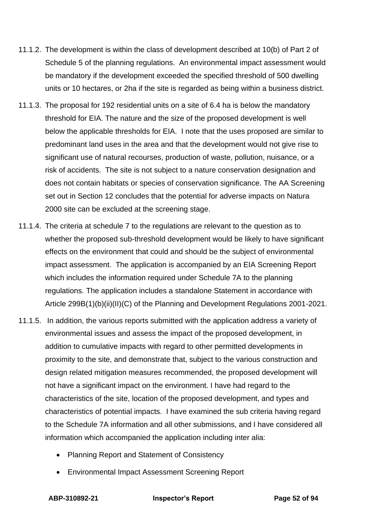- 11.1.2. The development is within the class of development described at 10(b) of Part 2 of Schedule 5 of the planning regulations. An environmental impact assessment would be mandatory if the development exceeded the specified threshold of 500 dwelling units or 10 hectares, or 2ha if the site is regarded as being within a business district.
- 11.1.3. The proposal for 192 residential units on a site of 6.4 ha is below the mandatory threshold for EIA. The nature and the size of the proposed development is well below the applicable thresholds for EIA. I note that the uses proposed are similar to predominant land uses in the area and that the development would not give rise to significant use of natural recourses, production of waste, pollution, nuisance, or a risk of accidents. The site is not subject to a nature conservation designation and does not contain habitats or species of conservation significance. The AA Screening set out in Section 12 concludes that the potential for adverse impacts on Natura 2000 site can be excluded at the screening stage.
- 11.1.4. The criteria at schedule 7 to the regulations are relevant to the question as to whether the proposed sub-threshold development would be likely to have significant effects on the environment that could and should be the subject of environmental impact assessment. The application is accompanied by an EIA Screening Report which includes the information required under Schedule 7A to the planning regulations. The application includes a standalone Statement in accordance with Article 299B(1)(b)(ii)(II)(C) of the Planning and Development Regulations 2001-2021.
- 11.1.5. In addition, the various reports submitted with the application address a variety of environmental issues and assess the impact of the proposed development, in addition to cumulative impacts with regard to other permitted developments in proximity to the site, and demonstrate that, subject to the various construction and design related mitigation measures recommended, the proposed development will not have a significant impact on the environment. I have had regard to the characteristics of the site, location of the proposed development, and types and characteristics of potential impacts. I have examined the sub criteria having regard to the Schedule 7A information and all other submissions, and I have considered all information which accompanied the application including inter alia:
	- Planning Report and Statement of Consistency
	- Environmental Impact Assessment Screening Report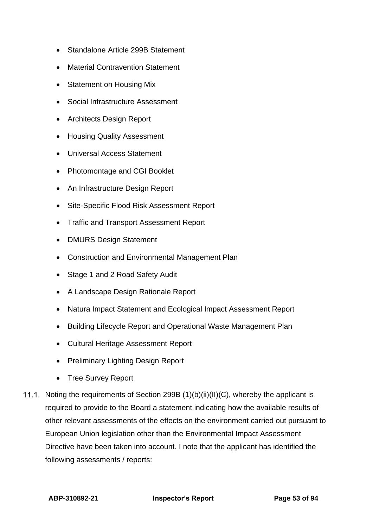- Standalone Article 299B Statement
- Material Contravention Statement
- Statement on Housing Mix
- Social Infrastructure Assessment
- Architects Design Report
- Housing Quality Assessment
- Universal Access Statement
- Photomontage and CGI Booklet
- An Infrastructure Design Report
- Site-Specific Flood Risk Assessment Report
- Traffic and Transport Assessment Report
- DMURS Design Statement
- Construction and Environmental Management Plan
- Stage 1 and 2 Road Safety Audit
- A Landscape Design Rationale Report
- Natura Impact Statement and Ecological Impact Assessment Report
- Building Lifecycle Report and Operational Waste Management Plan
- Cultural Heritage Assessment Report
- Preliminary Lighting Design Report
- Tree Survey Report
- 11.1. Noting the requirements of Section 299B  $(1)(b)(ii)(II)(C)$ , whereby the applicant is required to provide to the Board a statement indicating how the available results of other relevant assessments of the effects on the environment carried out pursuant to European Union legislation other than the Environmental Impact Assessment Directive have been taken into account. I note that the applicant has identified the following assessments / reports: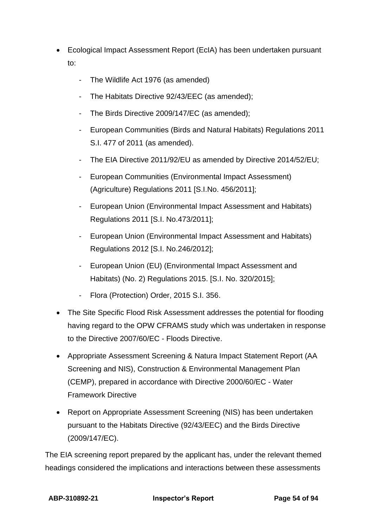- Ecological Impact Assessment Report (EcIA) has been undertaken pursuant to:
	- The Wildlife Act 1976 (as amended)
	- The Habitats Directive 92/43/EEC (as amended);
	- The Birds Directive 2009/147/EC (as amended);
	- European Communities (Birds and Natural Habitats) Regulations 2011 S.I. 477 of 2011 (as amended).
	- The EIA Directive 2011/92/EU as amended by Directive 2014/52/EU;
	- European Communities (Environmental Impact Assessment) (Agriculture) Regulations 2011 [S.I.No. 456/2011];
	- European Union (Environmental Impact Assessment and Habitats) Regulations 2011 [S.I. No.473/2011];
	- European Union (Environmental Impact Assessment and Habitats) Regulations 2012 [S.I. No.246/2012];
	- European Union (EU) (Environmental Impact Assessment and Habitats) (No. 2) Regulations 2015. [S.I. No. 320/2015];
	- Flora (Protection) Order, 2015 S.I. 356.
- The Site Specific Flood Risk Assessment addresses the potential for flooding having regard to the OPW CFRAMS study which was undertaken in response to the Directive 2007/60/EC - Floods Directive.
- Appropriate Assessment Screening & Natura Impact Statement Report (AA Screening and NIS), Construction & Environmental Management Plan (CEMP), prepared in accordance with Directive 2000/60/EC - Water Framework Directive
- Report on Appropriate Assessment Screening (NIS) has been undertaken pursuant to the Habitats Directive (92/43/EEC) and the Birds Directive (2009/147/EC).

The EIA screening report prepared by the applicant has, under the relevant themed headings considered the implications and interactions between these assessments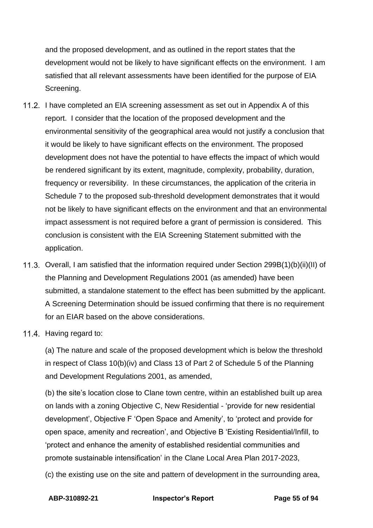and the proposed development, and as outlined in the report states that the development would not be likely to have significant effects on the environment. I am satisfied that all relevant assessments have been identified for the purpose of EIA Screening.

- 11.2. I have completed an EIA screening assessment as set out in Appendix A of this report. I consider that the location of the proposed development and the environmental sensitivity of the geographical area would not justify a conclusion that it would be likely to have significant effects on the environment. The proposed development does not have the potential to have effects the impact of which would be rendered significant by its extent, magnitude, complexity, probability, duration, frequency or reversibility. In these circumstances, the application of the criteria in Schedule 7 to the proposed sub-threshold development demonstrates that it would not be likely to have significant effects on the environment and that an environmental impact assessment is not required before a grant of permission is considered. This conclusion is consistent with the EIA Screening Statement submitted with the application.
- 11.3. Overall, I am satisfied that the information required under Section 299B(1)(b)(ii)(II) of the Planning and Development Regulations 2001 (as amended) have been submitted, a standalone statement to the effect has been submitted by the applicant. A Screening Determination should be issued confirming that there is no requirement for an EIAR based on the above considerations.
- 11.4. Having regard to:

(a) The nature and scale of the proposed development which is below the threshold in respect of Class 10(b)(iv) and Class 13 of Part 2 of Schedule 5 of the Planning and Development Regulations 2001, as amended,

(b) the site's location close to Clane town centre, within an established built up area on lands with a zoning Objective C, New Residential - 'provide for new residential development', Objective F 'Open Space and Amenity', to 'protect and provide for open space, amenity and recreation', and Objective B 'Existing Residential/Infill, to 'protect and enhance the amenity of established residential communities and promote sustainable intensification' in the Clane Local Area Plan 2017-2023,

(c) the existing use on the site and pattern of development in the surrounding area,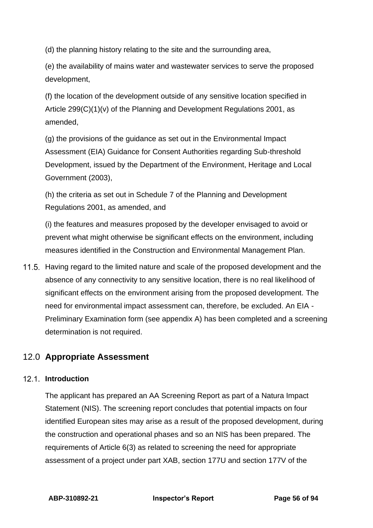(d) the planning history relating to the site and the surrounding area,

(e) the availability of mains water and wastewater services to serve the proposed development,

(f) the location of the development outside of any sensitive location specified in Article 299(C)(1)(v) of the Planning and Development Regulations 2001, as amended,

(g) the provisions of the guidance as set out in the Environmental Impact Assessment (EIA) Guidance for Consent Authorities regarding Sub-threshold Development, issued by the Department of the Environment, Heritage and Local Government (2003),

(h) the criteria as set out in Schedule 7 of the Planning and Development Regulations 2001, as amended, and

(i) the features and measures proposed by the developer envisaged to avoid or prevent what might otherwise be significant effects on the environment, including measures identified in the Construction and Environmental Management Plan.

11.5. Having regard to the limited nature and scale of the proposed development and the absence of any connectivity to any sensitive location, there is no real likelihood of significant effects on the environment arising from the proposed development. The need for environmental impact assessment can, therefore, be excluded. An EIA - Preliminary Examination form (see appendix A) has been completed and a screening determination is not required.

# 12.0 **Appropriate Assessment**

# **Introduction**

The applicant has prepared an AA Screening Report as part of a Natura Impact Statement (NIS). The screening report concludes that potential impacts on four identified European sites may arise as a result of the proposed development, during the construction and operational phases and so an NIS has been prepared. The requirements of Article 6(3) as related to screening the need for appropriate assessment of a project under part XAB, section 177U and section 177V of the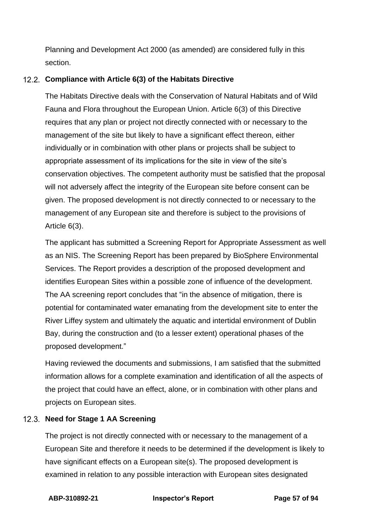Planning and Development Act 2000 (as amended) are considered fully in this section.

## **Compliance with Article 6(3) of the Habitats Directive**

The Habitats Directive deals with the Conservation of Natural Habitats and of Wild Fauna and Flora throughout the European Union. Article 6(3) of this Directive requires that any plan or project not directly connected with or necessary to the management of the site but likely to have a significant effect thereon, either individually or in combination with other plans or projects shall be subject to appropriate assessment of its implications for the site in view of the site's conservation objectives. The competent authority must be satisfied that the proposal will not adversely affect the integrity of the European site before consent can be given. The proposed development is not directly connected to or necessary to the management of any European site and therefore is subject to the provisions of Article 6(3).

The applicant has submitted a Screening Report for Appropriate Assessment as well as an NIS. The Screening Report has been prepared by BioSphere Environmental Services. The Report provides a description of the proposed development and identifies European Sites within a possible zone of influence of the development. The AA screening report concludes that "in the absence of mitigation, there is potential for contaminated water emanating from the development site to enter the River Liffey system and ultimately the aquatic and intertidal environment of Dublin Bay, during the construction and (to a lesser extent) operational phases of the proposed development."

Having reviewed the documents and submissions, I am satisfied that the submitted information allows for a complete examination and identification of all the aspects of the project that could have an effect, alone, or in combination with other plans and projects on European sites.

### **Need for Stage 1 AA Screening**

The project is not directly connected with or necessary to the management of a European Site and therefore it needs to be determined if the development is likely to have significant effects on a European site(s). The proposed development is examined in relation to any possible interaction with European sites designated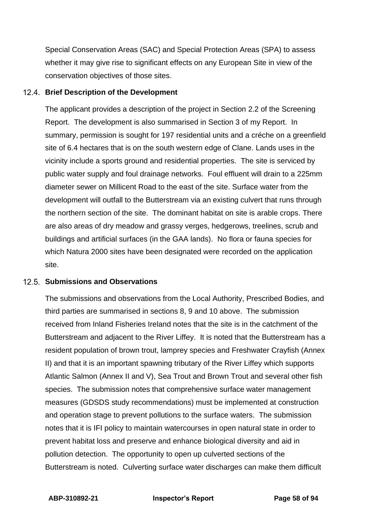Special Conservation Areas (SAC) and Special Protection Areas (SPA) to assess whether it may give rise to significant effects on any European Site in view of the conservation objectives of those sites.

#### **Brief Description of the Development**

The applicant provides a description of the project in Section 2.2 of the Screening Report. The development is also summarised in Section 3 of my Report. In summary, permission is sought for 197 residential units and a créche on a greenfield site of 6.4 hectares that is on the south western edge of Clane. Lands uses in the vicinity include a sports ground and residential properties. The site is serviced by public water supply and foul drainage networks. Foul effluent will drain to a 225mm diameter sewer on Millicent Road to the east of the site. Surface water from the development will outfall to the Butterstream via an existing culvert that runs through the northern section of the site. The dominant habitat on site is arable crops. There are also areas of dry meadow and grassy verges, hedgerows, treelines, scrub and buildings and artificial surfaces (in the GAA lands). No flora or fauna species for which Natura 2000 sites have been designated were recorded on the application site.

#### **12.5. Submissions and Observations**

The submissions and observations from the Local Authority, Prescribed Bodies, and third parties are summarised in sections 8, 9 and 10 above. The submission received from Inland Fisheries Ireland notes that the site is in the catchment of the Butterstream and adjacent to the River Liffey. It is noted that the Butterstream has a resident population of brown trout, lamprey species and Freshwater Crayfish (Annex II) and that it is an important spawning tributary of the River Liffey which supports Atlantic Salmon (Annex II and V), Sea Trout and Brown Trout and several other fish species. The submission notes that comprehensive surface water management measures (GDSDS study recommendations) must be implemented at construction and operation stage to prevent pollutions to the surface waters. The submission notes that it is IFI policy to maintain watercourses in open natural state in order to prevent habitat loss and preserve and enhance biological diversity and aid in pollution detection. The opportunity to open up culverted sections of the Butterstream is noted. Culverting surface water discharges can make them difficult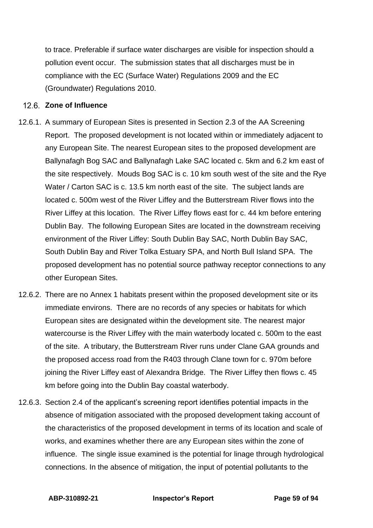to trace. Preferable if surface water discharges are visible for inspection should a pollution event occur. The submission states that all discharges must be in compliance with the EC (Surface Water) Regulations 2009 and the EC (Groundwater) Regulations 2010.

### 12.6. Zone of Influence

- 12.6.1. A summary of European Sites is presented in Section 2.3 of the AA Screening Report. The proposed development is not located within or immediately adjacent to any European Site. The nearest European sites to the proposed development are Ballynafagh Bog SAC and Ballynafagh Lake SAC located c. 5km and 6.2 km east of the site respectively. Mouds Bog SAC is c. 10 km south west of the site and the Rye Water / Carton SAC is c. 13.5 km north east of the site. The subject lands are located c. 500m west of the River Liffey and the Butterstream River flows into the River Liffey at this location. The River Liffey flows east for c. 44 km before entering Dublin Bay. The following European Sites are located in the downstream receiving environment of the River Liffey: South Dublin Bay SAC, North Dublin Bay SAC, South Dublin Bay and River Tolka Estuary SPA, and North Bull Island SPA. The proposed development has no potential source pathway receptor connections to any other European Sites.
- 12.6.2. There are no Annex 1 habitats present within the proposed development site or its immediate environs. There are no records of any species or habitats for which European sites are designated within the development site. The nearest major watercourse is the River Liffey with the main waterbody located c. 500m to the east of the site. A tributary, the Butterstream River runs under Clane GAA grounds and the proposed access road from the R403 through Clane town for c. 970m before joining the River Liffey east of Alexandra Bridge. The River Liffey then flows c. 45 km before going into the Dublin Bay coastal waterbody.
- 12.6.3. Section 2.4 of the applicant's screening report identifies potential impacts in the absence of mitigation associated with the proposed development taking account of the characteristics of the proposed development in terms of its location and scale of works, and examines whether there are any European sites within the zone of influence. The single issue examined is the potential for linage through hydrological connections. In the absence of mitigation, the input of potential pollutants to the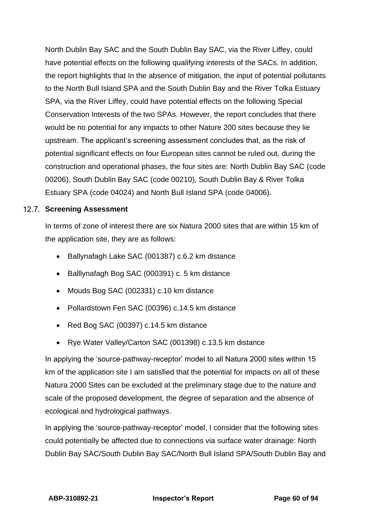North Dublin Bay SAC and the South Dublin Bay SAC, via the River Liffey, could have potential effects on the following qualifying interests of the SACs. In addition, the report highlights that In the absence of mitigation, the input of potential pollutants to the North Bull Island SPA and the South Dublin Bay and the River Tolka Estuary SPA, via the River Liffey, could have potential effects on the following Special Conservation Interests of the two SPAs. However, the report concludes that there would be no potential for any impacts to other Nature 200 sites because they lie upstream. The applicant's screening assessment concludes that, as the risk of potential significant effects on four European sites cannot be ruled out, during the construction and operational phases, the four sites are: North Dublin Bay SAC (code 00206), South Dublin Bay SAC (code 00210), South Dublin Bay & River Tolka Estuary SPA (code 04024) and North Bull Island SPA (code 04006).

### 12.7. Screening Assessment

In terms of zone of interest there are six Natura 2000 sites that are within 15 km of the application site, they are as follows:

- Ballynafagh Lake SAC (001387) c.6.2 km distance
- Balllynafagh Bog SAC (000391) c. 5 km distance
- Mouds Bog SAC (002331) c.10 km distance
- Pollardstown Fen SAC (00396) c.14.5 km distance
- Red Bog SAC (00397) c.14.5 km distance
- Rye Water Valley/Carton SAC (001398) c.13.5 km distance

In applying the 'source-pathway-receptor' model to all Natura 2000 sites within 15 km of the application site I am satisfied that the potential for impacts on all of these Natura 2000 Sites can be excluded at the preliminary stage due to the nature and scale of the proposed development, the degree of separation and the absence of ecological and hydrological pathways.

In applying the 'source-pathway-receptor' model, I consider that the following sites could potentially be affected due to connections via surface water drainage: North Dublin Bay SAC/South Dublin Bay SAC/North Bull Island SPA/South Dublin Bay and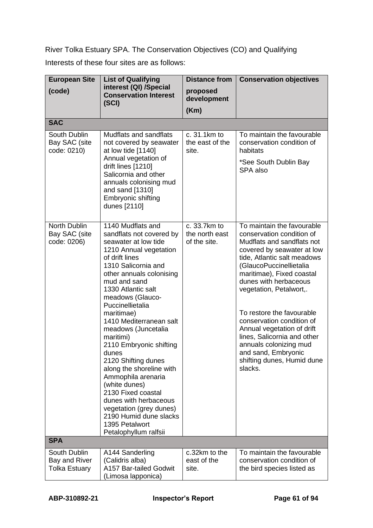River Tolka Estuary SPA. The Conservation Objectives (CO) and Qualifying

Interests of these four sites are as follows:

| <b>European Site</b>                                  | <b>List of Qualifying</b>                                                                                                                                                                                                                                                                                                                                                                                                                                                                                                                                                                                    | <b>Distance from</b><br><b>Conservation objectives</b> |                                                                                                                                                                                                                                                                                                                                                                                                                                                                                 |  |
|-------------------------------------------------------|--------------------------------------------------------------------------------------------------------------------------------------------------------------------------------------------------------------------------------------------------------------------------------------------------------------------------------------------------------------------------------------------------------------------------------------------------------------------------------------------------------------------------------------------------------------------------------------------------------------|--------------------------------------------------------|---------------------------------------------------------------------------------------------------------------------------------------------------------------------------------------------------------------------------------------------------------------------------------------------------------------------------------------------------------------------------------------------------------------------------------------------------------------------------------|--|
| (code)                                                | interest (QI) /Special<br><b>Conservation Interest</b><br>(SCI)                                                                                                                                                                                                                                                                                                                                                                                                                                                                                                                                              | proposed<br>development                                |                                                                                                                                                                                                                                                                                                                                                                                                                                                                                 |  |
|                                                       |                                                                                                                                                                                                                                                                                                                                                                                                                                                                                                                                                                                                              | (Km)                                                   |                                                                                                                                                                                                                                                                                                                                                                                                                                                                                 |  |
| <b>SAC</b>                                            |                                                                                                                                                                                                                                                                                                                                                                                                                                                                                                                                                                                                              |                                                        |                                                                                                                                                                                                                                                                                                                                                                                                                                                                                 |  |
| South Dublin<br>Bay SAC (site<br>code: 0210)          | Mudflats and sandflats<br>not covered by seawater<br>at low tide [1140]<br>Annual vegetation of<br>drift lines [1210]<br>Salicornia and other<br>annuals colonising mud<br>and sand [1310]<br>Embryonic shifting<br>dunes [2110]                                                                                                                                                                                                                                                                                                                                                                             | c. 31.1km to<br>the east of the<br>site.               | To maintain the favourable<br>conservation condition of<br>habitats<br>*See South Dublin Bay<br>SPA also                                                                                                                                                                                                                                                                                                                                                                        |  |
| North Dublin<br>Bay SAC (site<br>code: 0206)          | 1140 Mudflats and<br>sandflats not covered by<br>seawater at low tide<br>1210 Annual vegetation<br>of drift lines<br>1310 Salicornia and<br>other annuals colonising<br>mud and sand<br>1330 Atlantic salt<br>meadows (Glauco-<br>Puccinellietalia<br>maritimae)<br>1410 Mediterranean salt<br>meadows (Juncetalia<br>maritimi)<br>2110 Embryonic shifting<br>dunes<br>2120 Shifting dunes<br>along the shoreline with<br>Ammophila arenaria<br>(white dunes)<br>2130 Fixed coastal<br>dunes with herbaceous<br>vegetation (grey dunes)<br>2190 Humid dune slacks<br>1395 Petalwort<br>Petalophyllum ralfsii | c. 33.7km to<br>the north east<br>of the site.         | To maintain the favourable<br>conservation condition of<br>Mudflats and sandflats not<br>covered by seawater at low<br>tide, Atlantic salt meadows<br>(GlaucoPuccinellietalia<br>maritimae), Fixed coastal<br>dunes with herbaceous<br>vegetation, Petalwort,.<br>To restore the favourable<br>conservation condition of<br>Annual vegetation of drift<br>lines, Salicornia and other<br>annuals colonizing mud<br>and sand, Embryonic<br>shifting dunes, Humid dune<br>slacks. |  |
| <b>SPA</b>                                            |                                                                                                                                                                                                                                                                                                                                                                                                                                                                                                                                                                                                              |                                                        |                                                                                                                                                                                                                                                                                                                                                                                                                                                                                 |  |
| South Dublin<br>Bay and River<br><b>Tolka Estuary</b> | A144 Sanderling<br>(Calidris alba)<br>A157 Bar-tailed Godwit<br>(Limosa lapponica)                                                                                                                                                                                                                                                                                                                                                                                                                                                                                                                           | c.32km to the<br>east of the<br>site.                  | To maintain the favourable<br>conservation condition of<br>the bird species listed as                                                                                                                                                                                                                                                                                                                                                                                           |  |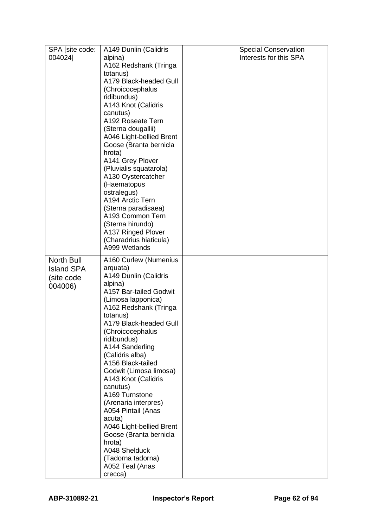| SPA [site code:   | A149 Dunlin (Calidris                         | <b>Special Conservation</b> |
|-------------------|-----------------------------------------------|-----------------------------|
| 004024]           | alpina)                                       | Interests for this SPA      |
|                   | A162 Redshank (Tringa                         |                             |
|                   | totanus)                                      |                             |
|                   | A179 Black-headed Gull                        |                             |
|                   | (Chroicocephalus                              |                             |
|                   | ridibundus)                                   |                             |
|                   | A143 Knot (Calidris                           |                             |
|                   | canutus)                                      |                             |
|                   | A192 Roseate Tern                             |                             |
|                   | (Sterna dougallii)                            |                             |
|                   | A046 Light-bellied Brent                      |                             |
|                   | Goose (Branta bernicla                        |                             |
|                   | hrota)                                        |                             |
|                   | A141 Grey Plover                              |                             |
|                   | (Pluvialis squatarola)                        |                             |
|                   | A130 Oystercatcher                            |                             |
|                   | (Haematopus<br>ostralegus)                    |                             |
|                   | A194 Arctic Tern                              |                             |
|                   | (Sterna paradisaea)                           |                             |
|                   | A193 Common Tern                              |                             |
|                   | (Sterna hirundo)                              |                             |
|                   | A137 Ringed Plover                            |                             |
|                   | (Charadrius hiaticula)                        |                             |
|                   | A999 Wetlands                                 |                             |
| North Bull        | A160 Curlew (Numenius                         |                             |
| <b>Island SPA</b> | arquata)                                      |                             |
| (site code        | A149 Dunlin (Calidris                         |                             |
|                   | alpina)                                       |                             |
| 004006)           | A157 Bar-tailed Godwit                        |                             |
|                   | (Limosa lapponica)                            |                             |
|                   | A162 Redshank (Tringa                         |                             |
|                   | totanus)                                      |                             |
|                   | A179 Black-headed Gull                        |                             |
|                   | (Chroicocephalus                              |                             |
|                   | ridibundus)                                   |                             |
|                   | A144 Sanderling                               |                             |
|                   | (Calidris alba)                               |                             |
|                   | A156 Black-tailed                             |                             |
|                   | Godwit (Limosa limosa)<br>A143 Knot (Calidris |                             |
|                   | canutus)                                      |                             |
|                   | A169 Turnstone                                |                             |
|                   | (Arenaria interpres)                          |                             |
|                   | A054 Pintail (Anas                            |                             |
|                   | acuta)                                        |                             |
|                   | A046 Light-bellied Brent                      |                             |
|                   | Goose (Branta bernicla                        |                             |
|                   | hrota)                                        |                             |
|                   | A048 Shelduck                                 |                             |
|                   | (Tadorna tadorna)                             |                             |
|                   | A052 Teal (Anas                               |                             |
|                   | crecca)                                       |                             |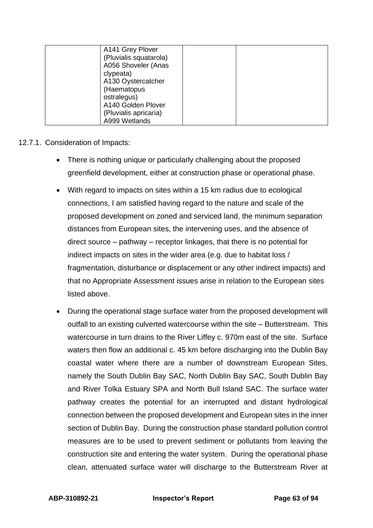| A141 Grey Plover<br>(Pluvialis squatarola)<br>A056 Shoveler (Anas<br>clypeata)<br>A130 Oystercatcher<br>(Haematopus<br>ostralegus) |  |
|------------------------------------------------------------------------------------------------------------------------------------|--|
| A140 Golden Plover                                                                                                                 |  |
| (Pluvialis apricaria)                                                                                                              |  |
| A999 Wetlands                                                                                                                      |  |

### 12.7.1. Consideration of Impacts:

- There is nothing unique or particularly challenging about the proposed greenfield development, either at construction phase or operational phase.
- With regard to impacts on sites within a 15 km radius due to ecological connections, I am satisfied having regard to the nature and scale of the proposed development on zoned and serviced land, the minimum separation distances from European sites, the intervening uses, and the absence of direct source – pathway – receptor linkages, that there is no potential for indirect impacts on sites in the wider area (e.g. due to habitat loss / fragmentation, disturbance or displacement or any other indirect impacts) and that no Appropriate Assessment issues arise in relation to the European sites listed above.
- During the operational stage surface water from the proposed development will outfall to an existing culverted watercourse within the site – Butterstream. This watercourse in turn drains to the River Liffey c. 970m east of the site. Surface waters then flow an additional c. 45 km before discharging into the Dublin Bay coastal water where there are a number of downstream European Sites, namely the South Dublin Bay SAC, North Dublin Bay SAC, South Dublin Bay and River Tolka Estuary SPA and North Bull Island SAC. The surface water pathway creates the potential for an interrupted and distant hydrological connection between the proposed development and European sites in the inner section of Dublin Bay. During the construction phase standard pollution control measures are to be used to prevent sediment or pollutants from leaving the construction site and entering the water system. During the operational phase clean, attenuated surface water will discharge to the Butterstream River at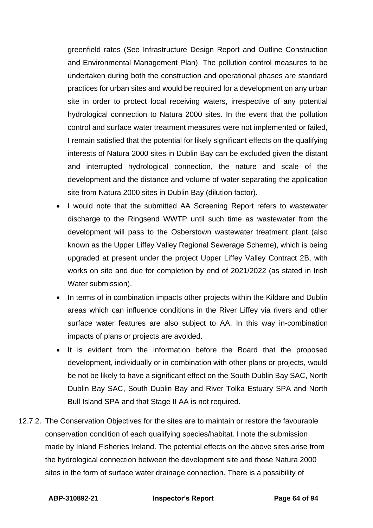greenfield rates (See Infrastructure Design Report and Outline Construction and Environmental Management Plan). The pollution control measures to be undertaken during both the construction and operational phases are standard practices for urban sites and would be required for a development on any urban site in order to protect local receiving waters, irrespective of any potential hydrological connection to Natura 2000 sites. In the event that the pollution control and surface water treatment measures were not implemented or failed, I remain satisfied that the potential for likely significant effects on the qualifying interests of Natura 2000 sites in Dublin Bay can be excluded given the distant and interrupted hydrological connection, the nature and scale of the development and the distance and volume of water separating the application site from Natura 2000 sites in Dublin Bay (dilution factor).

- I would note that the submitted AA Screening Report refers to wastewater discharge to the Ringsend WWTP until such time as wastewater from the development will pass to the Osberstown wastewater treatment plant (also known as the Upper Liffey Valley Regional Sewerage Scheme), which is being upgraded at present under the project Upper Liffey Valley Contract 2B, with works on site and due for completion by end of 2021/2022 (as stated in Irish Water submission).
- In terms of in combination impacts other projects within the Kildare and Dublin areas which can influence conditions in the River Liffey via rivers and other surface water features are also subject to AA. In this way in-combination impacts of plans or projects are avoided.
- It is evident from the information before the Board that the proposed development, individually or in combination with other plans or projects, would be not be likely to have a significant effect on the South Dublin Bay SAC, North Dublin Bay SAC, South Dublin Bay and River Tolka Estuary SPA and North Bull Island SPA and that Stage II AA is not required.
- 12.7.2. The Conservation Objectives for the sites are to maintain or restore the favourable conservation condition of each qualifying species/habitat. I note the submission made by Inland Fisheries Ireland. The potential effects on the above sites arise from the hydrological connection between the development site and those Natura 2000 sites in the form of surface water drainage connection. There is a possibility of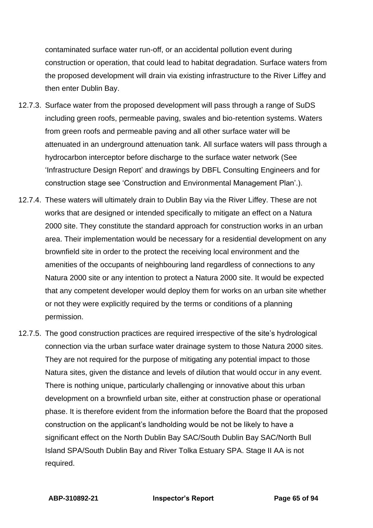contaminated surface water run-off, or an accidental pollution event during construction or operation, that could lead to habitat degradation. Surface waters from the proposed development will drain via existing infrastructure to the River Liffey and then enter Dublin Bay.

- 12.7.3. Surface water from the proposed development will pass through a range of SuDS including green roofs, permeable paving, swales and bio-retention systems. Waters from green roofs and permeable paving and all other surface water will be attenuated in an underground attenuation tank. All surface waters will pass through a hydrocarbon interceptor before discharge to the surface water network (See 'Infrastructure Design Report' and drawings by DBFL Consulting Engineers and for construction stage see 'Construction and Environmental Management Plan'.).
- 12.7.4. These waters will ultimately drain to Dublin Bay via the River Liffey. These are not works that are designed or intended specifically to mitigate an effect on a Natura 2000 site. They constitute the standard approach for construction works in an urban area. Their implementation would be necessary for a residential development on any brownfield site in order to the protect the receiving local environment and the amenities of the occupants of neighbouring land regardless of connections to any Natura 2000 site or any intention to protect a Natura 2000 site. It would be expected that any competent developer would deploy them for works on an urban site whether or not they were explicitly required by the terms or conditions of a planning permission.
- 12.7.5. The good construction practices are required irrespective of the site's hydrological connection via the urban surface water drainage system to those Natura 2000 sites. They are not required for the purpose of mitigating any potential impact to those Natura sites, given the distance and levels of dilution that would occur in any event. There is nothing unique, particularly challenging or innovative about this urban development on a brownfield urban site, either at construction phase or operational phase. It is therefore evident from the information before the Board that the proposed construction on the applicant's landholding would be not be likely to have a significant effect on the North Dublin Bay SAC/South Dublin Bay SAC/North Bull Island SPA/South Dublin Bay and River Tolka Estuary SPA. Stage II AA is not required.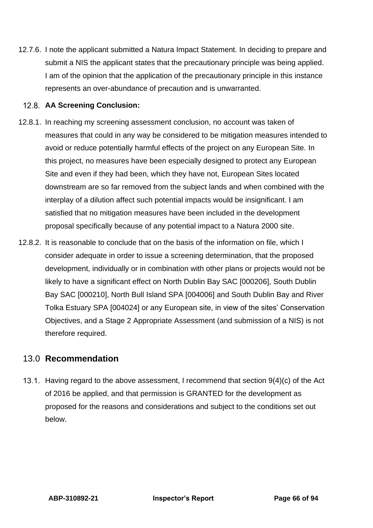12.7.6. I note the applicant submitted a Natura Impact Statement. In deciding to prepare and submit a NIS the applicant states that the precautionary principle was being applied. I am of the opinion that the application of the precautionary principle in this instance represents an over-abundance of precaution and is unwarranted.

### **AA Screening Conclusion:**

- 12.8.1. In reaching my screening assessment conclusion, no account was taken of measures that could in any way be considered to be mitigation measures intended to avoid or reduce potentially harmful effects of the project on any European Site. In this project, no measures have been especially designed to protect any European Site and even if they had been, which they have not, European Sites located downstream are so far removed from the subject lands and when combined with the interplay of a dilution affect such potential impacts would be insignificant. I am satisfied that no mitigation measures have been included in the development proposal specifically because of any potential impact to a Natura 2000 site.
- 12.8.2. It is reasonable to conclude that on the basis of the information on file, which I consider adequate in order to issue a screening determination, that the proposed development, individually or in combination with other plans or projects would not be likely to have a significant effect on North Dublin Bay SAC [000206], South Dublin Bay SAC [000210], North Bull Island SPA [004006] and South Dublin Bay and River Tolka Estuary SPA [004024] or any European site, in view of the sites' Conservation Objectives, and a Stage 2 Appropriate Assessment (and submission of a NIS) is not therefore required.

# 13.0 **Recommendation**

13.1. Having regard to the above assessment, I recommend that section  $9(4)(c)$  of the Act of 2016 be applied, and that permission is GRANTED for the development as proposed for the reasons and considerations and subject to the conditions set out below.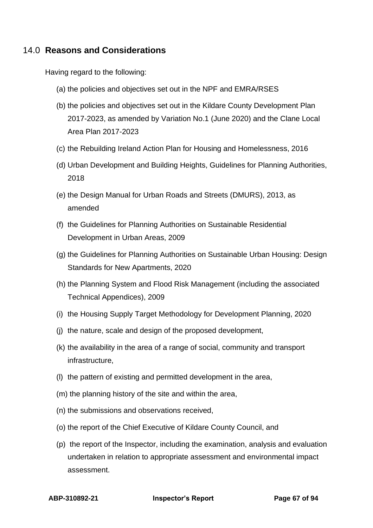# 14.0 **Reasons and Considerations**

Having regard to the following:

- (a) the policies and objectives set out in the NPF and EMRA/RSES
- (b) the policies and objectives set out in the Kildare County Development Plan 2017-2023, as amended by Variation No.1 (June 2020) and the Clane Local Area Plan 2017-2023
- (c) the Rebuilding Ireland Action Plan for Housing and Homelessness, 2016
- (d) Urban Development and Building Heights, Guidelines for Planning Authorities, 2018
- (e) the Design Manual for Urban Roads and Streets (DMURS), 2013, as amended
- (f) the Guidelines for Planning Authorities on Sustainable Residential Development in Urban Areas, 2009
- (g) the Guidelines for Planning Authorities on Sustainable Urban Housing: Design Standards for New Apartments, 2020
- (h) the Planning System and Flood Risk Management (including the associated Technical Appendices), 2009
- (i) the Housing Supply Target Methodology for Development Planning, 2020
- (j) the nature, scale and design of the proposed development,
- (k) the availability in the area of a range of social, community and transport infrastructure,
- (l) the pattern of existing and permitted development in the area,
- (m) the planning history of the site and within the area,
- (n) the submissions and observations received,
- (o) the report of the Chief Executive of Kildare County Council, and
- (p) the report of the Inspector, including the examination, analysis and evaluation undertaken in relation to appropriate assessment and environmental impact assessment.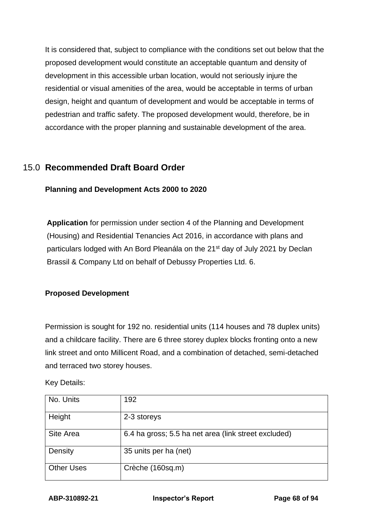It is considered that, subject to compliance with the conditions set out below that the proposed development would constitute an acceptable quantum and density of development in this accessible urban location, would not seriously injure the residential or visual amenities of the area, would be acceptable in terms of urban design, height and quantum of development and would be acceptable in terms of pedestrian and traffic safety. The proposed development would, therefore, be in accordance with the proper planning and sustainable development of the area.

# 15.0 **Recommended Draft Board Order**

**Planning and Development Acts 2000 to 2020**

**Application** for permission under section 4 of the Planning and Development (Housing) and Residential Tenancies Act 2016, in accordance with plans and particulars lodged with An Bord Pleanála on the 21<sup>st</sup> day of July 2021 by Declan Brassil & Company Ltd on behalf of Debussy Properties Ltd. 6.

### **Proposed Development**

Permission is sought for 192 no. residential units (114 houses and 78 duplex units) and a childcare facility. There are 6 three storey duplex blocks fronting onto a new link street and onto Millicent Road, and a combination of detached, semi-detached and terraced two storey houses.

Key Details:

| No. Units         | 192                                                  |
|-------------------|------------------------------------------------------|
| Height            | 2-3 storeys                                          |
| Site Area         | 6.4 ha gross; 5.5 ha net area (link street excluded) |
| Density           | 35 units per ha (net)                                |
| <b>Other Uses</b> | Crèche (160sq.m)                                     |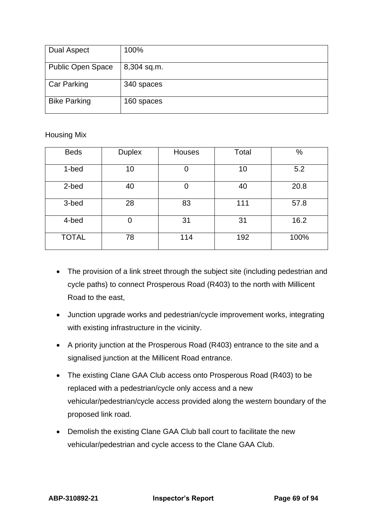| <b>Dual Aspect</b>       | 100%        |
|--------------------------|-------------|
| <b>Public Open Space</b> | 8,304 sq.m. |
| <b>Car Parking</b>       | 340 spaces  |
| <b>Bike Parking</b>      | 160 spaces  |

#### Housing Mix

| <b>Beds</b>  | <b>Duplex</b> | Houses | Total | $\%$ |
|--------------|---------------|--------|-------|------|
| 1-bed        | 10            | 0      | 10    | 5.2  |
| 2-bed        | 40            |        | 40    | 20.8 |
| 3-bed        | 28            | 83     | 111   | 57.8 |
| 4-bed        | 0             | 31     | 31    | 16.2 |
| <b>TOTAL</b> | 78            | 114    | 192   | 100% |

- The provision of a link street through the subject site (including pedestrian and cycle paths) to connect Prosperous Road (R403) to the north with Millicent Road to the east,
- Junction upgrade works and pedestrian/cycle improvement works, integrating with existing infrastructure in the vicinity.
- A priority junction at the Prosperous Road (R403) entrance to the site and a signalised junction at the Millicent Road entrance.
- The existing Clane GAA Club access onto Prosperous Road (R403) to be replaced with a pedestrian/cycle only access and a new vehicular/pedestrian/cycle access provided along the western boundary of the proposed link road.
- Demolish the existing Clane GAA Club ball court to facilitate the new vehicular/pedestrian and cycle access to the Clane GAA Club.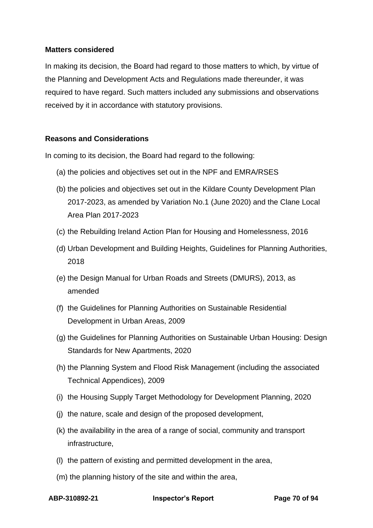#### **Matters considered**

In making its decision, the Board had regard to those matters to which, by virtue of the Planning and Development Acts and Regulations made thereunder, it was required to have regard. Such matters included any submissions and observations received by it in accordance with statutory provisions.

### **Reasons and Considerations**

In coming to its decision, the Board had regard to the following:

- (a) the policies and objectives set out in the NPF and EMRA/RSES
- (b) the policies and objectives set out in the Kildare County Development Plan 2017-2023, as amended by Variation No.1 (June 2020) and the Clane Local Area Plan 2017-2023
- (c) the Rebuilding Ireland Action Plan for Housing and Homelessness, 2016
- (d) Urban Development and Building Heights, Guidelines for Planning Authorities, 2018
- (e) the Design Manual for Urban Roads and Streets (DMURS), 2013, as amended
- (f) the Guidelines for Planning Authorities on Sustainable Residential Development in Urban Areas, 2009
- (g) the Guidelines for Planning Authorities on Sustainable Urban Housing: Design Standards for New Apartments, 2020
- (h) the Planning System and Flood Risk Management (including the associated Technical Appendices), 2009
- (i) the Housing Supply Target Methodology for Development Planning, 2020
- (j) the nature, scale and design of the proposed development,
- (k) the availability in the area of a range of social, community and transport infrastructure,
- (l) the pattern of existing and permitted development in the area,
- (m) the planning history of the site and within the area,

**ABP-310892-21 Inspector's Report Page 70 of 94**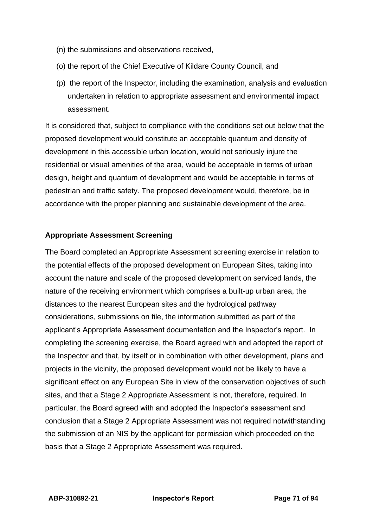- (n) the submissions and observations received,
- (o) the report of the Chief Executive of Kildare County Council, and
- (p) the report of the Inspector, including the examination, analysis and evaluation undertaken in relation to appropriate assessment and environmental impact assessment.

It is considered that, subject to compliance with the conditions set out below that the proposed development would constitute an acceptable quantum and density of development in this accessible urban location, would not seriously injure the residential or visual amenities of the area, would be acceptable in terms of urban design, height and quantum of development and would be acceptable in terms of pedestrian and traffic safety. The proposed development would, therefore, be in accordance with the proper planning and sustainable development of the area.

#### **Appropriate Assessment Screening**

The Board completed an Appropriate Assessment screening exercise in relation to the potential effects of the proposed development on European Sites, taking into account the nature and scale of the proposed development on serviced lands, the nature of the receiving environment which comprises a built-up urban area, the distances to the nearest European sites and the hydrological pathway considerations, submissions on file, the information submitted as part of the applicant's Appropriate Assessment documentation and the Inspector's report. In completing the screening exercise, the Board agreed with and adopted the report of the Inspector and that, by itself or in combination with other development, plans and projects in the vicinity, the proposed development would not be likely to have a significant effect on any European Site in view of the conservation objectives of such sites, and that a Stage 2 Appropriate Assessment is not, therefore, required. In particular, the Board agreed with and adopted the Inspector's assessment and conclusion that a Stage 2 Appropriate Assessment was not required notwithstanding the submission of an NIS by the applicant for permission which proceeded on the basis that a Stage 2 Appropriate Assessment was required.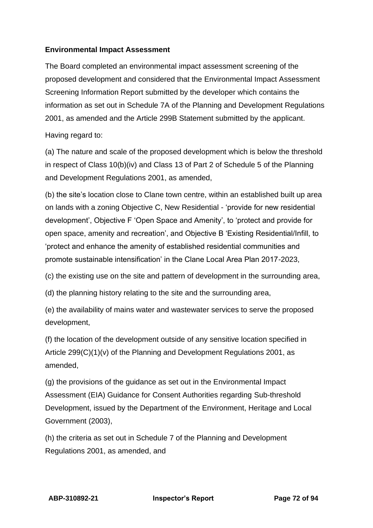### **Environmental Impact Assessment**

The Board completed an environmental impact assessment screening of the proposed development and considered that the Environmental Impact Assessment Screening Information Report submitted by the developer which contains the information as set out in Schedule 7A of the Planning and Development Regulations 2001, as amended and the Article 299B Statement submitted by the applicant.

Having regard to:

(a) The nature and scale of the proposed development which is below the threshold in respect of Class 10(b)(iv) and Class 13 of Part 2 of Schedule 5 of the Planning and Development Regulations 2001, as amended,

(b) the site's location close to Clane town centre, within an established built up area on lands with a zoning Objective C, New Residential - 'provide for new residential development', Objective F 'Open Space and Amenity', to 'protect and provide for open space, amenity and recreation', and Objective B 'Existing Residential/Infill, to 'protect and enhance the amenity of established residential communities and promote sustainable intensification' in the Clane Local Area Plan 2017-2023,

(c) the existing use on the site and pattern of development in the surrounding area,

(d) the planning history relating to the site and the surrounding area,

(e) the availability of mains water and wastewater services to serve the proposed development,

(f) the location of the development outside of any sensitive location specified in Article 299(C)(1)(v) of the Planning and Development Regulations 2001, as amended,

(g) the provisions of the guidance as set out in the Environmental Impact Assessment (EIA) Guidance for Consent Authorities regarding Sub-threshold Development, issued by the Department of the Environment, Heritage and Local Government (2003),

(h) the criteria as set out in Schedule 7 of the Planning and Development Regulations 2001, as amended, and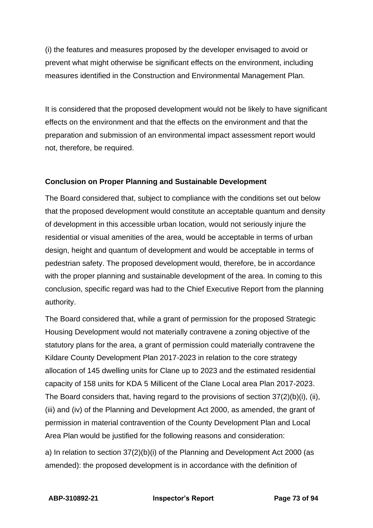(i) the features and measures proposed by the developer envisaged to avoid or prevent what might otherwise be significant effects on the environment, including measures identified in the Construction and Environmental Management Plan.

It is considered that the proposed development would not be likely to have significant effects on the environment and that the effects on the environment and that the preparation and submission of an environmental impact assessment report would not, therefore, be required.

## **Conclusion on Proper Planning and Sustainable Development**

The Board considered that, subject to compliance with the conditions set out below that the proposed development would constitute an acceptable quantum and density of development in this accessible urban location, would not seriously injure the residential or visual amenities of the area, would be acceptable in terms of urban design, height and quantum of development and would be acceptable in terms of pedestrian safety. The proposed development would, therefore, be in accordance with the proper planning and sustainable development of the area. In coming to this conclusion, specific regard was had to the Chief Executive Report from the planning authority.

The Board considered that, while a grant of permission for the proposed Strategic Housing Development would not materially contravene a zoning objective of the statutory plans for the area, a grant of permission could materially contravene the Kildare County Development Plan 2017-2023 in relation to the core strategy allocation of 145 dwelling units for Clane up to 2023 and the estimated residential capacity of 158 units for KDA 5 Millicent of the Clane Local area Plan 2017-2023. The Board considers that, having regard to the provisions of section 37(2)(b)(i), (ii), (iii) and (iv) of the Planning and Development Act 2000, as amended, the grant of permission in material contravention of the County Development Plan and Local Area Plan would be justified for the following reasons and consideration:

a) In relation to section 37(2)(b)(i) of the Planning and Development Act 2000 (as amended): the proposed development is in accordance with the definition of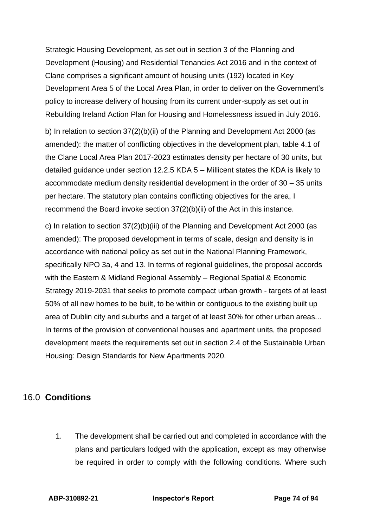Strategic Housing Development, as set out in section 3 of the Planning and Development (Housing) and Residential Tenancies Act 2016 and in the context of Clane comprises a significant amount of housing units (192) located in Key Development Area 5 of the Local Area Plan, in order to deliver on the Government's policy to increase delivery of housing from its current under-supply as set out in Rebuilding Ireland Action Plan for Housing and Homelessness issued in July 2016.

b) In relation to section 37(2)(b)(ii) of the Planning and Development Act 2000 (as amended): the matter of conflicting objectives in the development plan, table 4.1 of the Clane Local Area Plan 2017-2023 estimates density per hectare of 30 units, but detailed guidance under section 12.2.5 KDA 5 – Millicent states the KDA is likely to accommodate medium density residential development in the order of 30 – 35 units per hectare. The statutory plan contains conflicting objectives for the area, I recommend the Board invoke section 37(2)(b)(ii) of the Act in this instance.

c) In relation to section 37(2)(b)(iii) of the Planning and Development Act 2000 (as amended): The proposed development in terms of scale, design and density is in accordance with national policy as set out in the National Planning Framework, specifically NPO 3a, 4 and 13. In terms of regional guidelines, the proposal accords with the Eastern & Midland Regional Assembly – Regional Spatial & Economic Strategy 2019-2031 that seeks to promote compact urban growth - targets of at least 50% of all new homes to be built, to be within or contiguous to the existing built up area of Dublin city and suburbs and a target of at least 30% for other urban areas... In terms of the provision of conventional houses and apartment units, the proposed development meets the requirements set out in section 2.4 of the Sustainable Urban Housing: Design Standards for New Apartments 2020.

## 16.0 **Conditions**

1. The development shall be carried out and completed in accordance with the plans and particulars lodged with the application, except as may otherwise be required in order to comply with the following conditions. Where such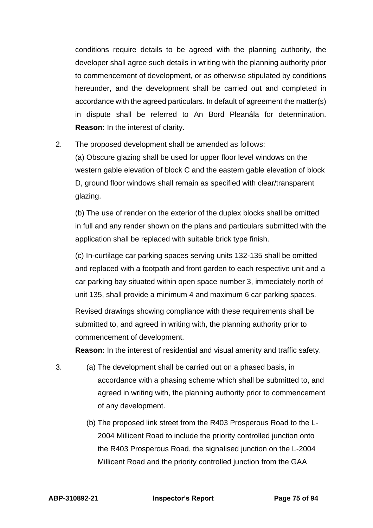conditions require details to be agreed with the planning authority, the developer shall agree such details in writing with the planning authority prior to commencement of development, or as otherwise stipulated by conditions hereunder, and the development shall be carried out and completed in accordance with the agreed particulars. In default of agreement the matter(s) in dispute shall be referred to An Bord Pleanála for determination. **Reason:** In the interest of clarity.

2. The proposed development shall be amended as follows:

(a) Obscure glazing shall be used for upper floor level windows on the western gable elevation of block C and the eastern gable elevation of block D, ground floor windows shall remain as specified with clear/transparent glazing.

(b) The use of render on the exterior of the duplex blocks shall be omitted in full and any render shown on the plans and particulars submitted with the application shall be replaced with suitable brick type finish.

(c) In-curtilage car parking spaces serving units 132-135 shall be omitted and replaced with a footpath and front garden to each respective unit and a car parking bay situated within open space number 3, immediately north of unit 135, shall provide a minimum 4 and maximum 6 car parking spaces.

Revised drawings showing compliance with these requirements shall be submitted to, and agreed in writing with, the planning authority prior to commencement of development.

**Reason:** In the interest of residential and visual amenity and traffic safety.

- 3. (a) The development shall be carried out on a phased basis, in accordance with a phasing scheme which shall be submitted to, and agreed in writing with, the planning authority prior to commencement of any development.
	- (b) The proposed link street from the R403 Prosperous Road to the L-2004 Millicent Road to include the priority controlled junction onto the R403 Prosperous Road, the signalised junction on the L-2004 Millicent Road and the priority controlled junction from the GAA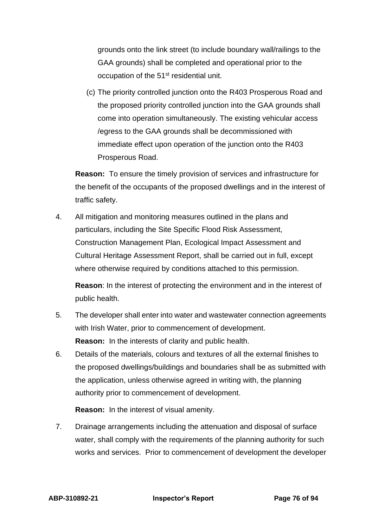grounds onto the link street (to include boundary wall/railings to the GAA grounds) shall be completed and operational prior to the occupation of the 51<sup>st</sup> residential unit.

(c) The priority controlled junction onto the R403 Prosperous Road and the proposed priority controlled junction into the GAA grounds shall come into operation simultaneously. The existing vehicular access /egress to the GAA grounds shall be decommissioned with immediate effect upon operation of the junction onto the R403 Prosperous Road.

**Reason:** To ensure the timely provision of services and infrastructure for the benefit of the occupants of the proposed dwellings and in the interest of traffic safety.

4. All mitigation and monitoring measures outlined in the plans and particulars, including the Site Specific Flood Risk Assessment, Construction Management Plan, Ecological Impact Assessment and Cultural Heritage Assessment Report, shall be carried out in full, except where otherwise required by conditions attached to this permission.

**Reason**: In the interest of protecting the environment and in the interest of public health.

- 5. The developer shall enter into water and wastewater connection agreements with Irish Water, prior to commencement of development. **Reason:** In the interests of clarity and public health.
- 6. Details of the materials, colours and textures of all the external finishes to the proposed dwellings/buildings and boundaries shall be as submitted with the application, unless otherwise agreed in writing with, the planning authority prior to commencement of development.

**Reason:** In the interest of visual amenity.

7. Drainage arrangements including the attenuation and disposal of surface water, shall comply with the requirements of the planning authority for such works and services. Prior to commencement of development the developer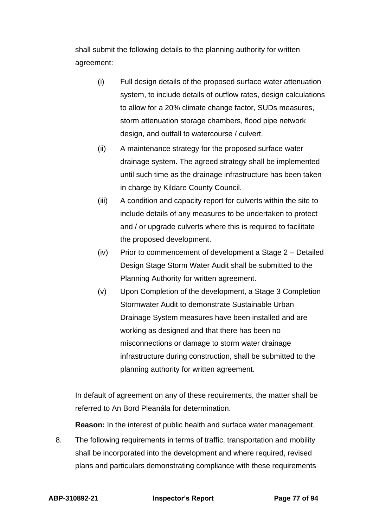shall submit the following details to the planning authority for written agreement:

- (i) Full design details of the proposed surface water attenuation system, to include details of outflow rates, design calculations to allow for a 20% climate change factor, SUDs measures, storm attenuation storage chambers, flood pipe network design, and outfall to watercourse / culvert.
- (ii) A maintenance strategy for the proposed surface water drainage system. The agreed strategy shall be implemented until such time as the drainage infrastructure has been taken in charge by Kildare County Council.
- (iii) A condition and capacity report for culverts within the site to include details of any measures to be undertaken to protect and / or upgrade culverts where this is required to facilitate the proposed development.
- (iv) Prior to commencement of development a Stage 2 Detailed Design Stage Storm Water Audit shall be submitted to the Planning Authority for written agreement.
- (v) Upon Completion of the development, a Stage 3 Completion Stormwater Audit to demonstrate Sustainable Urban Drainage System measures have been installed and are working as designed and that there has been no misconnections or damage to storm water drainage infrastructure during construction, shall be submitted to the planning authority for written agreement.

In default of agreement on any of these requirements, the matter shall be referred to An Bord Pleanála for determination.

**Reason:** In the interest of public health and surface water management.

8. The following requirements in terms of traffic, transportation and mobility shall be incorporated into the development and where required, revised plans and particulars demonstrating compliance with these requirements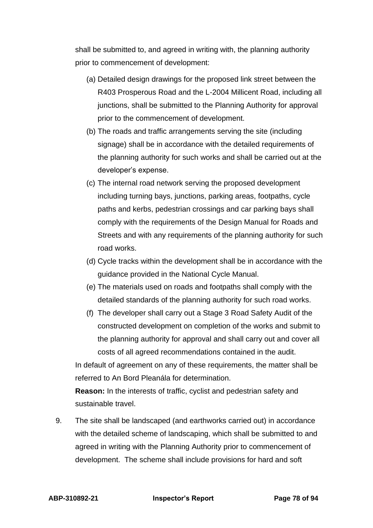shall be submitted to, and agreed in writing with, the planning authority prior to commencement of development:

- (a) Detailed design drawings for the proposed link street between the R403 Prosperous Road and the L-2004 Millicent Road, including all junctions, shall be submitted to the Planning Authority for approval prior to the commencement of development.
- (b) The roads and traffic arrangements serving the site (including signage) shall be in accordance with the detailed requirements of the planning authority for such works and shall be carried out at the developer's expense.
- (c) The internal road network serving the proposed development including turning bays, junctions, parking areas, footpaths, cycle paths and kerbs, pedestrian crossings and car parking bays shall comply with the requirements of the Design Manual for Roads and Streets and with any requirements of the planning authority for such road works.
- (d) Cycle tracks within the development shall be in accordance with the guidance provided in the National Cycle Manual.
- (e) The materials used on roads and footpaths shall comply with the detailed standards of the planning authority for such road works.
- (f) The developer shall carry out a Stage 3 Road Safety Audit of the constructed development on completion of the works and submit to the planning authority for approval and shall carry out and cover all costs of all agreed recommendations contained in the audit.

In default of agreement on any of these requirements, the matter shall be referred to An Bord Pleanála for determination.

**Reason:** In the interests of traffic, cyclist and pedestrian safety and sustainable travel.

9. The site shall be landscaped (and earthworks carried out) in accordance with the detailed scheme of landscaping, which shall be submitted to and agreed in writing with the Planning Authority prior to commencement of development. The scheme shall include provisions for hard and soft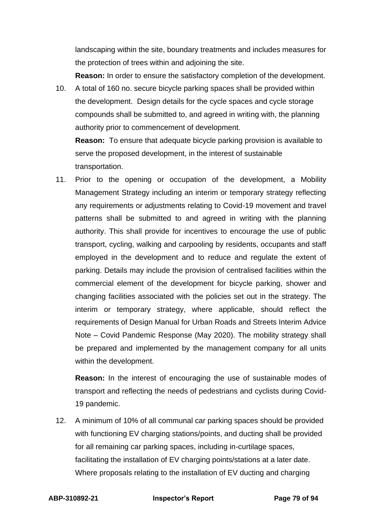landscaping within the site, boundary treatments and includes measures for the protection of trees within and adjoining the site.

**Reason:** In order to ensure the satisfactory completion of the development.

10. A total of 160 no. secure bicycle parking spaces shall be provided within the development. Design details for the cycle spaces and cycle storage compounds shall be submitted to, and agreed in writing with, the planning authority prior to commencement of development.

**Reason:** To ensure that adequate bicycle parking provision is available to serve the proposed development, in the interest of sustainable transportation.

11. Prior to the opening or occupation of the development, a Mobility Management Strategy including an interim or temporary strategy reflecting any requirements or adjustments relating to Covid-19 movement and travel patterns shall be submitted to and agreed in writing with the planning authority. This shall provide for incentives to encourage the use of public transport, cycling, walking and carpooling by residents, occupants and staff employed in the development and to reduce and regulate the extent of parking. Details may include the provision of centralised facilities within the commercial element of the development for bicycle parking, shower and changing facilities associated with the policies set out in the strategy. The interim or temporary strategy, where applicable, should reflect the requirements of Design Manual for Urban Roads and Streets Interim Advice Note – Covid Pandemic Response (May 2020). The mobility strategy shall be prepared and implemented by the management company for all units within the development.

**Reason:** In the interest of encouraging the use of sustainable modes of transport and reflecting the needs of pedestrians and cyclists during Covid-19 pandemic.

12. A minimum of 10% of all communal car parking spaces should be provided with functioning EV charging stations/points, and ducting shall be provided for all remaining car parking spaces, including in-curtilage spaces, facilitating the installation of EV charging points/stations at a later date. Where proposals relating to the installation of EV ducting and charging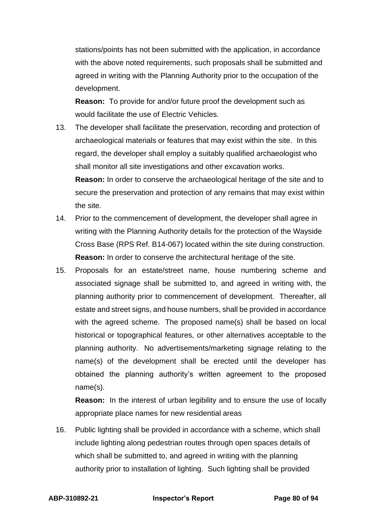stations/points has not been submitted with the application, in accordance with the above noted requirements, such proposals shall be submitted and agreed in writing with the Planning Authority prior to the occupation of the development.

**Reason:** To provide for and/or future proof the development such as would facilitate the use of Electric Vehicles.

- 13. The developer shall facilitate the preservation, recording and protection of archaeological materials or features that may exist within the site. In this regard, the developer shall employ a suitably qualified archaeologist who shall monitor all site investigations and other excavation works. **Reason:** In order to conserve the archaeological heritage of the site and to secure the preservation and protection of any remains that may exist within the site.
- 14. Prior to the commencement of development, the developer shall agree in writing with the Planning Authority details for the protection of the Wayside Cross Base (RPS Ref. B14-067) located within the site during construction. **Reason:** In order to conserve the architectural heritage of the site.
- 15. Proposals for an estate/street name, house numbering scheme and associated signage shall be submitted to, and agreed in writing with, the planning authority prior to commencement of development. Thereafter, all estate and street signs, and house numbers, shall be provided in accordance with the agreed scheme. The proposed name(s) shall be based on local historical or topographical features, or other alternatives acceptable to the planning authority. No advertisements/marketing signage relating to the name(s) of the development shall be erected until the developer has obtained the planning authority's written agreement to the proposed name(s).

**Reason:** In the interest of urban legibility and to ensure the use of locally appropriate place names for new residential areas

16. Public lighting shall be provided in accordance with a scheme, which shall include lighting along pedestrian routes through open spaces details of which shall be submitted to, and agreed in writing with the planning authority prior to installation of lighting. Such lighting shall be provided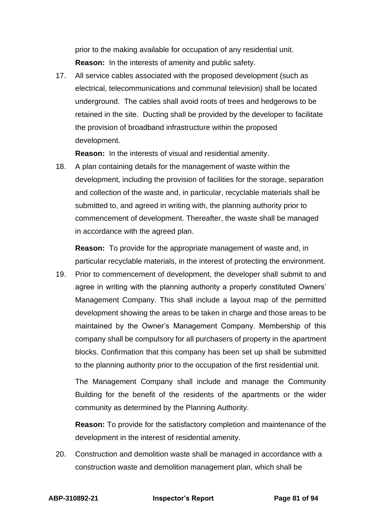prior to the making available for occupation of any residential unit. **Reason:** In the interests of amenity and public safety.

17. All service cables associated with the proposed development (such as electrical, telecommunications and communal television) shall be located underground. The cables shall avoid roots of trees and hedgerows to be retained in the site. Ducting shall be provided by the developer to facilitate the provision of broadband infrastructure within the proposed development.

**Reason:** In the interests of visual and residential amenity.

18. A plan containing details for the management of waste within the development, including the provision of facilities for the storage, separation and collection of the waste and, in particular, recyclable materials shall be submitted to, and agreed in writing with, the planning authority prior to commencement of development. Thereafter, the waste shall be managed in accordance with the agreed plan.

**Reason:** To provide for the appropriate management of waste and, in particular recyclable materials, in the interest of protecting the environment.

19. Prior to commencement of development, the developer shall submit to and agree in writing with the planning authority a properly constituted Owners' Management Company. This shall include a layout map of the permitted development showing the areas to be taken in charge and those areas to be maintained by the Owner's Management Company. Membership of this company shall be compulsory for all purchasers of property in the apartment blocks. Confirmation that this company has been set up shall be submitted to the planning authority prior to the occupation of the first residential unit.

The Management Company shall include and manage the Community Building for the benefit of the residents of the apartments or the wider community as determined by the Planning Authority.

**Reason:** To provide for the satisfactory completion and maintenance of the development in the interest of residential amenity.

20. Construction and demolition waste shall be managed in accordance with a construction waste and demolition management plan, which shall be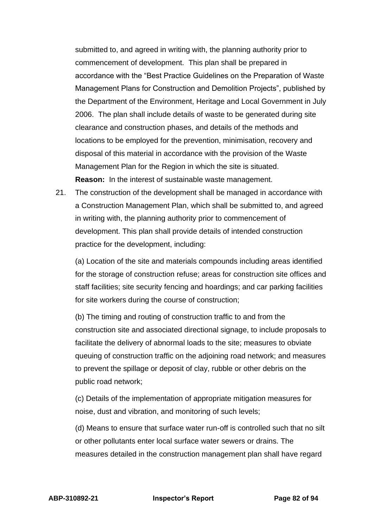submitted to, and agreed in writing with, the planning authority prior to commencement of development. This plan shall be prepared in accordance with the "Best Practice Guidelines on the Preparation of Waste Management Plans for Construction and Demolition Projects", published by the Department of the Environment, Heritage and Local Government in July 2006. The plan shall include details of waste to be generated during site clearance and construction phases, and details of the methods and locations to be employed for the prevention, minimisation, recovery and disposal of this material in accordance with the provision of the Waste Management Plan for the Region in which the site is situated. **Reason:** In the interest of sustainable waste management.

21. The construction of the development shall be managed in accordance with a Construction Management Plan, which shall be submitted to, and agreed in writing with, the planning authority prior to commencement of development. This plan shall provide details of intended construction practice for the development, including:

(a) Location of the site and materials compounds including areas identified for the storage of construction refuse; areas for construction site offices and staff facilities; site security fencing and hoardings; and car parking facilities for site workers during the course of construction;

(b) The timing and routing of construction traffic to and from the construction site and associated directional signage, to include proposals to facilitate the delivery of abnormal loads to the site; measures to obviate queuing of construction traffic on the adjoining road network; and measures to prevent the spillage or deposit of clay, rubble or other debris on the public road network;

(c) Details of the implementation of appropriate mitigation measures for noise, dust and vibration, and monitoring of such levels;

(d) Means to ensure that surface water run-off is controlled such that no silt or other pollutants enter local surface water sewers or drains. The measures detailed in the construction management plan shall have regard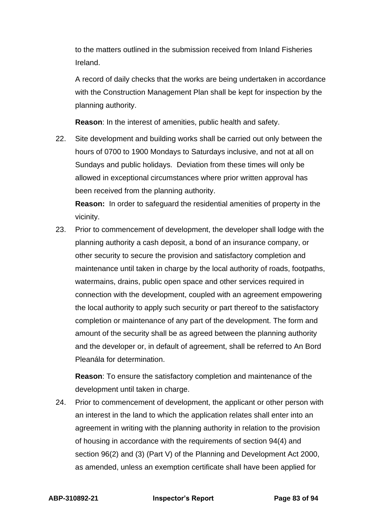to the matters outlined in the submission received from Inland Fisheries Ireland.

A record of daily checks that the works are being undertaken in accordance with the Construction Management Plan shall be kept for inspection by the planning authority.

**Reason**: In the interest of amenities, public health and safety.

22. Site development and building works shall be carried out only between the hours of 0700 to 1900 Mondays to Saturdays inclusive, and not at all on Sundays and public holidays. Deviation from these times will only be allowed in exceptional circumstances where prior written approval has been received from the planning authority.

**Reason:** In order to safeguard the residential amenities of property in the vicinity.

23. Prior to commencement of development, the developer shall lodge with the planning authority a cash deposit, a bond of an insurance company, or other security to secure the provision and satisfactory completion and maintenance until taken in charge by the local authority of roads, footpaths, watermains, drains, public open space and other services required in connection with the development, coupled with an agreement empowering the local authority to apply such security or part thereof to the satisfactory completion or maintenance of any part of the development. The form and amount of the security shall be as agreed between the planning authority and the developer or, in default of agreement, shall be referred to An Bord Pleanála for determination.

**Reason**: To ensure the satisfactory completion and maintenance of the development until taken in charge.

24. Prior to commencement of development, the applicant or other person with an interest in the land to which the application relates shall enter into an agreement in writing with the planning authority in relation to the provision of housing in accordance with the requirements of section 94(4) and section 96(2) and (3) (Part V) of the Planning and Development Act 2000, as amended, unless an exemption certificate shall have been applied for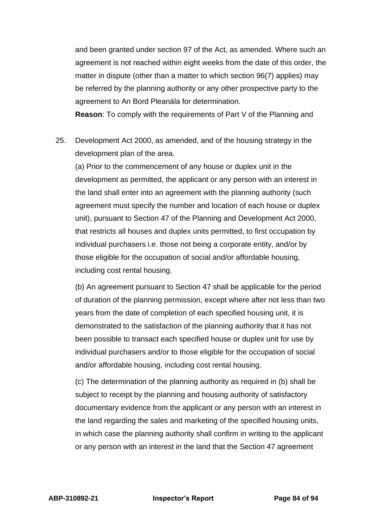and been granted under section 97 of the Act, as amended. Where such an agreement is not reached within eight weeks from the date of this order, the matter in dispute (other than a matter to which section 96(7) applies) may be referred by the planning authority or any other prospective party to the agreement to An Bord Pleanála for determination.

**Reason**: To comply with the requirements of Part V of the Planning and

25. Development Act 2000, as amended, and of the housing strategy in the development plan of the area.

(a) Prior to the commencement of any house or duplex unit in the development as permitted, the applicant or any person with an interest in the land shall enter into an agreement with the planning authority (such agreement must specify the number and location of each house or duplex unit), pursuant to Section 47 of the Planning and Development Act 2000, that restricts all houses and duplex units permitted, to first occupation by individual purchasers i.e. those not being a corporate entity, and/or by those eligible for the occupation of social and/or affordable housing, including cost rental housing.

(b) An agreement pursuant to Section 47 shall be applicable for the period of duration of the planning permission, except where after not less than two years from the date of completion of each specified housing unit, it is demonstrated to the satisfaction of the planning authority that it has not been possible to transact each specified house or duplex unit for use by individual purchasers and/or to those eligible for the occupation of social and/or affordable housing, including cost rental housing.

(c) The determination of the planning authority as required in (b) shall be subject to receipt by the planning and housing authority of satisfactory documentary evidence from the applicant or any person with an interest in the land regarding the sales and marketing of the specified housing units, in which case the planning authority shall confirm in writing to the applicant or any person with an interest in the land that the Section 47 agreement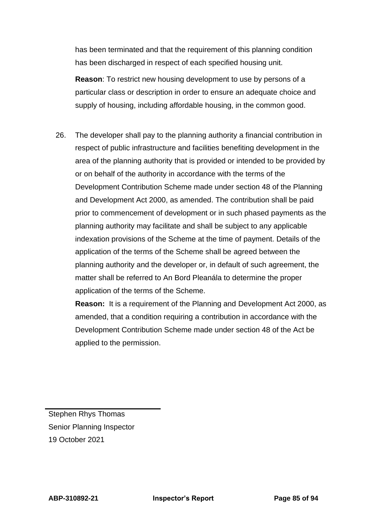has been terminated and that the requirement of this planning condition has been discharged in respect of each specified housing unit.

**Reason**: To restrict new housing development to use by persons of a particular class or description in order to ensure an adequate choice and supply of housing, including affordable housing, in the common good.

26. The developer shall pay to the planning authority a financial contribution in respect of public infrastructure and facilities benefiting development in the area of the planning authority that is provided or intended to be provided by or on behalf of the authority in accordance with the terms of the Development Contribution Scheme made under section 48 of the Planning and Development Act 2000, as amended. The contribution shall be paid prior to commencement of development or in such phased payments as the planning authority may facilitate and shall be subject to any applicable indexation provisions of the Scheme at the time of payment. Details of the application of the terms of the Scheme shall be agreed between the planning authority and the developer or, in default of such agreement, the matter shall be referred to An Bord Pleanála to determine the proper application of the terms of the Scheme.

**Reason:** It is a requirement of the Planning and Development Act 2000, as amended, that a condition requiring a contribution in accordance with the Development Contribution Scheme made under section 48 of the Act be applied to the permission.

Stephen Rhys Thomas Senior Planning Inspector 19 October 2021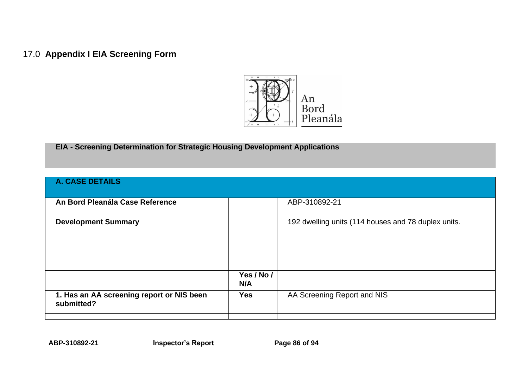## 17.0 **Appendix I EIA Screening Form**



**EIA - Screening Determination for Strategic Housing Development Applications**

| <b>A. CASE DETAILS</b>                    |            |                                                     |
|-------------------------------------------|------------|-----------------------------------------------------|
|                                           |            |                                                     |
|                                           |            |                                                     |
| An Bord Pleanála Case Reference           |            | ABP-310892-21                                       |
|                                           |            |                                                     |
| <b>Development Summary</b>                |            | 192 dwelling units (114 houses and 78 duplex units. |
|                                           |            |                                                     |
|                                           |            |                                                     |
|                                           |            |                                                     |
|                                           |            |                                                     |
|                                           |            |                                                     |
|                                           | Yes / No / |                                                     |
|                                           | N/A        |                                                     |
|                                           |            |                                                     |
| 1. Has an AA screening report or NIS been | <b>Yes</b> | AA Screening Report and NIS                         |
| submitted?                                |            |                                                     |
|                                           |            |                                                     |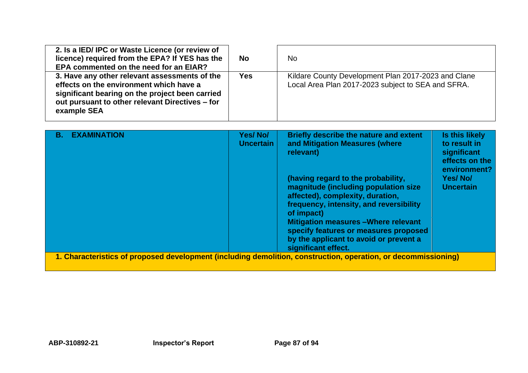| 2. Is a IED/IPC or Waste Licence (or review of<br>licence) required from the EPA? If YES has the<br>EPA commented on the need for an EIAR?                                                                    | <b>No</b>  | <b>No</b>                                                                                                 |
|---------------------------------------------------------------------------------------------------------------------------------------------------------------------------------------------------------------|------------|-----------------------------------------------------------------------------------------------------------|
| 3. Have any other relevant assessments of the<br>effects on the environment which have a<br>significant bearing on the project been carried<br>out pursuant to other relevant Directives - for<br>example SEA | <b>Yes</b> | Kildare County Development Plan 2017-2023 and Clane<br>Local Area Plan 2017-2023 subject to SEA and SFRA. |

| <b>EXAMINATION</b><br>В.                                                                                       | Yes/No/<br><b>Uncertain</b> | <b>Briefly describe the nature and extent</b><br>and Mitigation Measures (where<br>relevant)                                                                                                                                                                                                              | Is this likely<br>to result in<br>significant<br>effects on the<br>environment? |
|----------------------------------------------------------------------------------------------------------------|-----------------------------|-----------------------------------------------------------------------------------------------------------------------------------------------------------------------------------------------------------------------------------------------------------------------------------------------------------|---------------------------------------------------------------------------------|
|                                                                                                                |                             | (having regard to the probability,<br>magnitude (including population size<br>affected), complexity, duration,<br>frequency, intensity, and reversibility<br>of impact)<br><b>Mitigation measures - Where relevant</b><br>specify features or measures proposed<br>by the applicant to avoid or prevent a | Yes/No/<br><b>Uncertain</b>                                                     |
|                                                                                                                |                             | significant effect.                                                                                                                                                                                                                                                                                       |                                                                                 |
| 1. Characteristics of proposed development (including demolition, construction, operation, or decommissioning) |                             |                                                                                                                                                                                                                                                                                                           |                                                                                 |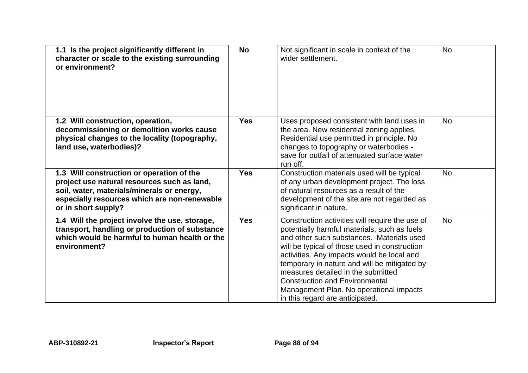| 1.1 Is the project significantly different in<br>character or scale to the existing surrounding<br>or environment?                                                                                            | <b>No</b>  | Not significant in scale in context of the<br>wider settlement.                                                                                                                                                                                                                                                                                                                                                                                          | <b>No</b> |
|---------------------------------------------------------------------------------------------------------------------------------------------------------------------------------------------------------------|------------|----------------------------------------------------------------------------------------------------------------------------------------------------------------------------------------------------------------------------------------------------------------------------------------------------------------------------------------------------------------------------------------------------------------------------------------------------------|-----------|
| 1.2 Will construction, operation,<br>decommissioning or demolition works cause<br>physical changes to the locality (topography,<br>land use, waterbodies)?                                                    | <b>Yes</b> | Uses proposed consistent with land uses in<br>the area. New residential zoning applies.<br>Residential use permitted in principle. No<br>changes to topography or waterbodies -<br>save for outfall of attenuated surface water<br>run off.                                                                                                                                                                                                              | <b>No</b> |
| 1.3 Will construction or operation of the<br>project use natural resources such as land,<br>soil, water, materials/minerals or energy,<br>especially resources which are non-renewable<br>or in short supply? | <b>Yes</b> | Construction materials used will be typical<br>of any urban development project. The loss<br>of natural resources as a result of the<br>development of the site are not regarded as<br>significant in nature.                                                                                                                                                                                                                                            | <b>No</b> |
| 1.4 Will the project involve the use, storage,<br>transport, handling or production of substance<br>which would be harmful to human health or the<br>environment?                                             | <b>Yes</b> | Construction activities will require the use of<br>potentially harmful materials, such as fuels<br>and other such substances. Materials used<br>will be typical of those used in construction<br>activities. Any impacts would be local and<br>temporary in nature and will be mitigated by<br>measures detailed in the submitted<br><b>Construction and Environmental</b><br>Management Plan. No operational impacts<br>in this regard are anticipated. | <b>No</b> |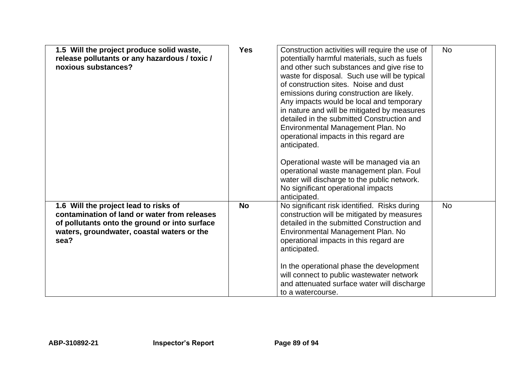| 1.5 Will the project produce solid waste,<br>release pollutants or any hazardous / toxic /<br>noxious substances?                                                                            | <b>Yes</b> | Construction activities will require the use of<br>potentially harmful materials, such as fuels<br>and other such substances and give rise to<br>waste for disposal. Such use will be typical<br>of construction sites. Noise and dust<br>emissions during construction are likely.<br>Any impacts would be local and temporary<br>in nature and will be mitigated by measures<br>detailed in the submitted Construction and<br>Environmental Management Plan. No<br>operational impacts in this regard are<br>anticipated.<br>Operational waste will be managed via an<br>operational waste management plan. Foul<br>water will discharge to the public network.<br>No significant operational impacts<br>anticipated. | <b>No</b> |
|----------------------------------------------------------------------------------------------------------------------------------------------------------------------------------------------|------------|-------------------------------------------------------------------------------------------------------------------------------------------------------------------------------------------------------------------------------------------------------------------------------------------------------------------------------------------------------------------------------------------------------------------------------------------------------------------------------------------------------------------------------------------------------------------------------------------------------------------------------------------------------------------------------------------------------------------------|-----------|
| 1.6 Will the project lead to risks of<br>contamination of land or water from releases<br>of pollutants onto the ground or into surface<br>waters, groundwater, coastal waters or the<br>sea? | <b>No</b>  | No significant risk identified. Risks during<br>construction will be mitigated by measures<br>detailed in the submitted Construction and<br>Environmental Management Plan. No<br>operational impacts in this regard are<br>anticipated.<br>In the operational phase the development<br>will connect to public wastewater network<br>and attenuated surface water will discharge<br>to a watercourse.                                                                                                                                                                                                                                                                                                                    | <b>No</b> |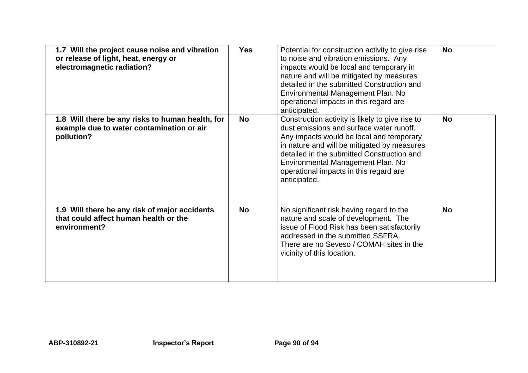| 1.7 Will the project cause noise and vibration<br>or release of light, heat, energy or<br>electromagnetic radiation? | <b>Yes</b> | Potential for construction activity to give rise<br>to noise and vibration emissions. Any<br>impacts would be local and temporary in<br>nature and will be mitigated by measures<br>detailed in the submitted Construction and<br>Environmental Management Plan. No<br>operational impacts in this regard are<br>anticipated.       | <b>No</b> |
|----------------------------------------------------------------------------------------------------------------------|------------|-------------------------------------------------------------------------------------------------------------------------------------------------------------------------------------------------------------------------------------------------------------------------------------------------------------------------------------|-----------|
| 1.8 Will there be any risks to human health, for<br>example due to water contamination or air<br>pollution?          | <b>No</b>  | Construction activity is likely to give rise to<br>dust emissions and surface water runoff.<br>Any impacts would be local and temporary<br>in nature and will be mitigated by measures<br>detailed in the submitted Construction and<br>Environmental Management Plan. No<br>operational impacts in this regard are<br>anticipated. | <b>No</b> |
| 1.9 Will there be any risk of major accidents<br>that could affect human health or the<br>environment?               | <b>No</b>  | No significant risk having regard to the<br>nature and scale of development. The<br>issue of Flood Risk has been satisfactorily<br>addressed in the submitted SSFRA.<br>There are no Seveso / COMAH sites in the<br>vicinity of this location.                                                                                      | <b>No</b> |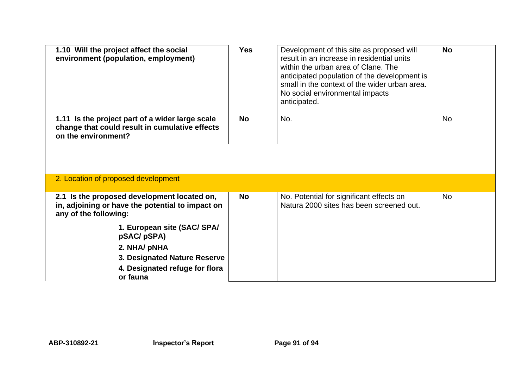| 1.10 Will the project affect the social<br>environment (population, employment)                                          | <b>Yes</b> | Development of this site as proposed will<br>result in an increase in residential units<br>within the urban area of Clane. The<br>anticipated population of the development is<br>small in the context of the wider urban area.<br>No social environmental impacts<br>anticipated. | <b>No</b> |
|--------------------------------------------------------------------------------------------------------------------------|------------|------------------------------------------------------------------------------------------------------------------------------------------------------------------------------------------------------------------------------------------------------------------------------------|-----------|
| 1.11 Is the project part of a wider large scale<br>change that could result in cumulative effects<br>on the environment? | <b>No</b>  | No.                                                                                                                                                                                                                                                                                | No        |
|                                                                                                                          |            |                                                                                                                                                                                                                                                                                    |           |
| 2. Location of proposed development                                                                                      |            |                                                                                                                                                                                                                                                                                    |           |
| 2.1 Is the proposed development located on,<br>in, adjoining or have the potential to impact on                          | <b>No</b>  | No. Potential for significant effects on<br>Natura 2000 sites has been screened out.                                                                                                                                                                                               | <b>No</b> |
| any of the following:                                                                                                    |            |                                                                                                                                                                                                                                                                                    |           |
| 1. European site (SAC/ SPA/<br>pSAC/pSPA)                                                                                |            |                                                                                                                                                                                                                                                                                    |           |
| 2. NHA/ pNHA                                                                                                             |            |                                                                                                                                                                                                                                                                                    |           |
| 3. Designated Nature Reserve<br>4. Designated refuge for flora                                                           |            |                                                                                                                                                                                                                                                                                    |           |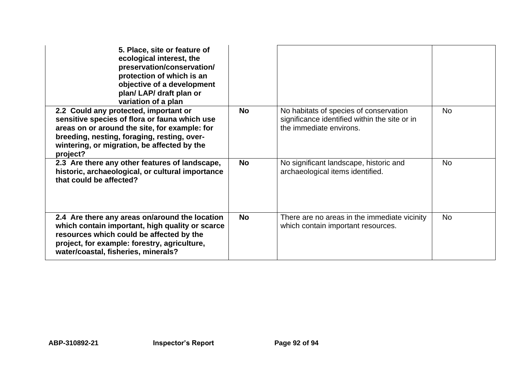| 5. Place, site or feature of<br>ecological interest, the<br>preservation/conservation/<br>protection of which is an<br>objective of a development<br>plan/ LAP/ draft plan or<br>variation of a plan                                              |           |                                                                                                                    |           |
|---------------------------------------------------------------------------------------------------------------------------------------------------------------------------------------------------------------------------------------------------|-----------|--------------------------------------------------------------------------------------------------------------------|-----------|
| 2.2 Could any protected, important or<br>sensitive species of flora or fauna which use<br>areas on or around the site, for example: for<br>breeding, nesting, foraging, resting, over-<br>wintering, or migration, be affected by the<br>project? | <b>No</b> | No habitats of species of conservation<br>significance identified within the site or in<br>the immediate environs. | <b>No</b> |
| 2.3 Are there any other features of landscape,<br>historic, archaeological, or cultural importance<br>that could be affected?                                                                                                                     | <b>No</b> | No significant landscape, historic and<br>archaeological items identified.                                         | <b>No</b> |
| 2.4 Are there any areas on/around the location<br>which contain important, high quality or scarce<br>resources which could be affected by the<br>project, for example: forestry, agriculture,<br>water/coastal, fisheries, minerals?              | <b>No</b> | There are no areas in the immediate vicinity<br>which contain important resources.                                 | <b>No</b> |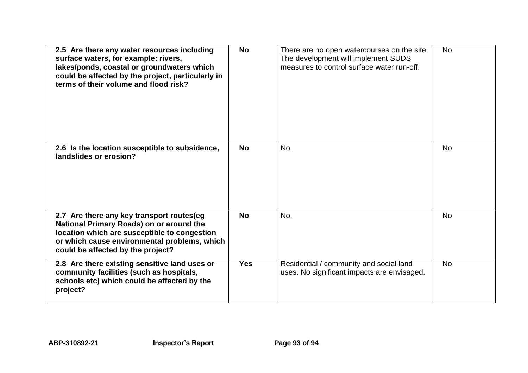| 2.5 Are there any water resources including<br>surface waters, for example: rivers,<br>lakes/ponds, coastal or groundwaters which<br>could be affected by the project, particularly in<br>terms of their volume and flood risk? | <b>No</b>  | There are no open watercourses on the site.<br>The development will implement SUDS<br>measures to control surface water run-off. | <b>No</b> |
|---------------------------------------------------------------------------------------------------------------------------------------------------------------------------------------------------------------------------------|------------|----------------------------------------------------------------------------------------------------------------------------------|-----------|
| 2.6 Is the location susceptible to subsidence,<br>landslides or erosion?                                                                                                                                                        | <b>No</b>  | No.                                                                                                                              | <b>No</b> |
| 2.7 Are there any key transport routes(eg<br>National Primary Roads) on or around the<br>location which are susceptible to congestion<br>or which cause environmental problems, which<br>could be affected by the project?      | <b>No</b>  | No.                                                                                                                              | <b>No</b> |
| 2.8 Are there existing sensitive land uses or<br>community facilities (such as hospitals,<br>schools etc) which could be affected by the<br>project?                                                                            | <b>Yes</b> | Residential / community and social land<br>uses. No significant impacts are envisaged.                                           | <b>No</b> |